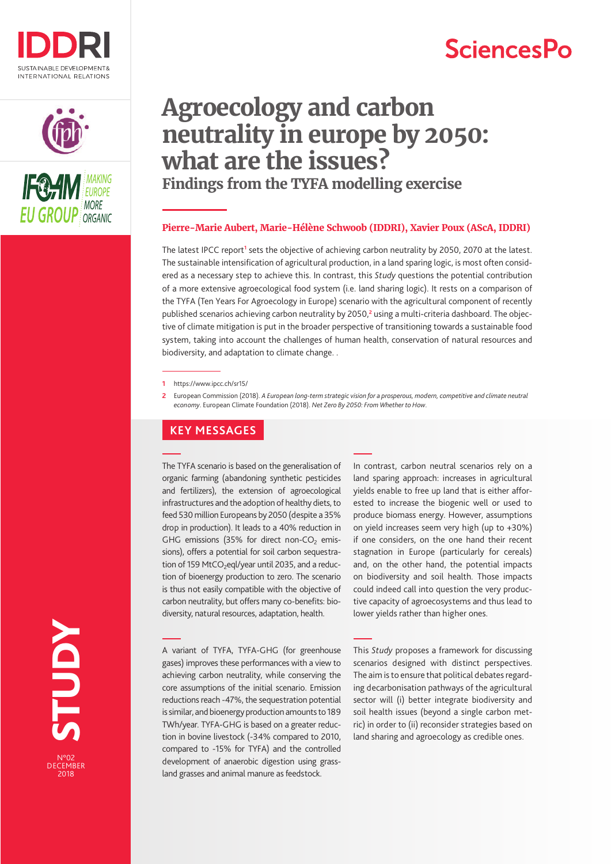

# **SciencesPo**





# **Agroecology and carbon neutrality in europe by 2050: what are the issues? Findings from the TYFA modelling exercise**

## **Pierre-Marie Aubert, Marie-Hélène Schwoob (IDDRI), Xavier Poux (AScA, IDDRI)**

The latest IPCC report<sup>1</sup> sets the objective of achieving carbon neutrality by 2050, 2070 at the latest. The sustainable intensification of agricultural production, in a land sparing logic, is most often considered as a necessary step to achieve this. In contrast, this *Study* questions the potential contribution of a more extensive agroecological food system (i.e. land sharing logic). It rests on a comparison of the TYFA (Ten Years For Agroecology in Europe) scenario with the agricultural component of recently published scenarios achieving carbon neutrality by 2050,**<sup>2</sup>** using a multi-criteria dashboard. The objective of climate mitigation is put in the broader perspective of transitioning towards a sustainable food system, taking into account the challenges of human health, conservation of natural resources and biodiversity, and adaptation to climate change. .

**2** European Commission (2018). *A European long-term strategic vision for a prosperous, modern, competitive and climate neutral economy*. European Climate Foundation (2018). *Net Zero By 2050: From Whether to How*.

# **KEY MESSAGES**

The TYFA scenario is based on the generalisation of organic farming (abandoning synthetic pesticides and fertilizers), the extension of agroecological infrastructures and the adoption of healthy diets, to feed 530 million Europeans by 2050 (despite a 35% drop in production). It leads to a 40% reduction in GHG emissions (35% for direct non-CO<sub>2</sub> emissions), offers a potential for soil carbon sequestration of 159 MtCO<sub>2</sub>eql/year until 2035, and a reduction of bioenergy production to zero. The scenario is thus not easily compatible with the objective of carbon neutrality, but offers many co-benefits: biodiversity, natural resources, adaptation, health.

A variant of TYFA, TYFA-GHG (for greenhouse gases) improves these performances with a view to achieving carbon neutrality, while conserving the core assumptions of the initial scenario. Emission reductions reach -47%, the sequestration potential is similar, and bioenergy production amounts to 189 TWh/year. TYFA-GHG is based on a greater reduction in bovine livestock (-34% compared to 2010, compared to -15% for TYFA) and the controlled development of anaerobic digestion using grassland grasses and animal manure as feedstock.

In contrast, carbon neutral scenarios rely on a land sparing approach: increases in agricultural yields enable to free up land that is either afforested to increase the biogenic well or used to produce biomass energy. However, assumptions on yield increases seem very high (up to +30%) if one considers, on the one hand their recent stagnation in Europe (particularly for cereals) and, on the other hand, the potential impacts on biodiversity and soil health. Those impacts could indeed call into question the very productive capacity of agroecosystems and thus lead to lower yields rather than higher ones.

REGENBER 1978 **NGNLS** N°02 DECEMBER<br>2018

This *Study* proposes a framework for discussing scenarios designed with distinct perspectives. The aim is to ensure that political debates regarding decarbonisation pathways of the agricultural sector will (i) better integrate biodiversity and soil health issues (beyond a single carbon metric) in order to (ii) reconsider strategies based on land sharing and agroecology as credible ones.

**<sup>1</sup>** https://www.ipcc.ch/sr15/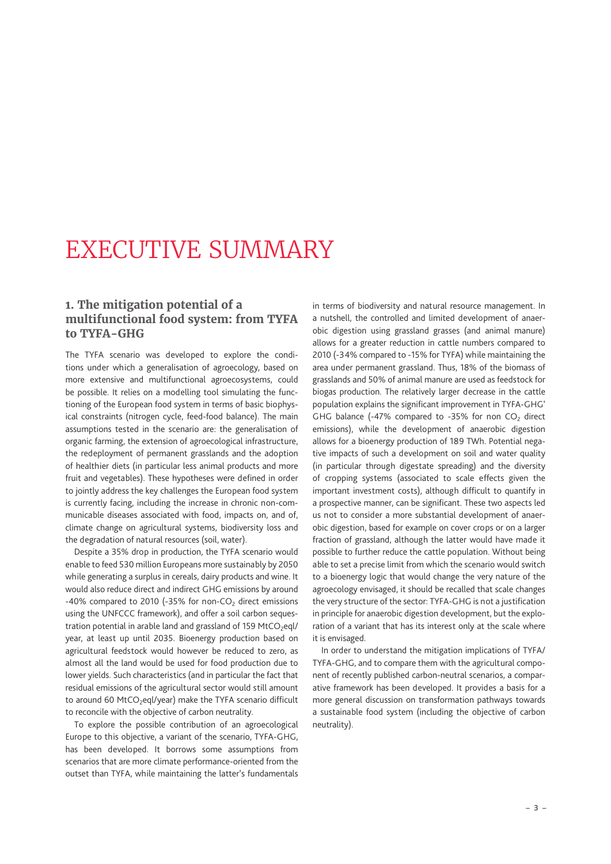# <span id="page-2-0"></span>EXECUTIVE SUMMARY

## **1. The mitigation potential of a multifunctional food system: from TYFA to TYFA-GHG**

The TYFA scenario was developed to explore the conditions under which a generalisation of agroecology, based on more extensive and multifunctional agroecosystems, could be possible. It relies on a modelling tool simulating the functioning of the European food system in terms of basic biophysical constraints (nitrogen cycle, feed-food balance). The main assumptions tested in the scenario are: the generalisation of organic farming, the extension of agroecological infrastructure, the redeployment of permanent grasslands and the adoption of healthier diets (in particular less animal products and more fruit and vegetables). These hypotheses were defined in order to jointly address the key challenges the European food system is currently facing, including the increase in chronic non-communicable diseases associated with food, impacts on, and of, climate change on agricultural systems, biodiversity loss and the degradation of natural resources (soil, water).

Despite a 35% drop in production, the TYFA scenario would enable to feed 530 million Europeans more sustainably by 2050 while generating a surplus in cereals, dairy products and wine. It would also reduce direct and indirect GHG emissions by around -40% compared to 2010 (-35% for non-CO<sub>2</sub> direct emissions using the UNFCCC framework), and offer a soil carbon sequestration potential in arable land and grassland of 159 MtCO<sub>2</sub>eql/ year, at least up until 2035. Bioenergy production based on agricultural feedstock would however be reduced to zero, as almost all the land would be used for food production due to lower yields. Such characteristics (and in particular the fact that residual emissions of the agricultural sector would still amount to around 60 MtCO<sub>2</sub>eql/year) make the TYFA scenario difficult to reconcile with the objective of carbon neutrality.

To explore the possible contribution of an agroecological Europe to this objective, a variant of the scenario, TYFA-GHG, has been developed. It borrows some assumptions from scenarios that are more climate performance-oriented from the outset than TYFA, while maintaining the latter's fundamentals in terms of biodiversity and natural resource management. In a nutshell, the controlled and limited development of anaerobic digestion using grassland grasses (and animal manure) allows for a greater reduction in cattle numbers compared to 2010 (-34% compared to -15% for TYFA) while maintaining the area under permanent grassland. Thus, 18% of the biomass of grasslands and 50% of animal manure are used as feedstock for biogas production. The relatively larger decrease in the cattle population explains the significant improvement in TYFA-GHG' GHG balance (-47% compared to -35% for non  $CO<sub>2</sub>$  direct emissions), while the development of anaerobic digestion allows for a bioenergy production of 189 TWh. Potential negative impacts of such a development on soil and water quality (in particular through digestate spreading) and the diversity of cropping systems (associated to scale effects given the important investment costs), although difficult to quantify in a prospective manner, can be significant. These two aspects led us not to consider a more substantial development of anaerobic digestion, based for example on cover crops or on a larger fraction of grassland, although the latter would have made it possible to further reduce the cattle population. Without being able to set a precise limit from which the scenario would switch to a bioenergy logic that would change the very nature of the agroecology envisaged, it should be recalled that scale changes the very structure of the sector: TYFA-GHG is not a justification in principle for anaerobic digestion development, but the exploration of a variant that has its interest only at the scale where it is envisaged.

In order to understand the mitigation implications of TYFA/ TYFA-GHG, and to compare them with the agricultural component of recently published carbon-neutral scenarios, a comparative framework has been developed. It provides a basis for a more general discussion on transformation pathways towards a sustainable food system (including the objective of carbon neutrality).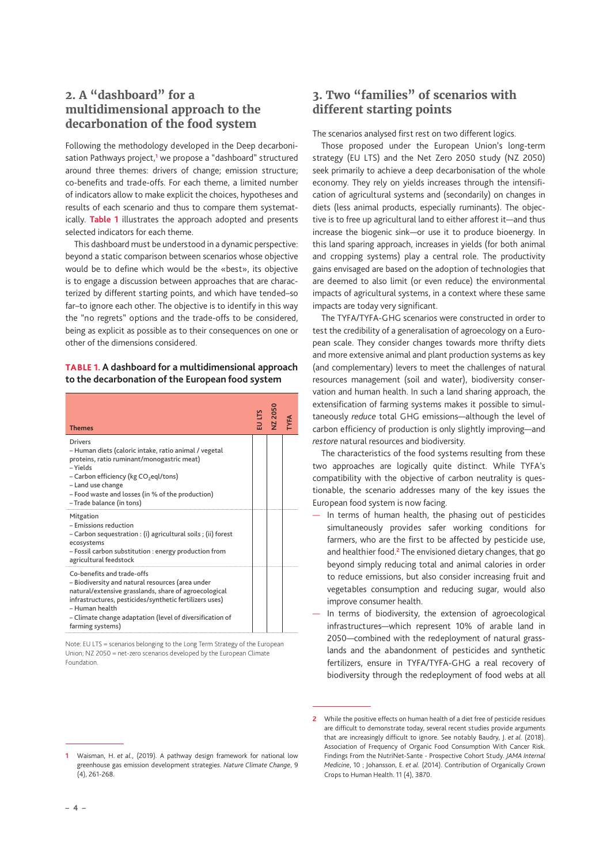# **2. A "dashboard" for a multidimensional approach to the decarbonation of the food system**

Following the methodology developed in the Deep decarbonisation Pathways project,**<sup>1</sup>** we propose a "dashboard" structured around three themes: drivers of change; emission structure; co-benefits and trade-offs. For each theme, a limited number of indicators allow to make explicit the choices, hypotheses and results of each scenario and thus to compare them systematically. **Table 1** illustrates the approach adopted and presents selected indicators for each theme.

This dashboard must be understood in a dynamic perspective: beyond a static comparison between scenarios whose objective would be to define which would be the «best», its objective is to engage a discussion between approaches that are characterized by different starting points, and which have tended–so far–to ignore each other. The objective is to identify in this way the "no regrets" options and the trade-offs to be considered, being as explicit as possible as to their consequences on one or other of the dimensions considered.

### **TABLE 1. A dashboard for a multidimensional approach to the decarbonation of the European food system**

| <b>Themes</b>                                                                                                                                                                                                                                                                                        | EU LTS<br>NZ 2050 |  |
|------------------------------------------------------------------------------------------------------------------------------------------------------------------------------------------------------------------------------------------------------------------------------------------------------|-------------------|--|
| Drivers<br>- Human diets (caloric intake, ratio animal / vegetal<br>proteins, ratio ruminant/monogastric meat)<br>$-$ Yields<br>- Carbon efficiency (kg CO <sub>2</sub> eql/tons)<br>- Land use change<br>- Food waste and losses (in % of the production)<br>-Trade balance (in tons)               |                   |  |
| Mitgation<br>- Emissions reduction<br>- Carbon sequestration : (i) agricultural soils ; (ii) forest<br>ecosystems<br>- Fossil carbon substitution : energy production from<br>agricultural feedstock                                                                                                 |                   |  |
| Co-benefits and trade-offs<br>- Biodiversity and natural resources (area under<br>natural/extensive grasslands, share of agroecological<br>infrastructures, pesticides/synthetic fertilizers uses)<br>- Human health<br>- Climate change adaptation (level of diversification of<br>farming systems) |                   |  |

Note: EU LTS = scenarios belonging to the Long Term Strategy of the European Union; NZ 2050 = net-zero scenarios developed by the European Climate Foundation.

# **3. Two "families" of scenarios with different starting points**

The scenarios analysed first rest on two different logics.

Those proposed under the European Union's long-term strategy (EU LTS) and the Net Zero 2050 study (NZ 2050) seek primarily to achieve a deep decarbonisation of the whole economy. They rely on yields increases through the intensification of agricultural systems and (secondarily) on changes in diets (less animal products, especially ruminants). The objective is to free up agricultural land to either afforest it—and thus increase the biogenic sink—or use it to produce bioenergy. In this land sparing approach, increases in yields (for both animal and cropping systems) play a central role. The productivity gains envisaged are based on the adoption of technologies that are deemed to also limit (or even reduce) the environmental impacts of agricultural systems, in a context where these same impacts are today very significant.

The TYFA/TYFA-GHG scenarios were constructed in order to test the credibility of a generalisation of agroecology on a European scale. They consider changes towards more thrifty diets and more extensive animal and plant production systems as key (and complementary) levers to meet the challenges of natural resources management (soil and water), biodiversity conservation and human health. In such a land sharing approach, the extensification of farming systems makes it possible to simultaneously *reduce* total GHG emissions—although the level of carbon efficiency of production is only slightly improving—and *restore* natural resources and biodiversity.

The characteristics of the food systems resulting from these two approaches are logically quite distinct. While TYFA's compatibility with the objective of carbon neutrality is questionable, the scenario addresses many of the key issues the European food system is now facing.

- In terms of human health, the phasing out of pesticides simultaneously provides safer working conditions for farmers, who are the first to be affected by pesticide use, and healthier food.**<sup>2</sup>** The envisioned dietary changes, that go beyond simply reducing total and animal calories in order to reduce emissions, but also consider increasing fruit and vegetables consumption and reducing sugar, would also improve consumer health.
- In terms of biodiversity, the extension of agroecological infrastructures—which represent 10% of arable land in 2050—combined with the redeployment of natural grasslands and the abandonment of pesticides and synthetic fertilizers, ensure in TYFA/TYFA-GHG a real recovery of biodiversity through the redeployment of food webs at all

**<sup>2</sup>** While the positive effects on human health of a diet free of pesticide residues are difficult to demonstrate today, several recent studies provide arguments that are increasingly difficult to ignore. See notably Baudry, J. *et al.* (2018). Association of Frequency of Organic Food Consumption With Cancer Risk. Findings From the NutriNet-Sante - Prospective Cohort Study. *JAMA Internal Medicine*, 10 ; Johansson, E. *et al.* (2014). Contribution of Organically Grown Crops to Human Health. 11 (4), 3870.

**<sup>1</sup>** Waisman, H. *et al.*, (2019). A pathway design framework for national low greenhouse gas emission development strategies. *Nature Climate Change*, 9 (4), 261-268.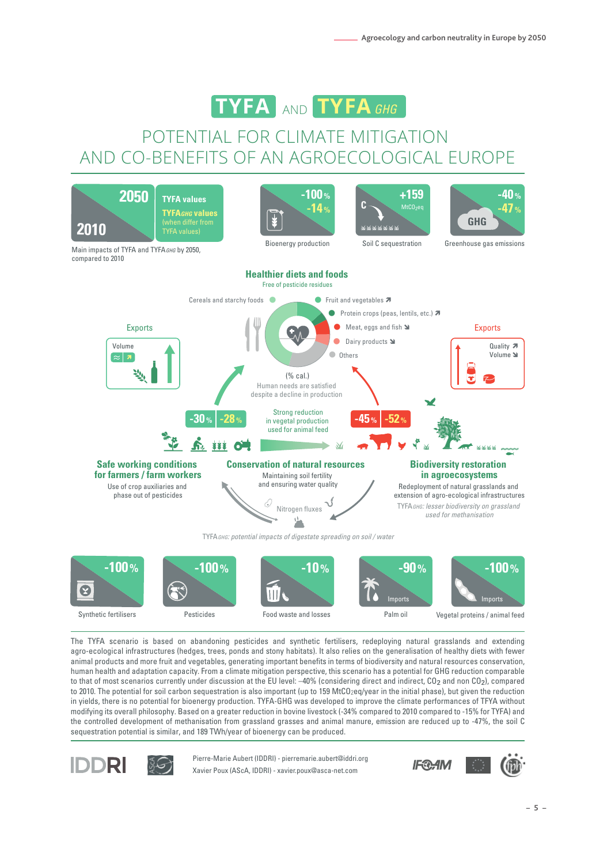

# POTENTIAL FOR CLIMATE MITIGATION AND CO-BENEFITS OF AN AGROECOLOGICAL EUROPE



Synthetic fertilisers



Food waste and losses Palm oil

Vegetal proteins / animal feed

The TYFA scenario is based on abandoning pesticides and synthetic fertilisers, redeploying natural grasslands and extending agro-ecological infrastructures (hedges, trees, ponds and stony habitats). It also relies on the generalisation of healthy diets with fewer animal products and more fruit and vegetables, generating important benefits in terms of biodiversity and natural resources conservation, human health and adaptation capacity. From a climate mitigation perspective, this scenario has a potential for GHG reduction comparable to that of most scenarios currently under discussion at the EU level: –40% (considering direct and indirect, CO<sub>2</sub> and non CO<sub>2</sub>), compared to 2010. The potential for soil carbon sequestration is also important (up to 159 MtCO<sub>2</sub>eq/year in the initial phase), but given the reduction in yields, there is no potential for bioenergy production. TYFA-GHG was developed to improve the climate performances of TFYA without modifying its overall philosophy. Based on a greater reduction in bovine livestock (-34% compared to 2010 compared to -15% for TYFA) and the controlled development of methanisation from grassland grasses and animal manure, emission are reduced up to -47%, the soil C sequestration potential is similar, and 189 TWh/year of bioenergy can be produced.



Xavier Poux (AScA, IDDRI) - xavier.poux@asca-net.com Pierre-Marie Aubert (IDDRI) - pierremarie.aubert@iddri.org

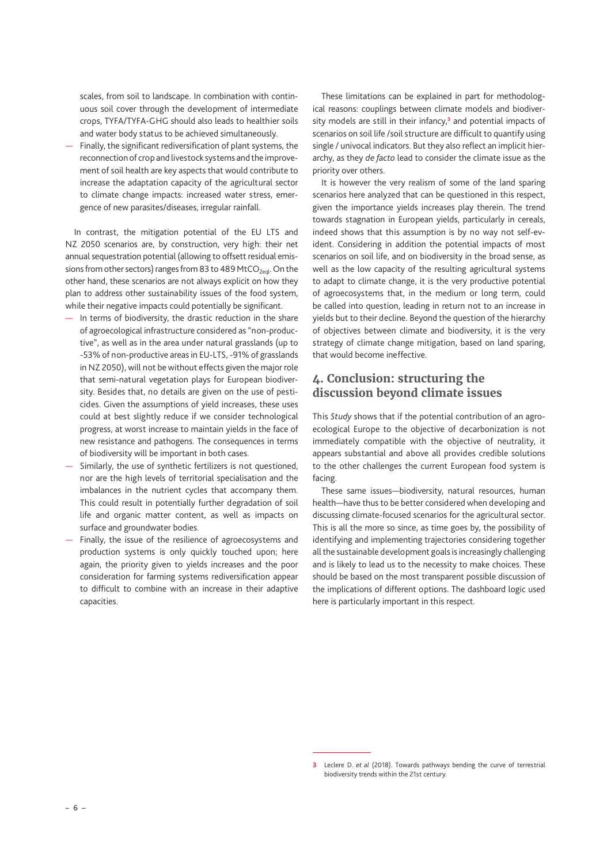scales, from soil to landscape. In combination with continuous soil cover through the development of intermediate crops, TYFA/TYFA-GHG should also leads to healthier soils and water body status to be achieved simultaneously.

— Finally, the significant rediversification of plant systems, the reconnection of crop and livestock systems and the improvement of soil health are key aspects that would contribute to increase the adaptation capacity of the agricultural sector to climate change impacts: increased water stress, emergence of new parasites/diseases, irregular rainfall.

In contrast, the mitigation potential of the EU LTS and NZ 2050 scenarios are, by construction, very high: their net annual sequestration potential (allowing to offsett residual emissions from other sectors) ranges from 83 to 489 MtCO<sub>2eql</sub>. On the other hand, these scenarios are not always explicit on how they plan to address other sustainability issues of the food system, while their negative impacts could potentially be significant.

- In terms of biodiversity, the drastic reduction in the share of agroecological infrastructure considered as "non-productive", as well as in the area under natural grasslands (up to -53% of non-productive areas in EU-LTS, -91% of grasslands in NZ 2050), will not be without effects given the major role that semi-natural vegetation plays for European biodiversity. Besides that, no details are given on the use of pesticides. Given the assumptions of yield increases, these uses could at best slightly reduce if we consider technological progress, at worst increase to maintain yields in the face of new resistance and pathogens. The consequences in terms of biodiversity will be important in both cases.
- Similarly, the use of synthetic fertilizers is not questioned, nor are the high levels of territorial specialisation and the imbalances in the nutrient cycles that accompany them. This could result in potentially further degradation of soil life and organic matter content, as well as impacts on surface and groundwater bodies.
- Finally, the issue of the resilience of agroecosystems and production systems is only quickly touched upon; here again, the priority given to yields increases and the poor consideration for farming systems rediversification appear to difficult to combine with an increase in their adaptive capacities.

These limitations can be explained in part for methodological reasons: couplings between climate models and biodiversity models are still in their infancy,**<sup>3</sup>** and potential impacts of scenarios on soil life /soil structure are difficult to quantify using single / univocal indicators. But they also reflect an implicit hierarchy, as they *de facto* lead to consider the climate issue as the priority over others.

It is however the very realism of some of the land sparing scenarios here analyzed that can be questioned in this respect, given the importance yields increases play therein. The trend towards stagnation in European yields, particularly in cereals, indeed shows that this assumption is by no way not self-evident. Considering in addition the potential impacts of most scenarios on soil life, and on biodiversity in the broad sense, as well as the low capacity of the resulting agricultural systems to adapt to climate change, it is the very productive potential of agroecosystems that, in the medium or long term, could be called into question, leading in return not to an increase in yields but to their decline. Beyond the question of the hierarchy of objectives between climate and biodiversity, it is the very strategy of climate change mitigation, based on land sparing, that would become ineffective.

## **4. Conclusion: structuring the discussion beyond climate issues**

This *Study* shows that if the potential contribution of an agroecological Europe to the objective of decarbonization is not immediately compatible with the objective of neutrality, it appears substantial and above all provides credible solutions to the other challenges the current European food system is facing.

These same issues—biodiversity, natural resources, human health—have thus to be better considered when developing and discussing climate-focused scenarios for the agricultural sector. This is all the more so since, as time goes by, the possibility of identifying and implementing trajectories considering together all the sustainable development goals is increasingly challenging and is likely to lead us to the necessity to make choices. These should be based on the most transparent possible discussion of the implications of different options. The dashboard logic used here is particularly important in this respect.

**<sup>3</sup>** Leclere D. *et al* (2018). Towards pathways bending the curve of terrestrial biodiversity trends within the 21st century.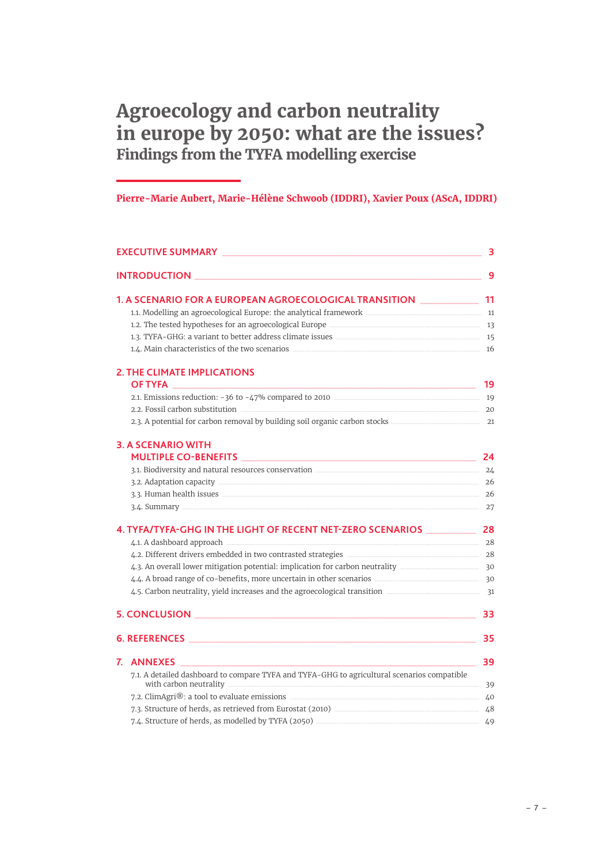# Agroecology and carbon neutrality in europe by 2050: what are the issues? Findings from the TYFA modelling exercise

# Pierre-Marie Aubert, Marie-Hélène Schwoob (IDDRI), Xavier Poux (AScA, IDDRI)

| EXECUTIVE SUMMARY <b>Example 2018</b> The Contract of the Contract of the Contract of Text Contract of the Contract of Text Contract of Text Contract of Text Contract of Text Contract of Text Contract of Text Contract of Text C  | 3  |
|--------------------------------------------------------------------------------------------------------------------------------------------------------------------------------------------------------------------------------------|----|
|                                                                                                                                                                                                                                      | -9 |
| 11 12 12 12 13 14 15 16 17 18 17 18 18 19 18 19 18 19 18 19 18 19 18 19 18 19 18 19 19 19 19 19 19 1                                                                                                                                 |    |
| 11. Modelling an agroecological Europe: the analytical framework <b>Europe 11</b> 11. Modelling an agroecological Europe: the analytical framework                                                                                   |    |
|                                                                                                                                                                                                                                      |    |
| 15 1.3. TYFA-GHG: a variant to better address climate issues <b>manually contained as a strategy of the strategy of the strategy of the strategy of the strategy of the strategy of the strategy of the strategy of the strategy</b> |    |
| 1.4. Main characteristics of the two scenarios <u>manual control and the set</u> of the two scenarios manual control and the set of the two scenarios manual control and the set of the two scenarios manual control and the set of  |    |
| <b>2. THE CLIMATE IMPLICATIONS</b>                                                                                                                                                                                                   |    |
|                                                                                                                                                                                                                                      |    |
| 2.2. Fossil carbon substitution 20                                                                                                                                                                                                   |    |
|                                                                                                                                                                                                                                      |    |
| <b>3. A SCENARIO WITH</b>                                                                                                                                                                                                            |    |
|                                                                                                                                                                                                                                      |    |
| 3.1. Biodiversity and natural resources conservation <b>CONFIDENT</b> 24                                                                                                                                                             |    |
|                                                                                                                                                                                                                                      |    |
|                                                                                                                                                                                                                                      |    |
| 3.4. Summary 27                                                                                                                                                                                                                      |    |
| 4. TYFA/TYFA-GHG IN THE LIGHT OF RECENT NET-ZERO SCENARIOS ______________ 28                                                                                                                                                         |    |
| 4.1. A dashboard approach 28                                                                                                                                                                                                         |    |
| 4.2. Different drivers embedded in two contrasted strategies <b>CONFIDENT</b> 28                                                                                                                                                     |    |
| 4.3. An overall lower mitigation potential: implication for carbon neutrality <b>members</b> 30                                                                                                                                      |    |
| 4.4. A broad range of co-benefits, more uncertain in other scenarios <b>ACCONTEGAL CONSTRANT CONTECT</b> 30                                                                                                                          |    |
| 4.5. Carbon neutrality, yield increases and the agroecological transition <b>manual constructs</b> 31                                                                                                                                |    |
|                                                                                                                                                                                                                                      | 33 |
| 6. REFERENCES AND RESIDENCES AND RESIDENCE OF A STRUCK AND RESIDENCE OF A STRUCK OF A STRUCK OF A STRUCK OF A STRUCK OF A STRUCK OF A STRUCK OF A STRUCK OF A STRUCK OF A STRUCK OF A STRUCK OF A STRUCK OF A STRUCK OF A STRU       | 35 |
| 7. ANNEXES<br>$\mathcal{L}$                                                                                                                                                                                                          | 39 |
| 7.1. A detailed dashboard to compare TYFA and TYFA-GHG to agricultural scenarios compatible                                                                                                                                          |    |
| 7.2. ClimAgri®: a tool to evaluate emissions <b>manufactures</b> and the set of 40                                                                                                                                                   |    |
| 7.3. Structure of herds, as retrieved from Eurostat (2010) <b>Markon</b> European Markov 48                                                                                                                                          |    |
|                                                                                                                                                                                                                                      |    |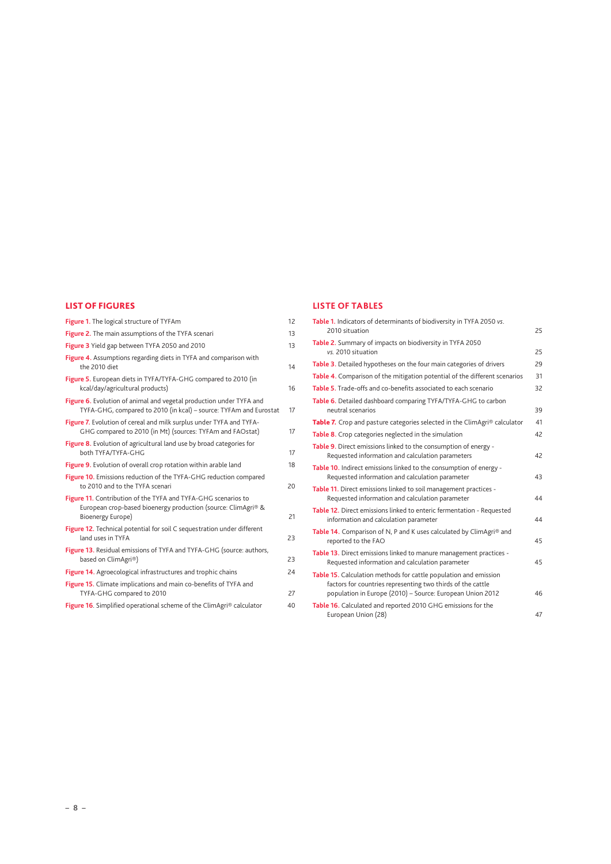### LIST OF FIGURES

| Figure 1. The logical structure of TYFAm                                                                                                            | 12 |
|-----------------------------------------------------------------------------------------------------------------------------------------------------|----|
| Figure 2. The main assumptions of the TYFA scenari                                                                                                  | 13 |
| Figure 3 Yield gap between TYFA 2050 and 2010                                                                                                       | 13 |
| Figure 4. Assumptions regarding diets in TYFA and comparison with<br>the 2010 diet                                                                  | 14 |
| Figure 5. European diets in TYFA/TYFA-GHG compared to 2010 (in<br>kcal/day/agricultural products)                                                   | 16 |
| Figure 6. Evolution of animal and vegetal production under TYFA and<br>TYFA-GHG, compared to 2010 (in kcal) - source: TYFAm and Eurostat            | 17 |
| Figure 7. Evolution of cereal and milk surplus under TYFA and TYFA-<br>GHG compared to 2010 (in Mt) (sources: TYFAm and FAOstat)                    | 17 |
| Figure 8. Evolution of agricultural land use by broad categories for<br>both TYFA/TYFA-GHG                                                          | 17 |
| Figure 9. Evolution of overall crop rotation within arable land                                                                                     | 18 |
| Figure 10. Emissions reduction of the TYFA-GHG reduction compared<br>to 2010 and to the TYFA scenari                                                | 20 |
| Figure 11. Contribution of the TYFA and TYFA-GHG scenarios to<br>European crop-based bioenergy production (source: ClimAgri® &<br>Bioenergy Europe) | 21 |
| Figure 12. Technical potential for soil C sequestration under different<br>land uses in TYFA                                                        | 23 |
| Figure 13. Residual emissions of TYFA and TYFA-GHG (source: authors,<br>based on ClimAgri®)                                                         | 23 |
| Figure 14. Agroecological infrastructures and trophic chains                                                                                        | 24 |
| Figure 15. Climate implications and main co-benefits of TYFA and<br>TYFA-GHG compared to 2010                                                       | 27 |
| Figure 16. Simplified operational scheme of the ClimAgri® calculator                                                                                | 40 |

### **LISTE OF TABLES**

| Table 1. Indicators of determinants of biodiversity in TYFA 2050 vs.<br>2010 situation                                                                                                       | 25 |
|----------------------------------------------------------------------------------------------------------------------------------------------------------------------------------------------|----|
| Table 2. Summary of impacts on biodiversity in TYFA 2050<br>vs. 2010 situation                                                                                                               | 25 |
| Table 3. Detailed hypotheses on the four main categories of drivers                                                                                                                          | 29 |
| Table 4. Comparison of the mitigation potential of the different scenarios                                                                                                                   | 31 |
| Table 5. Trade-offs and co-benefits associated to each scenario                                                                                                                              | 32 |
| Table 6. Detailed dashboard comparing TYFA/TYFA-GHG to carbon<br>neutral scenarios                                                                                                           | 39 |
| Table 7. Crop and pasture categories selected in the ClimAgri® calculator                                                                                                                    | 41 |
| Table 8. Crop categories neglected in the simulation                                                                                                                                         | 42 |
| Table 9. Direct emissions linked to the consumption of energy -<br>Requested information and calculation parameters                                                                          | 42 |
| Table 10. Indirect emissions linked to the consumption of energy -<br>Requested information and calculation parameter                                                                        | 43 |
| Table 11. Direct emissions linked to soil management practices -<br>Requested information and calculation parameter                                                                          | 44 |
| Table 12. Direct emissions linked to enteric fermentation - Requested<br>information and calculation parameter                                                                               | 44 |
| Table 14. Comparison of N, P and K uses calculated by ClimAgri® and<br>reported to the FAO                                                                                                   | 45 |
| Table 13. Direct emissions linked to manure management practices -<br>Requested information and calculation parameter                                                                        | 45 |
| Table 15. Calculation methods for cattle population and emission<br>factors for countries representing two thirds of the cattle<br>population in Europe (2010) - Source: European Union 2012 | 46 |
| Table 16. Calculated and reported 2010 GHG emissions for the<br>European Union (28)                                                                                                          | 47 |
|                                                                                                                                                                                              |    |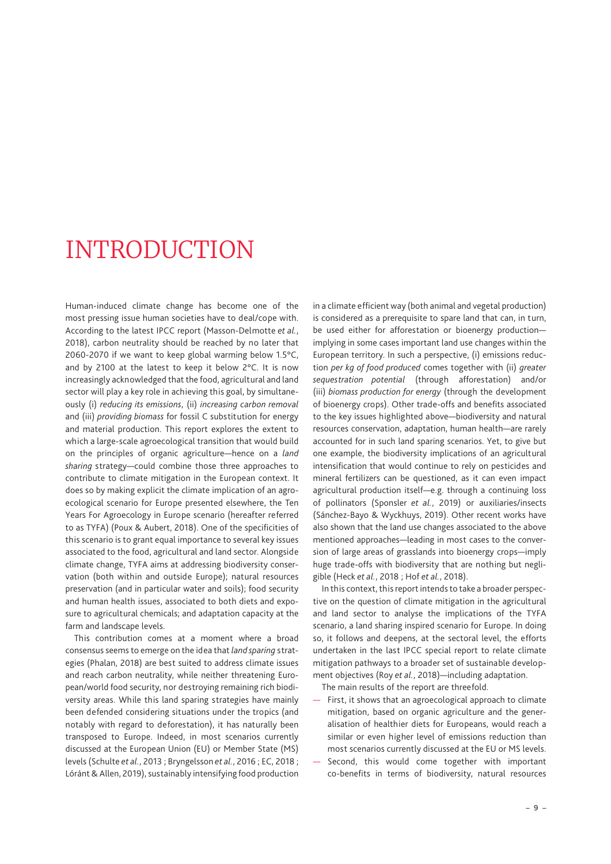# <span id="page-8-0"></span>INTRODUCTION

Human-induced climate change has become one of the most pressing issue human societies have to deal/cope with. According to the latest IPCC report (Masson-Delmotte *et al.*, 2018), carbon neutrality should be reached by no later that 2060-2070 if we want to keep global warming below 1.5°C, and by 2100 at the latest to keep it below 2°C. It is now increasingly acknowledged that the food, agricultural and land sector will play a key role in achieving this goal, by simultaneously (i) *reducing its emissions*, (ii) *increasing carbon removal* and (iii) *providing biomass* for fossil C substitution for energy and material production. This report explores the extent to which a large-scale agroecological transition that would build on the principles of organic agriculture—hence on a *land sharing* strategy—could combine those three approaches to contribute to climate mitigation in the European context. It does so by making explicit the climate implication of an agroecological scenario for Europe presented elsewhere, the Ten Years For Agroecology in Europe scenario (hereafter referred to as TYFA) (Poux & Aubert, 2018). One of the specificities of this scenario is to grant equal importance to several key issues associated to the food, agricultural and land sector. Alongside climate change, TYFA aims at addressing biodiversity conservation (both within and outside Europe); natural resources preservation (and in particular water and soils); food security and human health issues, associated to both diets and exposure to agricultural chemicals; and adaptation capacity at the farm and landscape levels.

This contribution comes at a moment where a broad consensus seems to emerge on the idea that *land sparing* strategies (Phalan, 2018) are best suited to address climate issues and reach carbon neutrality, while neither threatening European/world food security, nor destroying remaining rich biodiversity areas. While this land sparing strategies have mainly been defended considering situations under the tropics (and notably with regard to deforestation), it has naturally been transposed to Europe. Indeed, in most scenarios currently discussed at the European Union (EU) or Member State (MS) levels (Schulte *et al.*, 2013 ; Bryngelsson *et al.*, 2016 ; EC, 2018 ; Lóránt & Allen, 2019), sustainably intensifying food production in a climate efficient way (both animal and vegetal production) is considered as a prerequisite to spare land that can, in turn, be used either for afforestation or bioenergy production implying in some cases important land use changes within the European territory. In such a perspective, (i) emissions reduction *per kg of food produced* comes together with (ii) *greater sequestration potential* (through afforestation) and/or (iii) *biomass production for energy* (through the development of bioenergy crops). Other trade-offs and benefits associated to the key issues highlighted above—biodiversity and natural resources conservation, adaptation, human health—are rarely accounted for in such land sparing scenarios. Yet, to give but one example, the biodiversity implications of an agricultural intensification that would continue to rely on pesticides and mineral fertilizers can be questioned, as it can even impact agricultural production itself—e.g. through a continuing loss of pollinators (Sponsler *et al.*, 2019) or auxiliaries/insects (Sánchez-Bayo & Wyckhuys, 2019). Other recent works have also shown that the land use changes associated to the above mentioned approaches—leading in most cases to the conversion of large areas of grasslands into bioenergy crops—imply huge trade-offs with biodiversity that are nothing but negligible (Heck *et al.*, 2018 ; Hof *et al.*, 2018).

In this context, this report intends to take a broader perspective on the question of climate mitigation in the agricultural and land sector to analyse the implications of the TYFA scenario, a land sharing inspired scenario for Europe. In doing so, it follows and deepens, at the sectoral level, the efforts undertaken in the last IPCC special report to relate climate mitigation pathways to a broader set of sustainable development objectives (Roy *et al.*, 2018)—including adaptation.

The main results of the report are threefold.

- First, it shows that an agroecological approach to climate mitigation, based on organic agriculture and the generalisation of healthier diets for Europeans, would reach a similar or even higher level of emissions reduction than most scenarios currently discussed at the EU or MS levels.
- Second, this would come together with important co-benefits in terms of biodiversity, natural resources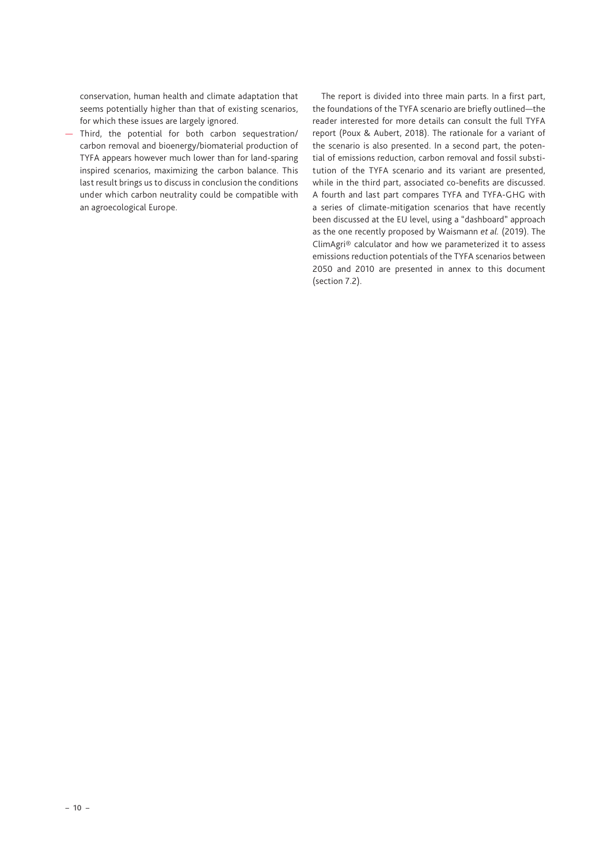conservation, human health and climate adaptation that seems potentially higher than that of existing scenarios, for which these issues are largely ignored.

— Third, the potential for both carbon sequestration/ carbon removal and bioenergy/biomaterial production of TYFA appears however much lower than for land-sparing inspired scenarios, maximizing the carbon balance. This last result brings us to discuss in conclusion the conditions under which carbon neutrality could be compatible with an agroecological Europe.

The report is divided into three main parts. In a first part, the foundations of the TYFA scenario are briefly outlined—the reader interested for more details can consult the full TYFA report (Poux & Aubert, 2018). The rationale for a variant of the scenario is also presented. In a second part, the potential of emissions reduction, carbon removal and fossil substitution of the TYFA scenario and its variant are presented, while in the third part, associated co-benefits are discussed. A fourth and last part compares TYFA and TYFA-GHG with a series of climate-mitigation scenarios that have recently been discussed at the EU level, using a "dashboard" approach as the one recently proposed by Waismann *et al.* (2019). The ClimAgri® calculator and how we parameterized it to assess emissions reduction potentials of the TYFA scenarios between 2050 and 2010 are presented in annex to this document (section 7.2).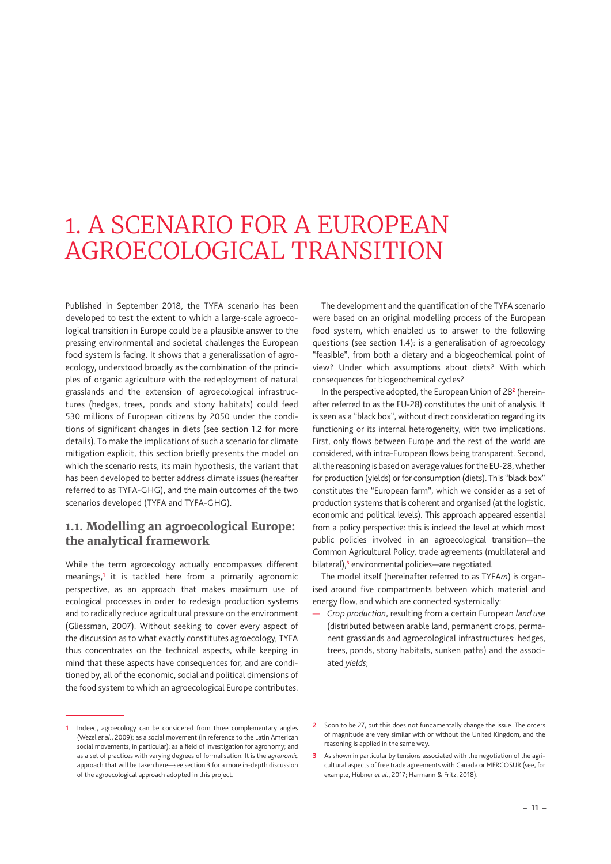# <span id="page-10-0"></span>1. A SCENARIO FOR A EUROPEAN AGROECOLOGICAL TRANSITION

Published in September 2018, the TYFA scenario has been developed to test the extent to which a large-scale agroecological transition in Europe could be a plausible answer to the pressing environmental and societal challenges the European food system is facing. It shows that a generalissation of agroecology, understood broadly as the combination of the principles of organic agriculture with the redeployment of natural grasslands and the extension of agroecological infrastructures (hedges, trees, ponds and stony habitats) could feed 530 millions of European citizens by 2050 under the conditions of significant changes in diets (see section [1.2](#page-11-0) for more details). To make the implications of such a scenario for climate mitigation explicit, this section briefly presents the model on which the scenario rests, its main hypothesis, the variant that has been developed to better address climate issues (hereafter referred to as TYFA-GHG), and the main outcomes of the two scenarios developed (TYFA and TYFA-GHG).

## **1.1. Modelling an agroecological Europe: the analytical framework**

While the term agroecology actually encompasses different meanings,**<sup>1</sup>** it is tackled here from a primarily agronomic perspective, as an approach that makes maximum use of ecological processes in order to redesign production systems and to radically reduce agricultural pressure on the environment (Gliessman, 2007). Without seeking to cover every aspect of the discussion as to what exactly constitutes agroecology, TYFA thus concentrates on the technical aspects, while keeping in mind that these aspects have consequences for, and are conditioned by, all of the economic, social and political dimensions of the food system to which an agroecological Europe contributes.

The development and the quantification of the TYFA scenario were based on an original modelling process of the European food system, which enabled us to answer to the following questions (see section [1.4\)](#page-15-1): is a generalisation of agroecology "feasible", from both a dietary and a biogeochemical point of view? Under which assumptions about diets? With which consequences for biogeochemical cycles?

In the perspective adopted, the European Union of 28**<sup>2</sup>** (hereinafter referred to as the EU-28) constitutes the unit of analysis. It is seen as a "black box", without direct consideration regarding its functioning or its internal heterogeneity, with two implications. First, only flows between Europe and the rest of the world are considered, with intra-European flows being transparent. Second, all the reasoning is based on average values for the EU-28, whether for production (yields) or for consumption (diets). This "black box" constitutes the "European farm", which we consider as a set of production systems that is coherent and organised (at the logistic, economic and political levels). This approach appeared essential from a policy perspective: this is indeed the level at which most public policies involved in an agroecological transition—the Common Agricultural Policy, trade agreements (multilateral and bilateral),**<sup>3</sup>** environmental policies—are negotiated.

The model itself (hereinafter referred to as TYFA*m*) is organised around five compartments between which material and energy flow, and which are connected systemically:

— *Crop production*, resulting from a certain European *land use* (distributed between arable land, permanent crops, permanent grasslands and agroecological infrastructures: hedges, trees, ponds, stony habitats, sunken paths) and the associated *yields*;

**<sup>1</sup>** Indeed, agroecology can be considered from three complementary angles (Wezel *et al.*, 2009): as a social movement (in reference to the Latin American social movements, in particular); as a field of investigation for agronomy; and as a set of practices with varying degrees of formalisation. It is the *agronomic* approach that will be taken here—see section 3 for a more in-depth discussion of the agroecological approach adopted in this project.

**<sup>2</sup>** Soon to be 27, but this does not fundamentally change the issue. The orders of magnitude are very similar with or without the United Kingdom, and the reasoning is applied in the same way.

**<sup>3</sup>** As shown in particular by tensions associated with the negotiation of the agricultural aspects of free trade agreements with Canada or MERCOSUR (see, for example, Hübner *et al.*, 2017; Harmann & Fritz, 2018).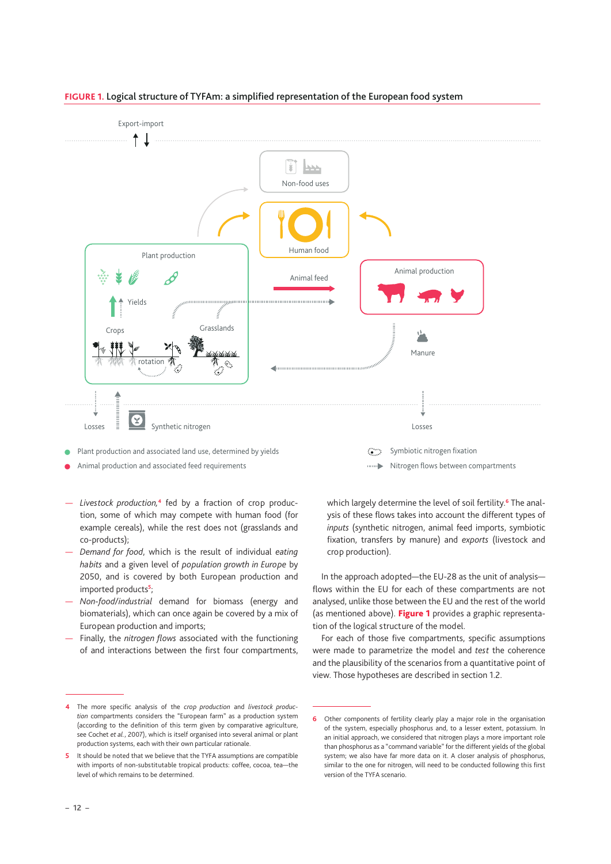

### **FIGURE 1.** Logical structure of TYFAm: a simplified representation of the European food system

- Animal production and associated feed requirements Nitrogen flows between compartments  $\bullet$
- *Livestock production,***4** fed by a fraction of crop production, some of which may compete with human food (for example cereals), while the rest does not (grasslands and co-products);
- *Demand for food*, which is the result of individual *eating habits* and a given level of *population growth in Europe* by 2050, and is covered by both European production and imported products**<sup>5</sup>** ;
- *Non-food/industrial* demand for biomass (energy and biomaterials), which can once again be covered by a mix of European production and imports;
- Finally, the *nitrogen flows* associated with the functioning of and interactions between the first four compartments,

which largely determine the level of soil fertility.**<sup>6</sup>** The analysis of these flows takes into account the different types of *inputs* (synthetic nitrogen, animal feed imports, symbiotic fixation, transfers by manure) and *exports* (livestock and crop production).

In the approach adopted—the EU-28 as the unit of analysis flows within the EU for each of these compartments are not analysed, unlike those between the EU and the rest of the world (as mentioned above). [Figure 1](#page-11-1) provides a graphic representation of the logical structure of the model.

<span id="page-11-1"></span><span id="page-11-0"></span>For each of those five compartments, specific assumptions were made to parametrize the model and *test* the coherence and the plausibility of the scenarios from a quantitative point of view. Those hypotheses are described in section [1.2](#page-11-0).

**<sup>4</sup>** The more specific analysis of the *crop production* and *livestock production* compartments considers the "European farm" as a production system (according to the definition of this term given by comparative agriculture, see Cochet *et al.*, 2007), which is itself organised into several animal or plant production systems, each with their own particular rationale.

**<sup>5</sup>** It should be noted that we believe that the TYFA assumptions are compatible with imports of non-substitutable tropical products: coffee, cocoa, tea—the level of which remains to be determined.

**<sup>6</sup>** Other components of fertility clearly play a major role in the organisation of the system, especially phosphorus and, to a lesser extent, potassium. In an initial approach, we considered that nitrogen plays a more important role than phosphorus as a "command variable" for the different yields of the global system; we also have far more data on it. A closer analysis of phosphorus, similar to the one for nitrogen, will need to be conducted following this first version of the TYFA scenario.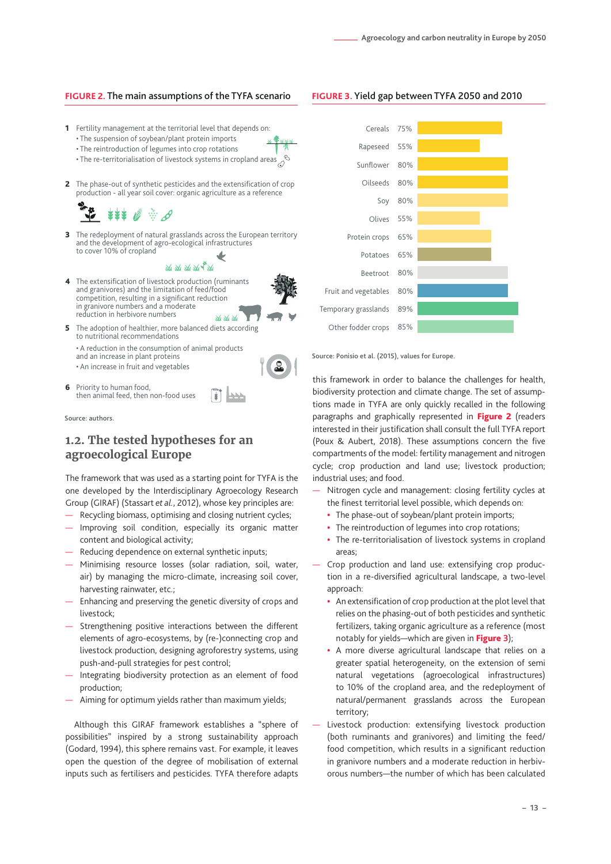#### <span id="page-12-0"></span>**FIGURE 2.** The main assumptions of the TYFA scenario

- **1** Fertility management at the territorial level that depends on:
	- The suspension of soybean/plant protein imports
	- The reintroduction of legumes into crop rotations • The re-territorialisation of livestock systems in cropland areas
	-
- **2** The phase-out of synthetic pesticides and the extensification of crop production - all year soil cover: organic agriculture as a reference

**3** The redeployment of natural grasslands across the European territory and the development of agro-ecological infrastructures to cover 10% of cropland

Mar Mar Mar Ma<sup>42</sup> Ma

- The extensification of livestock production (ruminants 4 and granivores) and the limitation of feed/food competition, resulting in a significant reduction in granivore numbers and a moderate reduction in herbivore numbers Me Me Me
- **5** The adoption of healthier, more balanced diets according to nutritional recommendations • A reduction in the consumption of animal products and an increase in plant proteins • An increase in fruit and vegetables
- **6** Priority to human food, then animal feed, then non-food uses

Source: authors.

## **1.2. The tested hypotheses for an agroecological Europe**

The framework that was used as a starting point for TYFA is the one developed by the Interdisciplinary Agroecology Research Group (GIRAF) (Stassart *et al.*, 2012), whose key principles are:

- Recycling biomass, optimising and closing nutrient cycles;
- Improving soil condition, especially its organic matter content and biological activity;
- Reducing dependence on external synthetic inputs;
- Minimising resource losses (solar radiation, soil, water, air) by managing the micro-climate, increasing soil cover, harvesting rainwater, etc.;
- Enhancing and preserving the genetic diversity of crops and livestock;
- Strengthening positive interactions between the different elements of agro-ecosystems, by (re-)connecting crop and livestock production, designing agroforestry systems, using push-and-pull strategies for pest control;
- Integrating biodiversity protection as an element of food production;
- Aiming for optimum yields rather than maximum yields;

Although this GIRAF framework establishes a "sphere of possibilities" inspired by a strong sustainability approach (Godard, 1994), this sphere remains vast. For example, it leaves open the question of the degree of mobilisation of external inputs such as fertilisers and pesticides. TYFA therefore adapts



Source: Ponisio et al. (2015), values for Europe.

this framework in order to balance the challenges for health, biodiversity protection and climate change. The set of assumptions made in TYFA are only quickly recalled in the following paragraphs and graphically represented in [Figure 2](#page-12-1) (readers interested in their justification shall consult the full TYFA report (Poux & Aubert, 2018). These assumptions concern the five compartments of the model: fertility management and nitrogen cycle; crop production and land use; livestock production; industrial uses; and food.

- <span id="page-12-1"></span>— Nitrogen cycle and management: closing fertility cycles at the finest territorial level possible, which depends on:
	- **•** The phase-out of soybean/plant protein imports;
	- **•** The reintroduction of legumes into crop rotations;
	- **•** The re-territorialisation of livestock systems in cropland areas;
- Crop production and land use: extensifying crop production in a re-diversified agricultural landscape, a two-level approach:
	- **•** An extensification of crop production at the plot level that relies on the phasing-out of both pesticides and synthetic fertilizers, taking organic agriculture as a reference (most notably for yields—which are given in Figure **3**);
	- **•** A more diverse agricultural landscape that relies on a greater spatial heterogeneity, on the extension of semi natural vegetations (agroecological infrastructures) to 10% of the cropland area, and the redeployment of natural/permanent grasslands across the European territory;
- Livestock production: extensifying livestock production (both ruminants and granivores) and limiting the feed/ food competition, which results in a significant reduction in granivore numbers and a moderate reduction in herbivorous numbers—the number of which has been calculated

#### **FIGURE 3.** Yield gap between TYFA 2050 and 2010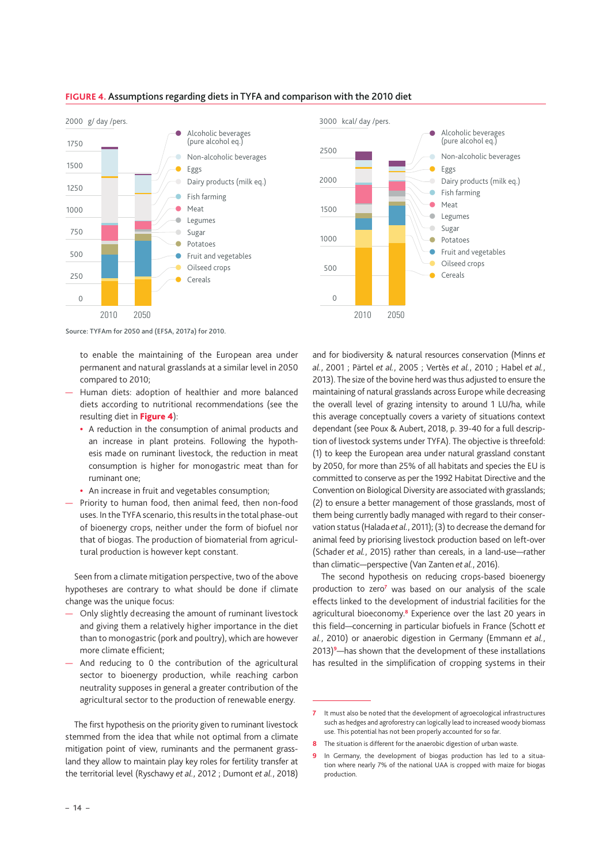

#### **FIGURE 4.** Assumptions regarding diets in TYFA and comparison with the 2010 diet



Source: TYFAm for 2050 and (EFSA, 2017a) for 2010.

to enable the maintaining of the European area under permanent and natural grasslands at a similar level in 2050 compared to 2010;

- Human diets: adoption of healthier and more balanced diets according to nutritional recommendations (see the resulting diet in [Figure 4](#page-13-0)):
	- **•** A reduction in the consumption of animal products and an increase in plant proteins. Following the hypothesis made on ruminant livestock, the reduction in meat consumption is higher for monogastric meat than for ruminant one;
	- **•** An increase in fruit and vegetables consumption;
- <span id="page-13-0"></span>— Priority to human food, then animal feed, then non-food uses. In the TYFA scenario, this results in the total phase-out of bioenergy crops, neither under the form of biofuel nor that of biogas. The production of biomaterial from agricultural production is however kept constant.

Seen from a climate mitigation perspective, two of the above hypotheses are contrary to what should be done if climate change was the unique focus:

- Only slightly decreasing the amount of ruminant livestock and giving them a relatively higher importance in the diet than to monogastric (pork and poultry), which are however more climate efficient;
- And reducing to 0 the contribution of the agricultural sector to bioenergy production, while reaching carbon neutrality supposes in general a greater contribution of the agricultural sector to the production of renewable energy.

The first hypothesis on the priority given to ruminant livestock stemmed from the idea that while not optimal from a climate mitigation point of view, ruminants and the permanent grassland they allow to maintain play key roles for fertility transfer at the territorial level (Ryschawy *et al.*, 2012 ; Dumont *et al.*, 2018)

and for biodiversity & natural resources conservation (Minns *et al.*, 2001 ; Pärtel *et al.*, 2005 ; Vertès *et al.*, 2010 ; Habel *et al.*, 2013). The size of the bovine herd was thus adjusted to ensure the maintaining of natural grasslands across Europe while decreasing the overall level of grazing intensity to around 1 LU/ha, while this average conceptually covers a variety of situations context dependant (see Poux & Aubert, 2018, p. 39-40 for a full description of livestock systems under TYFA). The objective is threefold: (1) to keep the European area under natural grassland constant by 2050, for more than 25% of all habitats and species the EU is committed to conserve as per the 1992 Habitat Directive and the Convention on Biological Diversity are associated with grasslands; (2) to ensure a better management of those grasslands, most of them being currently badly managed with regard to their conservation status (Halada et al., 2011); (3) to decrease the demand for animal feed by priorising livestock production based on left-over (Schader *et al.*, 2015) rather than cereals, in a land-use—rather than climatic—perspective (Van Zanten *et al.*, 2016).

The second hypothesis on reducing crops-based bioenergy production to zero<sup>7</sup> was based on our analysis of the scale effects linked to the development of industrial facilities for the agricultural bioeconomy.**<sup>8</sup>** Experience over the last 20 years in this field—concerning in particular biofuels in France (Schott *et al.*, 2010) or anaerobic digestion in Germany (Emmann *et al.*, 2013)**<sup>9</sup>** —has shown that the development of these installations has resulted in the simplification of cropping systems in their

**<sup>7</sup>** It must also be noted that the development of agroecological infrastructures such as hedges and agroforestry can logically lead to increased woody biomass use. This potential has not been properly accounted for so far.

**<sup>8</sup>** The situation is different for the anaerobic digestion of urban waste.

**<sup>9</sup>** In Germany, the development of biogas production has led to a situation where nearly 7% of the national UAA is cropped with maize for biogas production.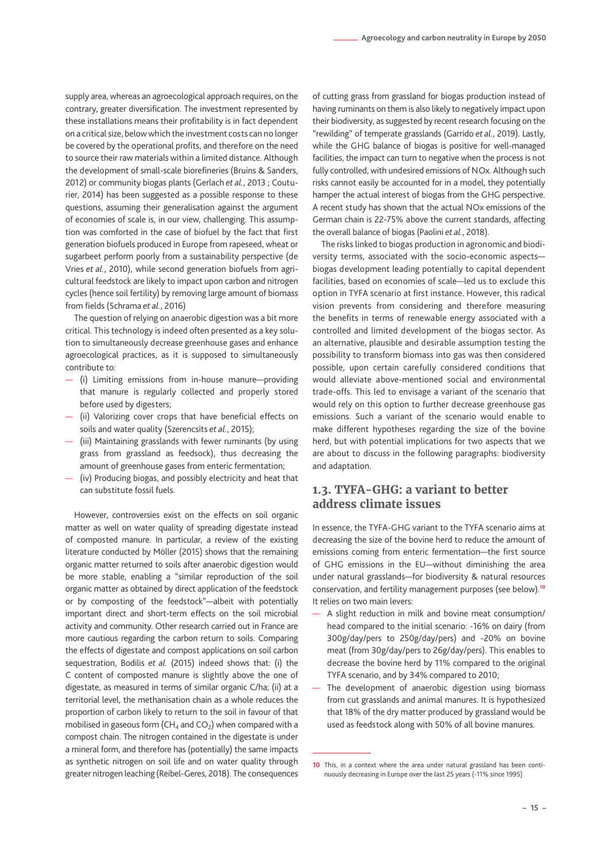<span id="page-14-0"></span>supply area, whereas an agroecological approach requires, on the contrary, greater diversification. The investment represented by these installations means their profitability is in fact dependent on a critical size, below which the investment costs can no longer be covered by the operational profits, and therefore on the need to source their raw materials within a limited distance. Although the development of small-scale biorefineries (Bruins & Sanders, 2012) or community biogas plants (Gerlach *et al.*, 2013 ; Couturier, 2014) has been suggested as a possible response to these questions, assuming their generalisation against the argument of economies of scale is, in our view, challenging. This assumption was comforted in the case of biofuel by the fact that first generation biofuels produced in Europe from rapeseed, wheat or sugarbeet perform poorly from a sustainability perspective (de Vries *et al.*, 2010), while second generation biofuels from agricultural feedstock are likely to impact upon carbon and nitrogen cycles (hence soil fertility) by removing large amount of biomass from fields (Schrama *et al.*, 2016)

The question of relying on anaerobic digestion was a bit more critical. This technology is indeed often presented as a key solution to simultaneously decrease greenhouse gases and enhance agroecological practices, as it is supposed to simultaneously contribute to:

- (i) Limiting emissions from in-house manure—providing that manure is regularly collected and properly stored before used by digesters;
- (ii) Valorizing cover crops that have beneficial effects on soils and water quality (Szerencsits *et al.*, 2015);
- (iii) Maintaining grasslands with fewer ruminants (by using grass from grassland as feedsock), thus decreasing the amount of greenhouse gases from enteric fermentation;
- (iv) Producing biogas, and possibly electricity and heat that can substitute fossil fuels.

However, controversies exist on the effects on soil organic matter as well on water quality of spreading digestate instead of composted manure. In particular, a review of the existing literature conducted by Möller (2015) shows that the remaining organic matter returned to soils after anaerobic digestion would be more stable, enabling a "similar reproduction of the soil organic matter as obtained by direct application of the feedstock or by composting of the feedstock"—albeit with potentially important direct and short-term effects on the soil microbial activity and community. Other research carried out in France are more cautious regarding the carbon return to soils. Comparing the effects of digestate and compost applications on soil carbon sequestration, Bodilis *et al.* (2015) indeed shows that: (i) the C content of composted manure is slightly above the one of digestate, as measured in terms of similar organic C/ha; (ii) at a territorial level, the methanisation chain as a whole reduces the proportion of carbon likely to return to the soil in favour of that mobilised in gaseous form (CH<sub>4</sub> and CO<sub>2</sub>) when compared with a compost chain. The nitrogen contained in the digestate is under a mineral form, and therefore has (potentially) the same impacts as synthetic nitrogen on soil life and on water quality through greater nitrogen leaching (Reibel-Geres, 2018). The consequences

of cutting grass from grassland for biogas production instead of having ruminants on them is also likely to negatively impact upon their biodiversity, as suggested by recent research focusing on the "rewilding" of temperate grasslands (Garrido *et al.*, 2019). Lastly, while the GHG balance of biogas is positive for well-managed facilities, the impact can turn to negative when the process is not fully controlled, with undesired emissions of NOx. Although such risks cannot easily be accounted for in a model, they potentially hamper the actual interest of biogas from the GHG perspective. A recent study has shown that the actual NOx emissions of the German chain is 22-75% above the current standards, affecting the overall balance of biogas (Paolini *et al.*, 2018).

The risks linked to biogas production in agronomic and biodiversity terms, associated with the socio-economic aspects biogas development leading potentially to capital dependent facilities, based on economies of scale—led us to exclude this option in TYFA scenario at first instance. However, this radical vision prevents from considering and therefore measuring the benefits in terms of renewable energy associated with a controlled and limited development of the biogas sector. As an alternative, plausible and desirable assumption testing the possibility to transform biomass into gas was then considered possible, upon certain carefully considered conditions that would alleviate above-mentioned social and environmental trade-offs. This led to envisage a variant of the scenario that would rely on this option to further decrease greenhouse gas emissions. Such a variant of the scenario would enable to make different hypotheses regarding the size of the bovine herd, but with potential implications for two aspects that we are about to discuss in the following paragraphs: biodiversity and adaptation.

## **1.3. TYFA-GHG: a variant to better address climate issues**

In essence, the TYFA-GHG variant to the TYFA scenario aims at decreasing the size of the bovine herd to reduce the amount of emissions coming from enteric fermentation—the first source of GHG emissions in the EU—without diminishing the area under natural grasslands—for biodiversity & natural resources conservation, and fertility management purposes (see below).**<sup>10</sup>** It relies on two main levers:

- A slight reduction in milk and bovine meat consumption/ head compared to the initial scenario: -16% on dairy (from 300g/day/pers to 250g/day/pers) and -20% on bovine meat (from 30g/day/pers to 26g/day/pers). This enables to decrease the bovine herd by 11% compared to the original TYFA scenario, and by 34% compared to 2010;
- The development of anaerobic digestion using biomass from cut grasslands and animal manures. It is hypothesized that 18% of the dry matter produced by grassland would be used as feedstock along with 50% of all bovine manures.

**<sup>10</sup>** This, in a context where the area under natural grassland has been continuously decreasing in Europe over the last 25 years (-11% since 1995)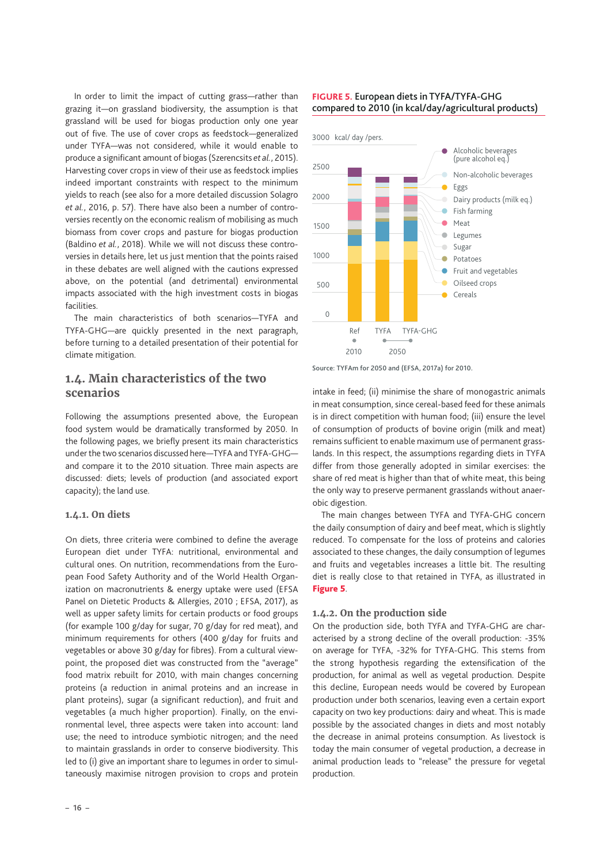<span id="page-15-0"></span>In order to limit the impact of cutting grass—rather than grazing it—on grassland biodiversity, the assumption is that grassland will be used for biogas production only one year out of five. The use of cover crops as feedstock—generalized under TYFA—was not considered, while it would enable to produce a significant amount of biogas (Szerencsits *et al.*, 2015). Harvesting cover crops in view of their use as feedstock implies indeed important constraints with respect to the minimum yields to reach (see also for a more detailed discussion Solagro *et al.*, 2016, p. 57). There have also been a number of controversies recently on the economic realism of mobilising as much biomass from cover crops and pasture for biogas production (Baldino *et al.*, 2018). While we will not discuss these controversies in details here, let us just mention that the points raised in these debates are well aligned with the cautions expressed above, on the potential (and detrimental) environmental impacts associated with the high investment costs in biogas facilities.

The main characteristics of both scenarios—TYFA and TYFA-GHG—are quickly presented in the next paragraph, before turning to a detailed presentation of their potential for climate mitigation.

## <span id="page-15-1"></span>**1.4. Main characteristics of the two scenarios**

Following the assumptions presented above, the European food system would be dramatically transformed by 2050. In the following pages, we briefly present its main characteristics under the two scenarios discussed here—TYFA and TYFA-GHG and compare it to the 2010 situation. Three main aspects are discussed: diets; levels of production (and associated export capacity); the land use.

#### **1.4.1. On diets**

On diets, three criteria were combined to define the average European diet under TYFA: nutritional, environmental and cultural ones. On nutrition, recommendations from the European Food Safety Authority and of the World Health Organization on macronutrients & energy uptake were used (EFSA Panel on Dietetic Products & Allergies, 2010 ; EFSA, 2017), as well as upper safety limits for certain products or food groups (for example 100 g/day for sugar, 70 g/day for red meat), and minimum requirements for others (400 g/day for fruits and vegetables or above 30 g/day for fibres). From a cultural viewpoint, the proposed diet was constructed from the "average" food matrix rebuilt for 2010, with main changes concerning proteins (a reduction in animal proteins and an increase in plant proteins), sugar (a significant reduction), and fruit and vegetables (a much higher proportion). Finally, on the environmental level, three aspects were taken into account: land use; the need to introduce symbiotic nitrogen; and the need to maintain grasslands in order to conserve biodiversity. This led to (i) give an important share to legumes in order to simultaneously maximise nitrogen provision to crops and protein

#### **FIGURE 5.** European diets in TYFA/TYFA-GHG compared to 2010 (in kcal/day/agricultural products)



Source: TYFAm for 2050 and (EFSA, 2017a) for 2010.

intake in feed; (ii) minimise the share of monogastric animals in meat consumption, since cereal-based feed for these animals is in direct competition with human food; (iii) ensure the level of consumption of products of bovine origin (milk and meat) remains sufficient to enable maximum use of permanent grasslands. In this respect, the assumptions regarding diets in TYFA differ from those generally adopted in similar exercises: the share of red meat is higher than that of white meat, this being the only way to preserve permanent grasslands without anaerobic digestion.

The main changes between TYFA and TYFA-GHG concern the daily consumption of dairy and beef meat, which is slightly reduced. To compensate for the loss of proteins and calories associated to these changes, the daily consumption of legumes and fruits and vegetables increases a little bit. The resulting diet is really close to that retained in TYFA, as illustrated in Figure 5.

#### **1.4.2. On the production side**

On the production side, both TYFA and TYFA-GHG are characterised by a strong decline of the overall production: -35% on average for TYFA, -32% for TYFA-GHG. This stems from the strong hypothesis regarding the extensification of the production, for animal as well as vegetal production. Despite this decline, European needs would be covered by European production under both scenarios, leaving even a certain export capacity on two key productions: dairy and wheat. This is made possible by the associated changes in diets and most notably the decrease in animal proteins consumption. As livestock is today the main consumer of vegetal production, a decrease in animal production leads to "release" the pressure for vegetal production.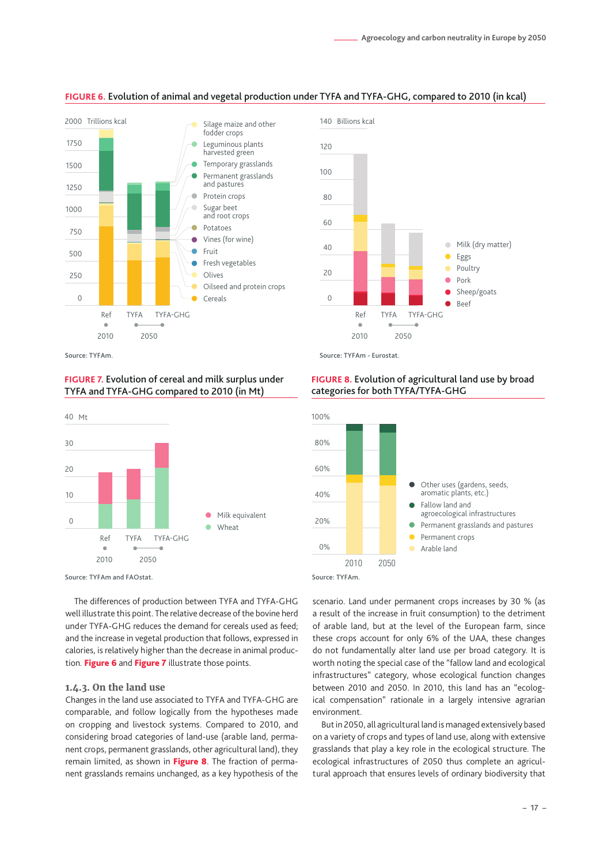

#### **FIGURE 6.** Evolution of animal and vegetal production under TYFA and TYFA-GHG, compared to 2010 (in kcal)



#### **FIGURE 7.** Evolution of cereal and milk surplus under TYFA and TYFA-GHG compared to 2010 (in Mt)



Source: TYFAm and FAOstat.

The differences of production between TYFA and TYFA-GHG well illustrate this point. The relative decrease of the bovine herd under TYFA-GHG reduces the demand for cereals used as feed; and the increase in vegetal production that follows, expressed in calories, is relatively higher than the decrease in animal produc-tion. [Figure 6](#page-16-0) and Figure 7 illustrate those points.

#### **1.4.3. On the land use**

Changes in the land use associated to TYFA and TYFA-GHG are comparable, and follow logically from the hypotheses made on cropping and livestock systems. Compared to 2010, and considering broad categories of land-use (arable land, permanent crops, permanent grasslands, other agricultural land), they remain limited, as shown in [Figure 8](#page-16-1). The fraction of permanent grasslands remains unchanged, as a key hypothesis of the

#### **FIGURE 8.** Evolution of agricultural land use by broad categories for both TYFA/TYFA-GHG



Source: TYFAm.

<span id="page-16-0"></span>scenario. Land under permanent crops increases by 30 % (as a result of the increase in fruit consumption) to the detriment of arable land, but at the level of the European farm, since these crops account for only 6% of the UAA, these changes do not fundamentally alter land use per broad category. It is worth noting the special case of the "fallow land and ecological infrastructures" category, whose ecological function changes between 2010 and 2050. In 2010, this land has an "ecological compensation" rationale in a largely intensive agrarian environment.

<span id="page-16-1"></span>But in 2050, all agricultural land is managed extensively based on a variety of crops and types of land use, along with extensive grasslands that play a key role in the ecological structure. The ecological infrastructures of 2050 thus complete an agricultural approach that ensures levels of ordinary biodiversity that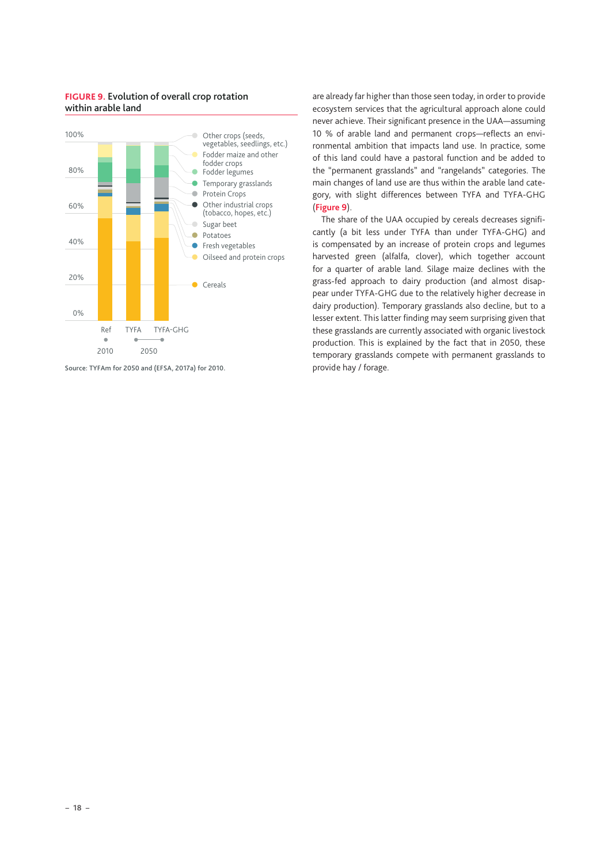#### **FIGURE 9.** Evolution of overall crop rotation within arable land



Source: TYFAm for 2050 and (EFSA, 2017a) for 2010.

are already far higher than those seen today, in order to provide ecosystem services that the agricultural approach alone could never achieve. Their significant presence in the UAA—assuming 10 % of arable land and permanent crops—reflects an environmental ambition that impacts land use. In practice, some of this land could have a pastoral function and be added to the "permanent grasslands" and "rangelands" categories. The main changes of land use are thus within the arable land category, with slight differences between TYFA and TYFA-GHG (**Figure 9**).

The share of the UAA occupied by cereals decreases significantly (a bit less under TYFA than under TYFA-GHG) and is compensated by an increase of protein crops and legumes harvested green (alfalfa, clover), which together account for a quarter of arable land. Silage maize declines with the grass-fed approach to dairy production (and almost disappear under TYFA-GHG due to the relatively higher decrease in dairy production). Temporary grasslands also decline, but to a lesser extent. This latter finding may seem surprising given that these grasslands are currently associated with organic livestock production. This is explained by the fact that in 2050, these temporary grasslands compete with permanent grasslands to provide hay / forage.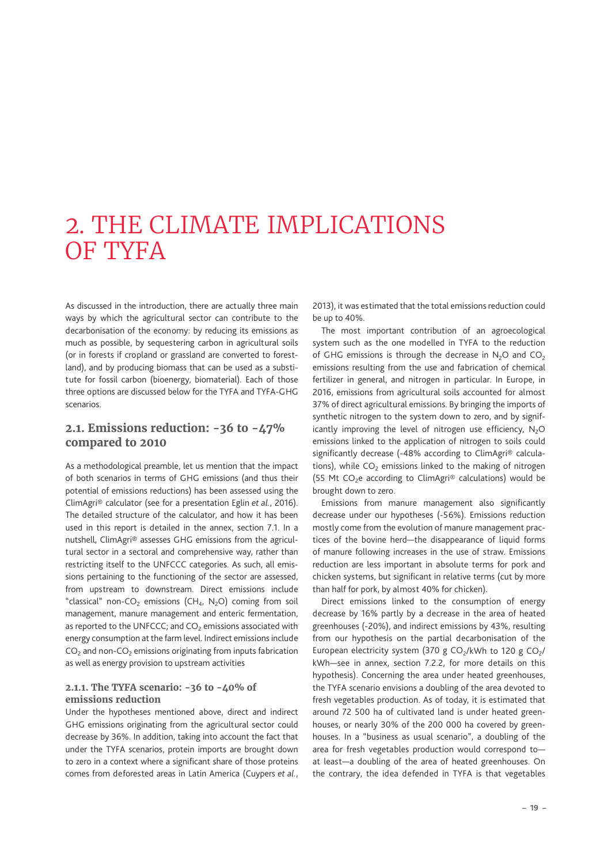# <span id="page-18-0"></span>2. THE CLIMATE IMPLICATIONS OF TYFA

As discussed in the introduction, there are actually three main ways by which the agricultural sector can contribute to the decarbonisation of the economy: by reducing its emissions as much as possible, by sequestering carbon in agricultural soils (or in forests if cropland or grassland are converted to forestland), and by producing biomass that can be used as a substitute for fossil carbon (bioenergy, biomaterial). Each of those three options are discussed below for the TYFA and TYFA-GHG scenarios.

## **2.1. Emissions reduction: -36 to -47% compared to 2010**

As a methodological preamble, let us mention that the impact of both scenarios in terms of GHG emissions (and thus their potential of emissions reductions) has been assessed using the ClimAgri® calculator (see for a presentation Eglin *et al.*, 2016). The detailed structure of the calculator, and how it has been used in this report is detailed in the annex, section 7.1. In a nutshell, ClimAgri® assesses GHG emissions from the agricultural sector in a sectoral and comprehensive way, rather than restricting itself to the UNFCCC categories. As such, all emissions pertaining to the functioning of the sector are assessed, from upstream to downstream. Direct emissions include "classical" non-CO<sub>2</sub> emissions (CH<sub>4</sub>, N<sub>2</sub>O) coming from soil management, manure management and enteric fermentation, as reported to the UNFCCC; and  $CO<sub>2</sub>$  emissions associated with energy consumption at the farm level. Indirect emissions include  $CO<sub>2</sub>$  and non-CO<sub>2</sub> emissions originating from inputs fabrication as well as energy provision to upstream activities

### **2.1.1. The TYFA scenario: -36 to -40% of emissions reduction**

Under the hypotheses mentioned above, direct and indirect GHG emissions originating from the agricultural sector could decrease by 36%. In addition, taking into account the fact that under the TYFA scenarios, protein imports are brought down to zero in a context where a significant share of those proteins comes from deforested areas in Latin America (Cuypers *et al.*, 2013), it was estimated that the total emissions reduction could be up to 40%.

The most important contribution of an agroecological system such as the one modelled in TYFA to the reduction of GHG emissions is through the decrease in  $N_2O$  and  $CO_2$ emissions resulting from the use and fabrication of chemical fertilizer in general, and nitrogen in particular. In Europe, in 2016, emissions from agricultural soils accounted for almost 37% of direct agricultural emissions. By bringing the imports of synthetic nitrogen to the system down to zero, and by significantly improving the level of nitrogen use efficiency,  $N_2O$ emissions linked to the application of nitrogen to soils could significantly decrease (-48% according to ClimAgri® calculations), while  $CO<sub>2</sub>$  emissions linked to the making of nitrogen (55 Mt CO<sub>2</sub>e according to ClimAgri<sup>®</sup> calculations) would be brought down to zero.

Emissions from manure management also significantly decrease under our hypotheses (-56%). Emissions reduction mostly come from the evolution of manure management practices of the bovine herd—the disappearance of liquid forms of manure following increases in the use of straw. Emissions reduction are less important in absolute terms for pork and chicken systems, but significant in relative terms (cut by more than half for pork, by almost 40% for chicken).

Direct emissions linked to the consumption of energy decrease by 16% partly by a decrease in the area of heated greenhouses (-20%), and indirect emissions by 43%, resulting from our hypothesis on the partial decarbonisation of the European electricity system (370 g CO<sub>2</sub>/kWh to 120 g CO<sub>2</sub>/ kWh—see in annex, section 7.2.2, for more details on this hypothesis). Concerning the area under heated greenhouses, the TYFA scenario envisions a doubling of the area devoted to fresh vegetables production. As of today, it is estimated that around 72 500 ha of cultivated land is under heated greenhouses, or nearly 30% of the 200 000 ha covered by greenhouses. In a "business as usual scenario", a doubling of the area for fresh vegetables production would correspond to at least—a doubling of the area of heated greenhouses. On the contrary, the idea defended in TYFA is that vegetables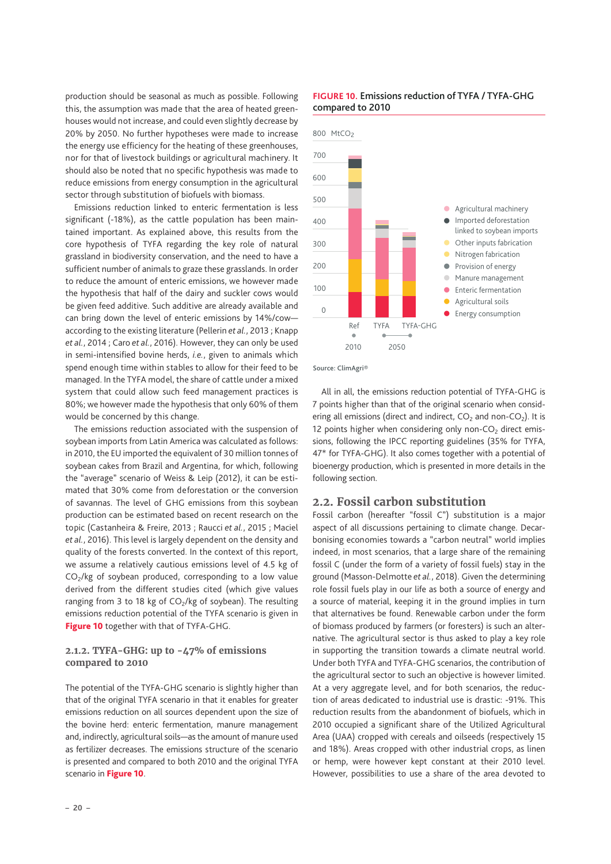<span id="page-19-0"></span>production should be seasonal as much as possible. Following this, the assumption was made that the area of heated greenhouses would not increase, and could even slightly decrease by 20% by 2050. No further hypotheses were made to increase the energy use efficiency for the heating of these greenhouses, nor for that of livestock buildings or agricultural machinery. It should also be noted that no specific hypothesis was made to reduce emissions from energy consumption in the agricultural sector through substitution of biofuels with biomass.

Emissions reduction linked to enteric fermentation is less significant (-18%), as the cattle population has been maintained important. As explained above, this results from the core hypothesis of TYFA regarding the key role of natural grassland in biodiversity conservation, and the need to have a sufficient number of animals to graze these grasslands. In order to reduce the amount of enteric emissions, we however made the hypothesis that half of the dairy and suckler cows would be given feed additive. Such additive are already available and can bring down the level of enteric emissions by 14%/cow according to the existing literature (Pellerin *et al.*, 2013 ; Knapp *et al.*, 2014 ; Caro *et al.*, 2016). However, they can only be used in semi-intensified bovine herds, *i.e.*, given to animals which spend enough time within stables to allow for their feed to be managed. In the TYFA model, the share of cattle under a mixed system that could allow such feed management practices is 80%; we however made the hypothesis that only 60% of them would be concerned by this change.

The emissions reduction associated with the suspension of soybean imports from Latin America was calculated as follows: in 2010, the EU imported the equivalent of 30 million tonnes of soybean cakes from Brazil and Argentina, for which, following the "average" scenario of Weiss & Leip (2012), it can be estimated that 30% come from deforestation or the conversion of savannas. The level of GHG emissions from this soybean production can be estimated based on recent research on the topic (Castanheira & Freire, 2013 ; Raucci *et al.*, 2015 ; Maciel *et al.*, 2016). This level is largely dependent on the density and quality of the forests converted. In the context of this report, we assume a relatively cautious emissions level of 4.5 kg of  $CO<sub>2</sub>/kg$  of soybean produced, corresponding to a low value derived from the different studies cited (which give values ranging from 3 to 18 kg of  $CO<sub>2</sub>/kg$  of soybean). The resulting emissions reduction potential of the TYFA scenario is given in [Figure 10](#page-19-1) together with that of TYFA-GHG.

#### **2.1.2. TYFA-GHG: up to -47% of emissions compared to 2010**

<span id="page-19-1"></span>The potential of the TYFA-GHG scenario is slightly higher than that of the original TYFA scenario in that it enables for greater emissions reduction on all sources dependent upon the size of the bovine herd: enteric fermentation, manure management and, indirectly, agricultural soils—as the amount of manure used as fertilizer decreases. The emissions structure of the scenario is presented and compared to both 2010 and the original TYFA scenario in [Figure 10](#page-19-1).

#### **FIGURE 10.** Emissions reduction of TYFA / TYFA-GHG compared to 2010



Source: ClimAgri®

All in all, the emissions reduction potential of TYFA-GHG is 7 points higher than that of the original scenario when considering all emissions (direct and indirect,  $CO<sub>2</sub>$  and non- $CO<sub>2</sub>$ ). It is 12 points higher when considering only non- $CO<sub>2</sub>$  direct emissions, following the IPCC reporting guidelines (35% for TYFA, 47\* for TYFA-GHG). It also comes together with a potential of bioenergy production, which is presented in more details in the following section.

### <span id="page-19-2"></span>**2.2. Fossil carbon substitution**

Fossil carbon (hereafter "fossil C") substitution is a major aspect of all discussions pertaining to climate change. Decarbonising economies towards a "carbon neutral" world implies indeed, in most scenarios, that a large share of the remaining fossil C (under the form of a variety of fossil fuels) stay in the ground (Masson-Delmotte *et al.*, 2018). Given the determining role fossil fuels play in our life as both a source of energy and a source of material, keeping it in the ground implies in turn that alternatives be found. Renewable carbon under the form of biomass produced by farmers (or foresters) is such an alternative. The agricultural sector is thus asked to play a key role in supporting the transition towards a climate neutral world. Under both TYFA and TYFA-GHG scenarios, the contribution of the agricultural sector to such an objective is however limited. At a very aggregate level, and for both scenarios, the reduction of areas dedicated to industrial use is drastic: -91%. This reduction results from the abandonment of biofuels, which in 2010 occupied a significant share of the Utilized Agricultural Area (UAA) cropped with cereals and oilseeds (respectively 15 and 18%). Areas cropped with other industrial crops, as linen or hemp, were however kept constant at their 2010 level. However, possibilities to use a share of the area devoted to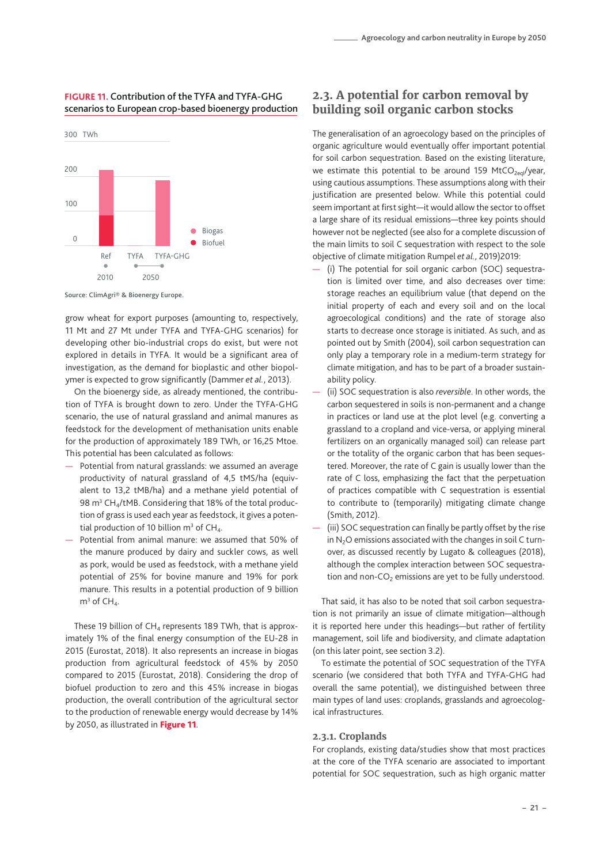#### <span id="page-20-0"></span>**FIGURE 11.** Contribution of the TYFA and TYFA-GHG scenarios to European crop-based bioenergy production



Source: ClimAgri® & Bioenergy Europe.

grow wheat for export purposes (amounting to, respectively, 11 Mt and 27 Mt under TYFA and TYFA-GHG scenarios) for developing other bio-industrial crops do exist, but were not explored in details in TYFA. It would be a significant area of investigation, as the demand for bioplastic and other biopolymer is expected to grow significantly (Dammer *et al.*, 2013).

On the bioenergy side, as already mentioned, the contribution of TYFA is brought down to zero. Under the TYFA-GHG scenario, the use of natural grassland and animal manures as feedstock for the development of methanisation units enable for the production of approximately 189 TWh, or 16,25 Mtoe. This potential has been calculated as follows:

- Potential from natural grasslands: we assumed an average productivity of natural grassland of 4,5 tMS/ha (equivalent to 13,2 tMB/ha) and a methane yield potential of 98 m<sup>3</sup> CH<sub>4</sub>/tMB. Considering that 18% of the total production of grass is used each year as feedstock, it gives a potential production of 10 billion  $m^3$  of CH<sub>4</sub>.
- Potential from animal manure: we assumed that 50% of the manure produced by dairy and suckler cows, as well as pork, would be used as feedstock, with a methane yield potential of 25% for bovine manure and 19% for pork manure. This results in a potential production of 9 billion  $m<sup>3</sup>$  of CH<sub>4</sub>.

<span id="page-20-1"></span>These 19 billion of  $CH_4$  represents 189 TWh, that is approximately 1% of the final energy consumption of the EU-28 in 2015 (Eurostat, 2018). It also represents an increase in biogas production from agricultural feedstock of 45% by 2050 compared to 2015 (Eurostat, 2018). Considering the drop of biofuel production to zero and this 45% increase in biogas production, the overall contribution of the agricultural sector to the production of renewable energy would decrease by 14% by 2050, as illustrated in [Figure 11](#page-20-1).

# **2.3. A potential for carbon removal by building soil organic carbon stocks**

The generalisation of an agroecology based on the principles of organic agriculture would eventually offer important potential for soil carbon sequestration. Based on the existing literature, we estimate this potential to be around 159 MtCO<sub>2eql</sub>/year, using cautious assumptions. These assumptions along with their justification are presented below. While this potential could seem important at first sight—it would allow the sector to offset a large share of its residual emissions—three key points should however not be neglected (see also for a complete discussion of the main limits to soil C sequestration with respect to the sole objective of climate mitigation Rumpel *et al.*, 2019)2019:

- (i) The potential for soil organic carbon (SOC) sequestration is limited over time, and also decreases over time: storage reaches an equilibrium value (that depend on the initial property of each and every soil and on the local agroecological conditions) and the rate of storage also starts to decrease once storage is initiated. As such, and as pointed out by Smith (2004), soil carbon sequestration can only play a temporary role in a medium-term strategy for climate mitigation, and has to be part of a broader sustainability policy.
- (ii) SOC sequestration is also *reversible*. In other words, the carbon sequestered in soils is non-permanent and a change in practices or land use at the plot level (e.g. converting a grassland to a cropland and vice-versa, or applying mineral fertilizers on an organically managed soil) can release part or the totality of the organic carbon that has been sequestered. Moreover, the rate of C gain is usually lower than the rate of C loss, emphasizing the fact that the perpetuation of practices compatible with C sequestration is essential to contribute to (temporarily) mitigating climate change (Smith, 2012).
- (iii) SOC sequestration can finally be partly offset by the rise in  $N<sub>2</sub>O$  emissions associated with the changes in soil C turnover, as discussed recently by Lugato & colleagues (2018), although the complex interaction between SOC sequestration and non- $CO<sub>2</sub>$  emissions are yet to be fully understood.

That said, it has also to be noted that soil carbon sequestration is not primarily an issue of climate mitigation—although it is reported here under this headings—but rather of fertility management, soil life and biodiversity, and climate adaptation (on this later point, see section 3.2).

To estimate the potential of SOC sequestration of the TYFA scenario (we considered that both TYFA and TYFA-GHG had overall the same potential), we distinguished between three main types of land uses: croplands, grasslands and agroecological infrastructures.

#### **2.3.1. Croplands**

For croplands, existing data/studies show that most practices at the core of the TYFA scenario are associated to important potential for SOC sequestration, such as high organic matter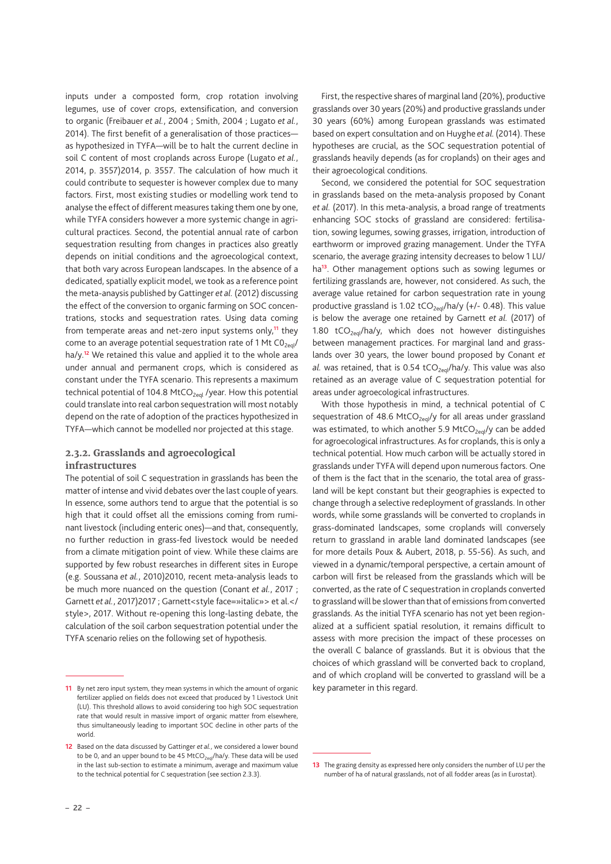inputs under a composted form, crop rotation involving legumes, use of cover crops, extensification, and conversion to organic (Freibauer *et al.*, 2004 ; Smith, 2004 ; Lugato *et al.*, 2014). The first benefit of a generalisation of those practices as hypothesized in TYFA—will be to halt the current decline in soil C content of most croplands across Europe (Lugato *et al.*, 2014, p. 3557)2014, p. 3557. The calculation of how much it could contribute to sequester is however complex due to many factors. First, most existing studies or modelling work tend to analyse the effect of different measures taking them one by one, while TYFA considers however a more systemic change in agricultural practices. Second, the potential annual rate of carbon sequestration resulting from changes in practices also greatly depends on initial conditions and the agroecological context, that both vary across European landscapes. In the absence of a dedicated, spatially explicit model, we took as a reference point the meta-anaysis published by Gattinger *et al.* (2012) discussing the effect of the conversion to organic farming on SOC concentrations, stocks and sequestration rates. Using data coming from temperate areas and net-zero input systems only,**11** they come to an average potential sequestration rate of 1 Mt  $CO<sub>2eql</sub>$ ha/y.**12** We retained this value and applied it to the whole area under annual and permanent crops, which is considered as constant under the TYFA scenario. This represents a maximum technical potential of 104.8 MtCO<sub>2eql</sub> /year. How this potential could translate into real carbon sequestration will most notably depend on the rate of adoption of the practices hypothesized in TYFA—which cannot be modelled nor projected at this stage.

#### **2.3.2. Grasslands and agroecological infrastructures**

The potential of soil C sequestration in grasslands has been the matter of intense and vivid debates over the last couple of years. In essence, some authors tend to argue that the potential is so high that it could offset all the emissions coming from ruminant livestock (including enteric ones)—and that, consequently, no further reduction in grass-fed livestock would be needed from a climate mitigation point of view. While these claims are supported by few robust researches in different sites in Europe (e.g. Soussana *et al.*, 2010)2010, recent meta-analysis leads to be much more nuanced on the question (Conant *et al.*, 2017 ; Garnett et al., 2017) 2017 ; Garnett<style face=»italic» > et al.</ style>, 2017. Without re-opening this long-lasting debate, the calculation of the soil carbon sequestration potential under the TYFA scenario relies on the following set of hypothesis.

**– 22 –** 

First, the respective shares of marginal land (20%), productive grasslands over 30 years (20%) and productive grasslands under 30 years (60%) among European grasslands was estimated based on expert consultation and on Huyghe *et al.* (2014). These hypotheses are crucial, as the SOC sequestration potential of grasslands heavily depends (as for croplands) on their ages and their agroecological conditions.

Second, we considered the potential for SOC sequestration in grasslands based on the meta-analysis proposed by Conant *et al.* (2017). In this meta-analysis, a broad range of treatments enhancing SOC stocks of grassland are considered: fertilisation, sowing legumes, sowing grasses, irrigation, introduction of earthworm or improved grazing management. Under the TYFA scenario, the average grazing intensity decreases to below 1 LU/ ha**13**. Other management options such as sowing legumes or fertilizing grasslands are, however, not considered. As such, the average value retained for carbon sequestration rate in young productive grassland is 1.02 tCO<sub>2eql</sub>/ha/y (+/- 0.48). This value is below the average one retained by Garnett *et al.* (2017) of 1.80 tCO<sub>2eql</sub>/ha/y, which does not however distinguishes between management practices. For marginal land and grasslands over 30 years, the lower bound proposed by Conant *et al.* was retained, that is 0.54 tCO<sub>2eql</sub>/ha/y. This value was also retained as an average value of C sequestration potential for areas under agroecological infrastructures.

With those hypothesis in mind, a technical potential of C sequestration of 48.6 MtCO<sub>2eql</sub>/y for all areas under grassland was estimated, to which another 5.9 MtCO<sub>2eql</sub>/y can be added for agroecological infrastructures. As for croplands, this is only a technical potential. How much carbon will be actually stored in grasslands under TYFA will depend upon numerous factors. One of them is the fact that in the scenario, the total area of grassland will be kept constant but their geographies is expected to change through a selective redeployment of grasslands. In other words, while some grasslands will be converted to croplands in grass-dominated landscapes, some croplands will conversely return to grassland in arable land dominated landscapes (see for more details Poux & Aubert, 2018, p. 55-56). As such, and viewed in a dynamic/temporal perspective, a certain amount of carbon will first be released from the grasslands which will be converted, as the rate of C sequestration in croplands converted to grassland will be slower than that of emissions from converted grasslands. As the initial TYFA scenario has not yet been regionalized at a sufficient spatial resolution, it remains difficult to assess with more precision the impact of these processes on the overall C balance of grasslands. But it is obvious that the choices of which grassland will be converted back to cropland, and of which cropland will be converted to grassland will be a key parameter in this regard.

**<sup>11</sup>** By net zero input system, they mean systems in which the amount of organic fertilizer applied on fields does not exceed that produced by 1 Livestock Unit (LU). This threshold allows to avoid considering too high SOC sequestration rate that would result in massive import of organic matter from elsewhere, thus simultaneously leading to important SOC decline in other parts of the world.

**<sup>12</sup>** Based on the data discussed by Gattinger *et al.*, we considered a lower bound to be 0, and an upper bound to be 45 MtCO<sub>2eql</sub>/ha/y. These data will be used in the last sub-section to estimate a minimum, average and maximum value to the technical potential for C sequestration (see section [2.3.3\)](#page-21-0).

<span id="page-21-0"></span>**<sup>13</sup>** The grazing density as expressed here only considers the number of LU per the number of ha of natural grasslands, not of all fodder areas (as in Eurostat).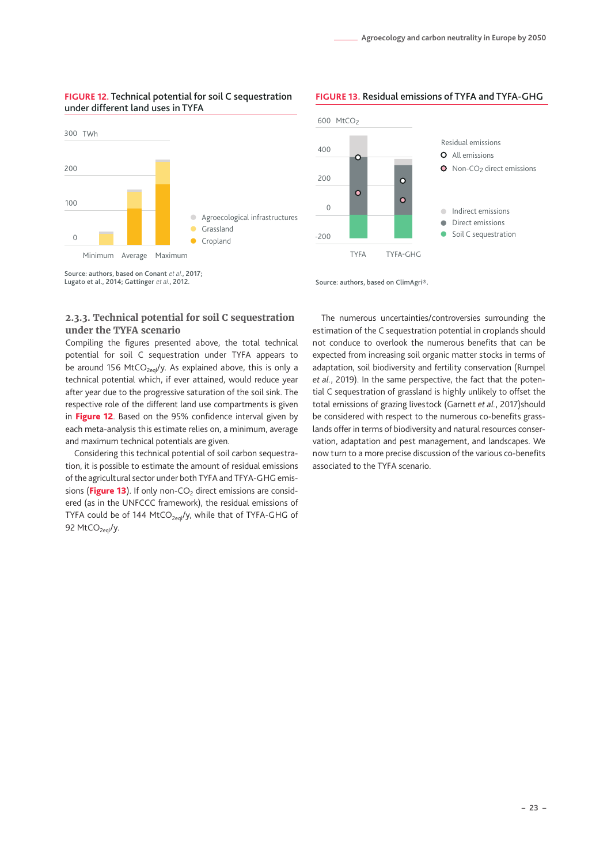#### **FIGURE 12.** Technical potential for soil C sequestration under different land uses in TYFA



Source: authors, based on Conant *et al.*, 2017; Lugato et al., 2014; Gattinger *et al.*, 2012.

# 600 MtCO<sub>2</sub> **FIGURE 13.** Residual emissions of TYFA and TYFA-GHG



Source: authors, based on ClimAgri®.

### **2.3.3. Technical potential for soil C sequestration under the TYFA scenario**

Compiling the figures presented above, the total technical potential for soil C sequestration under TYFA appears to be around 156 MtCO<sub>2eql</sub>/y. As explained above, this is only a technical potential which, if ever attained, would reduce year after year due to the progressive saturation of the soil sink. The respective role of the different land use compartments is given in [Figure 12](#page-22-0). Based on the 95% confidence interval given by each meta-analysis this estimate relies on, a minimum, average and maximum technical potentials are given.

<span id="page-22-1"></span><span id="page-22-0"></span>Considering this technical potential of soil carbon sequestration, it is possible to estimate the amount of residual emissions of the agricultural sector under both TYFA and TFYA-GHG emis-sions ([Figure 13](#page-22-1)). If only non-CO<sub>2</sub> direct emissions are considered (as in the UNFCCC framework), the residual emissions of TYFA could be of 144 MtCO<sub>2eql</sub>/y, while that of TYFA-GHG of 92 MtCO<sub>2eql</sub>/y.

The numerous uncertainties/controversies surrounding the estimation of the C sequestration potential in croplands should not conduce to overlook the numerous benefits that can be expected from increasing soil organic matter stocks in terms of adaptation, soil biodiversity and fertility conservation (Rumpel *et al.*, 2019). In the same perspective, the fact that the potential C sequestration of grassland is highly unlikely to offset the total emissions of grazing livestock (Garnett *et al.*, 2017)should be considered with respect to the numerous co-benefits grasslands offer in terms of biodiversity and natural resources conservation, adaptation and pest management, and landscapes. We now turn to a more precise discussion of the various co-benefits associated to the TYFA scenario.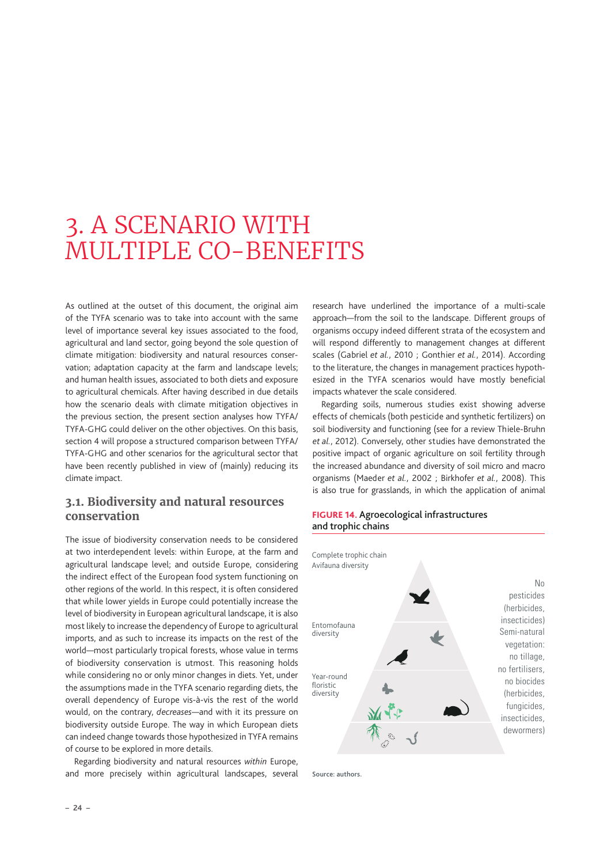# <span id="page-23-0"></span>3. A SCENARIO WITH MULTIPLE CO-BENEFITS

As outlined at the outset of this document, the original aim of the TYFA scenario was to take into account with the same level of importance several key issues associated to the food, agricultural and land sector, going beyond the sole question of climate mitigation: biodiversity and natural resources conservation; adaptation capacity at the farm and landscape levels; and human health issues, associated to both diets and exposure to agricultural chemicals. After having described in due details how the scenario deals with climate mitigation objectives in the previous section, the present section analyses how TYFA/ TYFA-GHG could deliver on the other objectives. On this basis, section 4 will propose a structured comparison between TYFA/ TYFA-GHG and other scenarios for the agricultural sector that have been recently published in view of (mainly) reducing its climate impact.

## **3.1. Biodiversity and natural resources conservation**

The issue of biodiversity conservation needs to be considered at two interdependent levels: within Europe, at the farm and agricultural landscape level; and outside Europe, considering the indirect effect of the European food system functioning on other regions of the world. In this respect, it is often considered that while lower yields in Europe could potentially increase the level of biodiversity in European agricultural landscape, it is also most likely to increase the dependency of Europe to agricultural imports, and as such to increase its impacts on the rest of the world—most particularly tropical forests, whose value in terms of biodiversity conservation is utmost. This reasoning holds while considering no or only minor changes in diets. Yet, under the assumptions made in the TYFA scenario regarding diets, the overall dependency of Europe vis-à-vis the rest of the world would, on the contrary, *decreases*—and with it its pressure on biodiversity outside Europe. The way in which European diets can indeed change towards those hypothesized in TYFA remains of course to be explored in more details.

Regarding biodiversity and natural resources *within* Europe, and more precisely within agricultural landscapes, several

research have underlined the importance of a multi-scale approach—from the soil to the landscape. Different groups of organisms occupy indeed different strata of the ecosystem and will respond differently to management changes at different scales (Gabriel *et al.*, 2010 ; Gonthier *et al.*, 2014). According to the literature, the changes in management practices hypothesized in the TYFA scenarios would have mostly beneficial impacts whatever the scale considered.

Regarding soils, numerous studies exist showing adverse effects of chemicals (both pesticide and synthetic fertilizers) on soil biodiversity and functioning (see for a review Thiele-Bruhn *et al.*, 2012). Conversely, other studies have demonstrated the positive impact of organic agriculture on soil fertility through the increased abundance and diversity of soil micro and macro organisms (Maeder *et al.*, 2002 ; Birkhofer *et al.*, 2008). This is also true for grasslands, in which the application of animal

#### **FIGURE 14.** Agroecological infrastructures and trophic chains



Source: authors.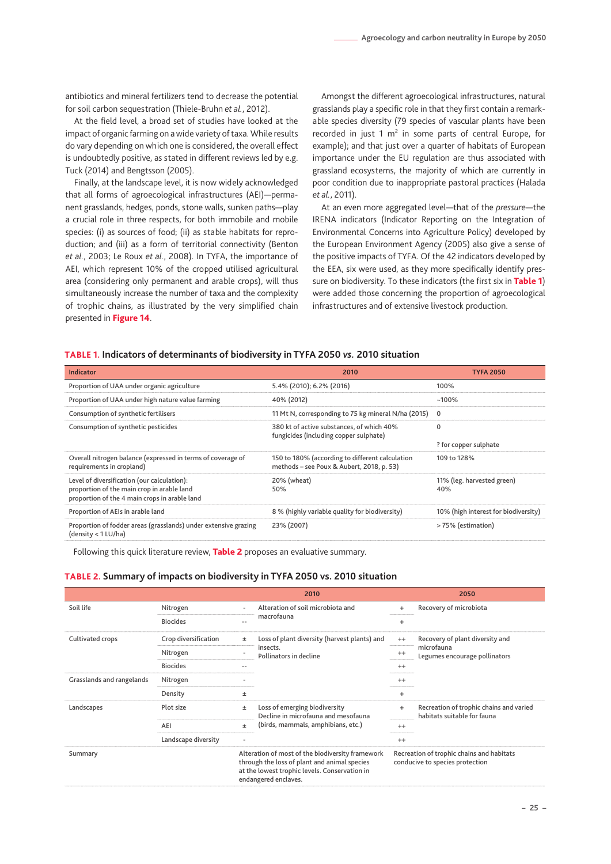<span id="page-24-0"></span>antibiotics and mineral fertilizers tend to decrease the potential for soil carbon sequestration (Thiele-Bruhn *et al.*, 2012).

At the field level, a broad set of studies have looked at the impact of organic farming on a wide variety of taxa. While results do vary depending on which one is considered, the overall effect is undoubtedly positive, as stated in different reviews led by e.g. Tuck (2014) and Bengtsson (2005).

Finally, at the landscape level, it is now widely acknowledged that all forms of agroecological infrastructures (AEI)—permanent grasslands, hedges, ponds, stone walls, sunken paths—play a crucial role in three respects, for both immobile and mobile species: (i) as sources of food; (ii) as stable habitats for reproduction; and (iii) as a form of territorial connectivity (Benton *et al.*, 2003; Le Roux *et al.*, 2008). In TYFA, the importance of AEI, which represent 10% of the cropped utilised agricultural area (considering only permanent and arable crops), will thus simultaneously increase the number of taxa and the complexity of trophic chains, as illustrated by the very simplified chain presented in [Figure 14](#page-24-1).

Amongst the different agroecological infrastructures, natural grasslands play a specific role in that they first contain a remarkable species diversity (79 species of vascular plants have been recorded in just 1 m<sup>2</sup> in some parts of central Europe, for example); and that just over a quarter of habitats of European importance under the EU regulation are thus associated with grassland ecosystems, the majority of which are currently in poor condition due to inappropriate pastoral practices (Halada *et al.*, 2011).

At an even more aggregated level—that of the *pressure*—the IRENA indicators (Indicator Reporting on the Integration of Environmental Concerns into Agriculture Policy) developed by the European Environment Agency (2005) also give a sense of the positive impacts of TYFA. Of the 42 indicators developed by the EEA, six were used, as they more specifically identify pressure on biodiversity. To these indicators (the first six in Table 1) were added those concerning the proportion of agroecological infrastructures and of extensive livestock production.

#### <span id="page-24-1"></span>**TABLE 1. Indicators of determinants of biodiversity in TYFA 2050** *vs.* **2010 situation**

| <b>Indicator</b>                                                                                                                           | 2010                                                                                         | <b>TYFA 2050</b>                     |
|--------------------------------------------------------------------------------------------------------------------------------------------|----------------------------------------------------------------------------------------------|--------------------------------------|
| Proportion of UAA under organic agriculture                                                                                                | 5.4% (2010); 6.2% (2016)                                                                     | 100%                                 |
| Proportion of UAA under high nature value farming                                                                                          | 40% (2012)                                                                                   | $~100\%$                             |
| Consumption of synthetic fertilisers                                                                                                       | 11 Mt N, corresponding to 75 kg mineral N/ha (2015)                                          | $\mathbf 0$                          |
| Consumption of synthetic pesticides                                                                                                        | 380 kt of active substances, of which 40%<br>fungicides (including copper sulphate)          | 0                                    |
|                                                                                                                                            |                                                                                              | ? for copper sulphate                |
| Overall nitrogen balance (expressed in terms of coverage of<br>requirements in cropland)                                                   | 150 to 180% (according to different calculation<br>methods - see Poux & Aubert, 2018, p. 53) | 109 to 128%                          |
| Level of diversification (our calculation):<br>proportion of the main crop in arable land<br>proportion of the 4 main crops in arable land | 20% (wheat)<br>50%                                                                           | 11% (leg. harvested green)<br>40%    |
| Proportion of AEIs in arable land                                                                                                          | 8 % (highly variable quality for biodiversity)                                               | 10% (high interest for biodiversity) |
| Proportion of fodder areas (grasslands) under extensive grazing<br>(density < 1 LU/ha)                                                     | 23% (2007)                                                                                   | > 75% (estimation)                   |

Following this quick literature review, Table 2 proposes an evaluative summary.

#### **TABLE 2. Summary of impacts on biodiversity in TYFA 2050 vs. 2010 situation**

|                           |                      |       | 2010                                                                                                                                                                      | 2050      |                                                                              |  |  |
|---------------------------|----------------------|-------|---------------------------------------------------------------------------------------------------------------------------------------------------------------------------|-----------|------------------------------------------------------------------------------|--|--|
| Soil life                 | Nitrogen             |       | Alteration of soil microbiota and                                                                                                                                         | $\ddot{}$ | Recovery of microbiota                                                       |  |  |
|                           | <b>Biocides</b>      |       | macrofauna                                                                                                                                                                | $\ddot{}$ |                                                                              |  |  |
| Cultivated crops          | Crop diversification | Ŧ.    | Loss of plant diversity (harvest plants) and                                                                                                                              | $^{++}$   | Recovery of plant diversity and                                              |  |  |
|                           | Nitrogen             |       | insects.<br>Pollinators in decline                                                                                                                                        | $^{++}$   | microfauna<br>Legumes encourage pollinators                                  |  |  |
|                           | <b>Biocides</b>      |       |                                                                                                                                                                           | $^{++}$   |                                                                              |  |  |
| Grasslands and rangelands | Nitrogen             |       |                                                                                                                                                                           | $^{++}$   |                                                                              |  |  |
|                           | Density              | Ŧ.    |                                                                                                                                                                           | $\ddot{}$ |                                                                              |  |  |
| Landscapes                | Plot size            | $\pm$ | Loss of emerging biodiversity<br>Decline in microfauna and mesofauna                                                                                                      | $\ddot{}$ | Recreation of trophic chains and varied<br>habitats suitable for fauna       |  |  |
|                           | AEI                  | $\pm$ | (birds, mammals, amphibians, etc.)                                                                                                                                        | $^{++}$   |                                                                              |  |  |
|                           | Landscape diversity  |       |                                                                                                                                                                           | $^{++}$   |                                                                              |  |  |
| Summary                   |                      |       | Alteration of most of the biodiversity framework<br>through the loss of plant and animal species<br>at the lowest trophic levels. Conservation in<br>endangered enclaves. |           | Recreation of trophic chains and habitats<br>conducive to species protection |  |  |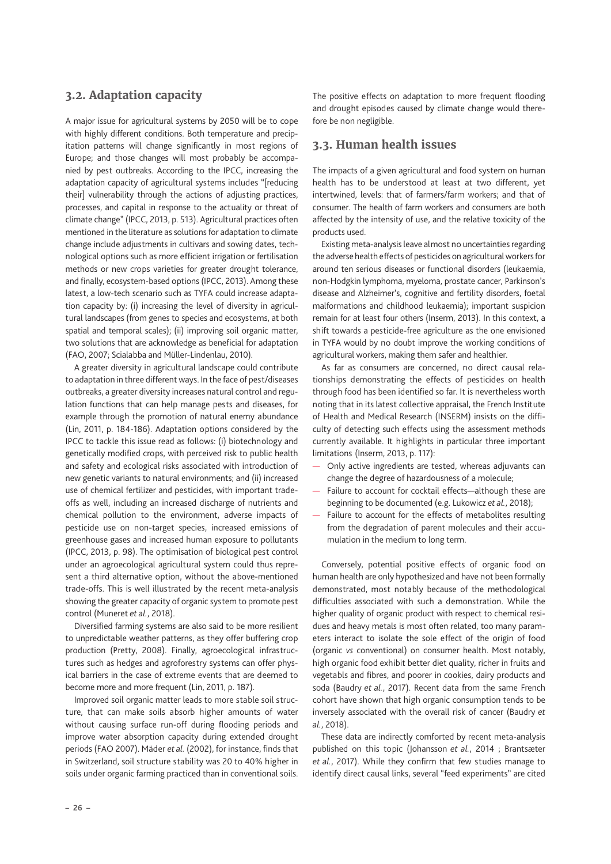# <span id="page-25-0"></span>**3.2. Adaptation capacity**

A major issue for agricultural systems by 2050 will be to cope with highly different conditions. Both temperature and precipitation patterns will change significantly in most regions of Europe; and those changes will most probably be accompanied by pest outbreaks. According to the IPCC, increasing the adaptation capacity of agricultural systems includes "[reducing their] vulnerability through the actions of adjusting practices, processes, and capital in response to the actuality or threat of climate change" (IPCC, 2013, p. 513). Agricultural practices often mentioned in the literature as solutions for adaptation to climate change include adjustments in cultivars and sowing dates, technological options such as more efficient irrigation or fertilisation methods or new crops varieties for greater drought tolerance, and finally, ecosystem-based options (IPCC, 2013). Among these latest, a low-tech scenario such as TYFA could increase adaptation capacity by: (i) increasing the level of diversity in agricultural landscapes (from genes to species and ecosystems, at both spatial and temporal scales); (ii) improving soil organic matter, two solutions that are acknowledge as beneficial for adaptation (FAO, 2007; Scialabba and Müller-Lindenlau, 2010).

A greater diversity in agricultural landscape could contribute to adaptation in three different ways. In the face of pest/diseases outbreaks, a greater diversity increases natural control and regulation functions that can help manage pests and diseases, for example through the promotion of natural enemy abundance (Lin, 2011, p. 184-186). Adaptation options considered by the IPCC to tackle this issue read as follows: (i) biotechnology and genetically modified crops, with perceived risk to public health and safety and ecological risks associated with introduction of new genetic variants to natural environments; and (ii) increased use of chemical fertilizer and pesticides, with important tradeoffs as well, including an increased discharge of nutrients and chemical pollution to the environment, adverse impacts of pesticide use on non-target species, increased emissions of greenhouse gases and increased human exposure to pollutants (IPCC, 2013, p. 98). The optimisation of biological pest control under an agroecological agricultural system could thus represent a third alternative option, without the above-mentioned trade-offs. This is well illustrated by the recent meta-analysis showing the greater capacity of organic system to promote pest control (Muneret *et al.*, 2018).

Diversified farming systems are also said to be more resilient to unpredictable weather patterns, as they offer buffering crop production (Pretty, 2008). Finally, agroecological infrastructures such as hedges and agroforestry systems can offer physical barriers in the case of extreme events that are deemed to become more and more frequent (Lin, 2011, p. 187).

Improved soil organic matter leads to more stable soil structure, that can make soils absorb higher amounts of water without causing surface run-off during flooding periods and improve water absorption capacity during extended drought periods (FAO 2007). Mäder *et al.* (2002), for instance, finds that in Switzerland, soil structure stability was 20 to 40% higher in soils under organic farming practiced than in conventional soils. The positive effects on adaptation to more frequent flooding and drought episodes caused by climate change would therefore be non negligible.

### **3.3. Human health issues**

The impacts of a given agricultural and food system on human health has to be understood at least at two different, yet intertwined, levels: that of farmers/farm workers; and that of consumer. The health of farm workers and consumers are both affected by the intensity of use, and the relative toxicity of the products used.

Existing meta-analysis leave almost no uncertainties regarding the adverse health effects of pesticides on agricultural workers for around ten serious diseases or functional disorders (leukaemia, non-Hodgkin lymphoma, myeloma, prostate cancer, Parkinson's disease and Alzheimer's, cognitive and fertility disorders, foetal malformations and childhood leukaemia); important suspicion remain for at least four others (Inserm, 2013). In this context, a shift towards a pesticide-free agriculture as the one envisioned in TYFA would by no doubt improve the working conditions of agricultural workers, making them safer and healthier.

As far as consumers are concerned, no direct causal relationships demonstrating the effects of pesticides on health through food has been identified so far. It is nevertheless worth noting that in its latest collective appraisal, the French Institute of Health and Medical Research (INSERM) insists on the difficulty of detecting such effects using the assessment methods currently available. It highlights in particular three important limitations (Inserm, 2013, p. 117):

- Only active ingredients are tested, whereas adjuvants can change the degree of hazardousness of a molecule;
- Failure to account for cocktail effects—although these are beginning to be documented (e.g. Lukowicz *et al.*, 2018);
- Failure to account for the effects of metabolites resulting from the degradation of parent molecules and their accumulation in the medium to long term.

Conversely, potential positive effects of organic food on human health are only hypothesized and have not been formally demonstrated, most notably because of the methodological difficulties associated with such a demonstration. While the higher quality of organic product with respect to chemical residues and heavy metals is most often related, too many parameters interact to isolate the sole effect of the origin of food (organic *vs* conventional) on consumer health. Most notably, high organic food exhibit better diet quality, richer in fruits and vegetabls and fibres, and poorer in cookies, dairy products and soda (Baudry *et al.*, 2017). Recent data from the same French cohort have shown that high organic consumption tends to be inversely associated with the overall risk of cancer (Baudry *et al.*, 2018).

These data are indirectly comforted by recent meta-analysis published on this topic (Johansson *et al.*, 2014 ; Brantsæter *et al.*, 2017). While they confirm that few studies manage to identify direct causal links, several "feed experiments" are cited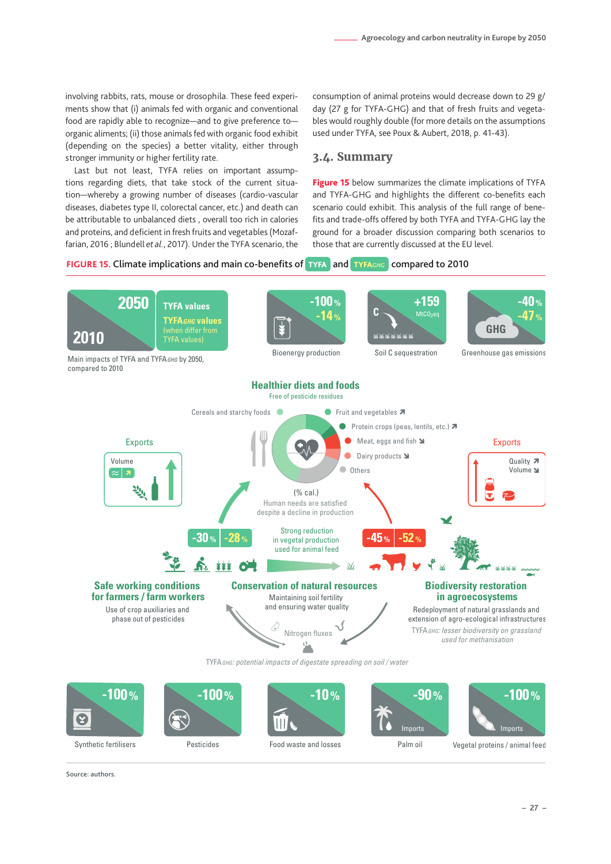<span id="page-26-0"></span>involving rabbits, rats, mouse or drosophila. These feed experiments show that (i) animals fed with organic and conventional food are rapidly able to recognize—and to give preference to organic aliments; (ii) those animals fed with organic food exhibit (depending on the species) a better vitality, either through stronger immunity or higher fertility rate.

Last but not least, TYFA relies on important assumptions regarding diets, that take stock of the current situation—whereby a growing number of diseases (cardio-vascular diseases, diabetes type II, colorectal cancer, etc.) and death can scenario could exhibitable to unbalanced dists experience in calories fits and trade-offs or be attributable to unbalanced diets , overall too rich in calories and proteins, and deficient in fresh fruits and vegetables (Mozaffarian, 2016 ; Blundell *et al.*, 2017). Under the TYFA scenario, the

consumption of animal proteins would decrease down to 29 g/ day (27 g for TYFA-GHG) and that of fresh fruits and vegetables would roughly double (for more details on the assumptions used under TYFA, see Poux & Aubert, 2018, p. 41-43).

### **3.4. Summary**

Figure 15 below summarizes the climate implications of TYFA and TYFA-GHG and highlights the different co-benefits each scenario could exhibit. This analysis of the full range of bene-<br>And *GHG* and trade offered by hath TVFA and TVFA GHG<sup>L</sup>Buthe fits and trade-offs offered by both TYFA and TYFA-GHG lay the ground for a broader discussion comparing both scenarios to icient in nestriruits and vegetables (Mozar- expound for a broader discussion companing both<br>Let al., 2017). Under the TYFA scenario, the those that are currently discussed at the EU level.

# FIGURE 15. Climate implications and main co-benefits of <mark>TYFA and TYFAGHG compared to 2010</mark>



Synthetic fertilisers

Pesticides

Food waste and losses Palm oil

Vegetal proteins / animal feed

 $S$ ource: authors.  $\overline{a}$ Source: authors.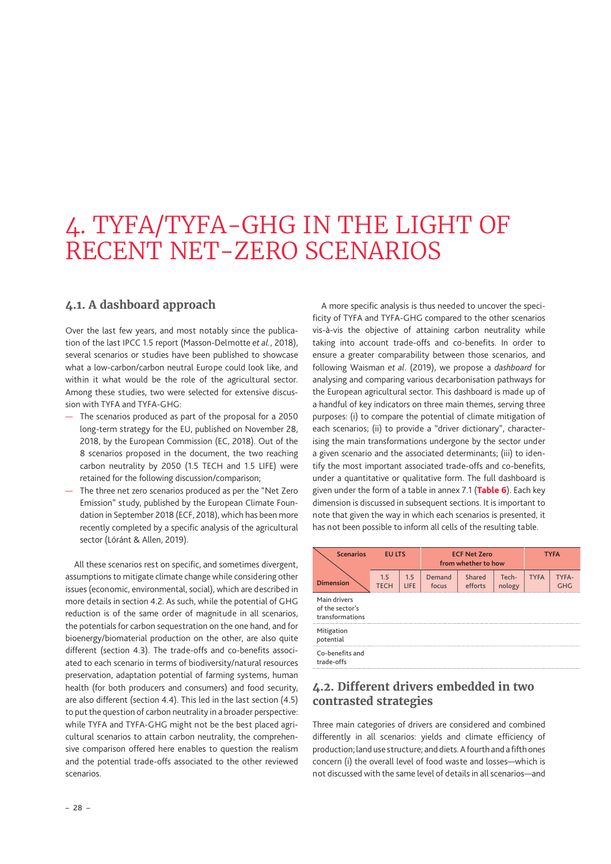# <span id="page-27-0"></span>4. TYFA/TYFA-GHG IN THE LIGHT OF RECENT NET-ZERO SCENARIOS

## **4.1. A dashboard approach**

Over the last few years, and most notably since the publication of the last IPCC 1.5 report (Masson-Delmotte *et al.*, 2018), several scenarios or studies have been published to showcase what a low-carbon/carbon neutral Europe could look like, and within it what would be the role of the agricultural sector. Among these studies, two were selected for extensive discussion with TYFA and TYFA-GHG:

- The scenarios produced as part of the proposal for a 2050 long-term strategy for the EU, published on November 28, 2018, by the European Commission (EC, 2018). Out of the 8 scenarios proposed in the document, the two reaching carbon neutrality by 2050 (1.5 TECH and 1.5 LIFE) were retained for the following discussion/comparison;
- The three net zero scenarios produced as per the "Net Zero Emission" study, published by the European Climate Foundation in September 2018 (ECF, 2018), which has been more recently completed by a specific analysis of the agricultural sector (Lóránt & Allen, 2019).

All these scenarios rest on specific, and sometimes divergent, assumptions to mitigate climate change while considering other issues (economic, environmental, social), which are described in more details in section 4.2. As such, while the potential of GHG reduction is of the same order of magnitude in all scenarios, the potentials for carbon sequestration on the one hand, and for bioenergy/biomaterial production on the other, are also quite different (section 4.3). The trade-offs and co-benefits associated to each scenario in terms of biodiversity/natural resources preservation, adaptation potential of farming systems, human health (for both producers and consumers) and food security, are also different (section 4.4). This led in the last section (4.5) to put the question of carbon neutrality in a broader perspective: while TYFA and TYFA-GHG might not be the best placed agricultural scenarios to attain carbon neutrality, the comprehensive comparison offered here enables to question the realism and the potential trade-offs associated to the other reviewed scenarios.

A more specific analysis is thus needed to uncover the specificity of TYFA and TYFA-GHG compared to the other scenarios vis-à-vis the objective of attaining carbon neutrality while taking into account trade-offs and co-benefits. In order to ensure a greater comparability between those scenarios, and following Waisman *et al*. (2019), we propose a *dashboard* for analysing and comparing various decarbonisation pathways for the European agricultural sector. This dashboard is made up of a handful of key indicators on three main themes, serving three purposes: (i) to compare the potential of climate mitigation of each scenarios; (ii) to provide a "driver dictionary", characterising the main transformations undergone by the sector under a given scenario and the associated determinants; (iii) to identify the most important associated trade-offs and co-benefits, under a quantitative or qualitative form. The full dashboard is given under the form of a table in annex 7.1 (Table 6). Each key dimension is discussed in subsequent sections. It is important to note that given the way in which each scenarios is presented, it has not been possible to inform all cells of the resulting table.

| <b>Scenarios</b>                                   | <b>EU LTS</b>      |             | <b>ECF Net Zero</b><br>from whether to how | <b>TYFA</b>       |                 |             |                     |
|----------------------------------------------------|--------------------|-------------|--------------------------------------------|-------------------|-----------------|-------------|---------------------|
| <b>Dimension</b>                                   | 1.5<br><b>TECH</b> | 1.5<br>LIFE | Demand<br>focus                            | Shared<br>efforts | Tech-<br>nology | <b>TYFA</b> | TYFA-<br><b>GHG</b> |
| Main drivers<br>of the sector's<br>transformations |                    |             |                                            |                   |                 |             |                     |
| Mitigation<br>potential                            |                    |             |                                            |                   |                 |             |                     |
| Co-benefits and<br>trade-offs                      |                    |             |                                            |                   |                 |             |                     |

## **4.2. Different drivers embedded in two contrasted strategies**

Three main categories of drivers are considered and combined differently in all scenarios: yields and climate efficiency of production; land use structure; and diets. A fourth and a fifth ones concern (i) the overall level of food waste and losses—which is not discussed with the same level of details in all scenarios—and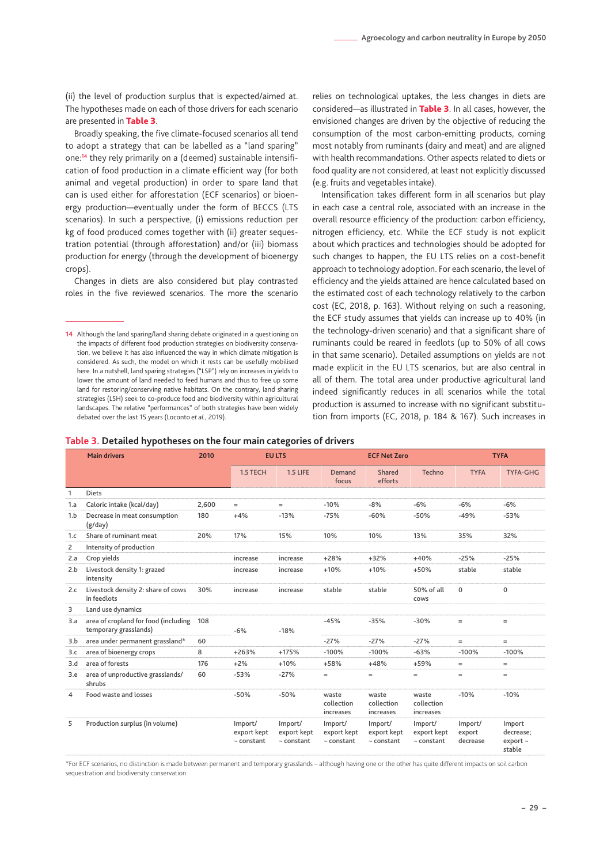<span id="page-28-0"></span>(ii) the level of production surplus that is expected/aimed at. The hypotheses made on each of those drivers for each scenario are presented in Table 3.

Broadly speaking, the five climate-focused scenarios all tend to adopt a strategy that can be labelled as a "land sparing" one:**14** they rely primarily on a (deemed) sustainable intensification of food production in a climate efficient way (for both animal and vegetal production) in order to spare land that can is used either for afforestation (ECF scenarios) or bioenergy production—eventually under the form of BECCS (LTS scenarios). In such a perspective, (i) emissions reduction per kg of food produced comes together with (ii) greater sequestration potential (through afforestation) and/or (iii) biomass production for energy (through the development of bioenergy crops).

Changes in diets are also considered but play contrasted roles in the five reviewed scenarios. The more the scenario

relies on technological uptakes, the less changes in diets are considered—as illustrated in Table 3. In all cases, however, the envisioned changes are driven by the objective of reducing the consumption of the most carbon-emitting products, coming most notably from ruminants (dairy and meat) and are aligned with health recommandations. Other aspects related to diets or food quality are not considered, at least not explicitly discussed (e.g. fruits and vegetables intake).

Intensification takes different form in all scenarios but play in each case a central role, associated with an increase in the overall resource efficiency of the production: carbon efficiency, nitrogen efficiency, etc. While the ECF study is not explicit about which practices and technologies should be adopted for such changes to happen, the EU LTS relies on a cost-benefit approach to technology adoption. For each scenario, the level of efficiency and the yields attained are hence calculated based on the estimated cost of each technology relatively to the carbon cost (EC, 2018, p. 163). Without relying on such a reasoning, the ECF study assumes that yields can increase up to 40% (in the technology-driven scenario) and that a significant share of ruminants could be reared in feedlots (up to 50% of all cows in that same scenario). Detailed assumptions on yields are not made explicit in the EU LTS scenarios, but are also central in all of them. The total area under productive agricultural land indeed significantly reduces in all scenarios while the total production is assumed to increase with no significant substitution from imports (EC, 2018, p. 184 & 167). Such increases in

| Table 3. Detailed hypotheses on the four main categories of drivers |  |  |  |
|---------------------------------------------------------------------|--|--|--|
|                                                                     |  |  |  |

|                | <b>Main drivers</b>                                           | 2010  | <b>EU LTS</b>                             |                                           | <b>ECF Net Zero</b>                       |                                           |                                           | <b>TYFA</b>                   |                                                |  |
|----------------|---------------------------------------------------------------|-------|-------------------------------------------|-------------------------------------------|-------------------------------------------|-------------------------------------------|-------------------------------------------|-------------------------------|------------------------------------------------|--|
|                |                                                               |       | 1.5 TECH                                  | <b>1.5 LIFE</b>                           | Demand<br>focus                           | Shared<br>efforts                         | Techno                                    | <b>TYFA</b>                   | <b>TYFA-GHG</b>                                |  |
| 1              | <b>Diets</b>                                                  |       |                                           |                                           |                                           |                                           |                                           |                               |                                                |  |
| 1.a            | Caloric intake (kcal/day)                                     | 2.600 | $=$                                       | $=$                                       | $-10%$                                    | $-8%$                                     | $-6%$                                     | $-6%$                         | $-6%$                                          |  |
| 1.b            | Decrease in meat consumption<br>(g/day)                       | 180   | $+4%$                                     | $-13%$                                    | $-75%$                                    | $-60%$                                    | $-50%$                                    | $-49%$                        | $-53%$                                         |  |
| 1.c            | Share of ruminant meat                                        | 20%   | 17%                                       | 15%                                       | 10%                                       | 10%                                       | 13%                                       | 35%                           | 32%                                            |  |
| 2              | Intensity of production                                       |       |                                           |                                           |                                           |                                           |                                           |                               |                                                |  |
| 2.a            | Crop yields                                                   |       | increase                                  | increase                                  | $+28%$                                    | $+32%$                                    | $+40%$                                    | $-25%$                        | $-25%$                                         |  |
| 2.b            | Livestock density 1: grazed<br>intensity                      |       | increase                                  | increase                                  | $+10%$                                    | $+10%$                                    | $+50%$                                    | stable                        | stable                                         |  |
| 2.c            | Livestock density 2: share of cows<br>in feedlots             | 30%   | increase                                  | increase                                  | stable                                    | stable                                    | 50% of all<br>cows                        | $\mathbf{0}$                  | $\mathbf{0}$                                   |  |
| 3              | Land use dynamics                                             |       |                                           |                                           |                                           |                                           |                                           |                               |                                                |  |
| 3.a            | area of cropland for food (including<br>temporary grasslands) | 108   | $-6%$                                     | $-18%$                                    | $-45%$                                    | $-35%$                                    | $-30%$                                    | $=$                           | $=$                                            |  |
| 3.b            | area under permanent grassland*                               | 60    |                                           |                                           | $-27%$                                    | $-27%$                                    | $-27%$                                    | $=$                           | $=$                                            |  |
| 3.c            | area of bioenergy crops                                       | 8     | $+263%$                                   | $+175%$                                   | $-100%$                                   | $-100%$                                   | $-63%$                                    | $-100%$                       | $-100%$                                        |  |
| 3.d            | area of forests                                               | 176   | $+2%$                                     | $+10%$                                    | +58%                                      | $+48%$                                    | $+59%$                                    | $=$                           | $=$                                            |  |
| 3.e            | area of unproductive grasslands/<br>shrubs                    | 60    | $-53%$                                    | $-27%$                                    | $=$                                       | $=$                                       | $=$                                       | $=$                           | $=$                                            |  |
| $\overline{4}$ | Food waste and losses                                         |       | $-50%$                                    | $-50%$                                    | waste<br>collection<br>increases          | waste<br>collection<br>increases          | waste<br>collection<br>increases          | $-10%$                        | $-10%$                                         |  |
| 5              | Production surplus (in volume)                                |       | Import/<br>export kept<br>$\sim$ constant | Import/<br>export kept<br>$\sim$ constant | Import/<br>export kept<br>$\sim$ constant | Import/<br>export kept<br>$\sim$ constant | Import/<br>export kept<br>$\sim$ constant | Import/<br>export<br>decrease | Import<br>decrease;<br>$export \sim$<br>stable |  |

\*For ECF scenarios, no distinction is made between permanent and temporary grasslands – although having one or the other has quite different impacts on soil carbon sequestration and biodiversity conservation.

**<sup>14</sup>** Although the land sparing/land sharing debate originated in a questioning on the impacts of different food production strategies on biodiversity conservation, we believe it has also influenced the way in which climate mitigation is considered. As such, the model on which it rests can be usefully mobilised here. In a nutshell, land sparing strategies ("LSP") rely on increases in yields to lower the amount of land needed to feed humans and thus to free up some land for restoring/conserving native habitats. On the contrary, land sharing strategies (LSH) seek to co-produce food and biodiversity within agricultural landscapes. The relative "performances" of both strategies have been widely debated over the last 15 years (Loconto *et al.*, 2019).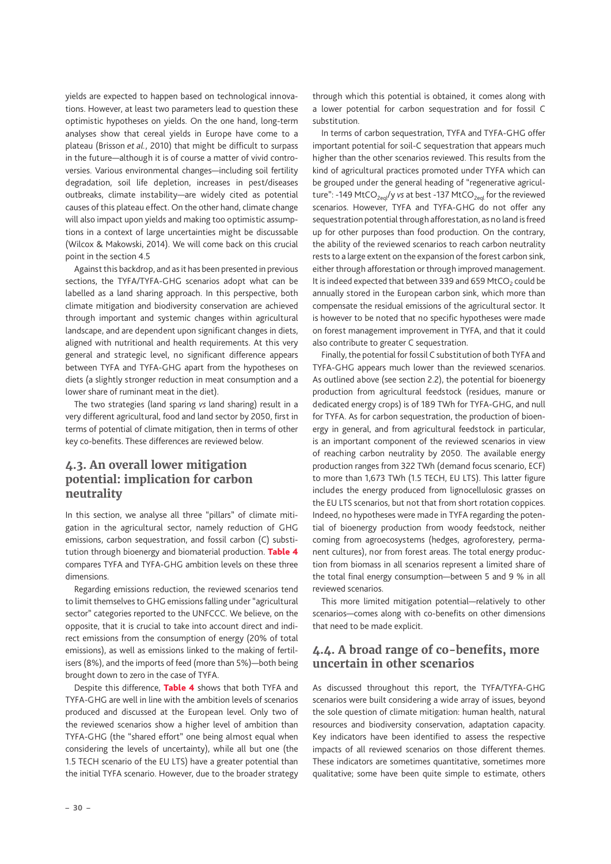<span id="page-29-0"></span>yields are expected to happen based on technological innovations. However, at least two parameters lead to question these optimistic hypotheses on yields. On the one hand, long-term analyses show that cereal yields in Europe have come to a plateau (Brisson *et al.*, 2010) that might be difficult to surpass in the future—although it is of course a matter of vivid controversies. Various environmental changes—including soil fertility degradation, soil life depletion, increases in pest/diseases outbreaks, climate instability—are widely cited as potential causes of this plateau effect. On the other hand, climate change will also impact upon yields and making too optimistic assumptions in a context of large uncertainties might be discussable (Wilcox & Makowski, 2014). We will come back on this crucial point in the section 4.5

Against this backdrop, and as it has been presented in previous sections, the TYFA/TYFA-GHG scenarios adopt what can be labelled as a land sharing approach. In this perspective, both climate mitigation and biodiversity conservation are achieved through important and systemic changes within agricultural landscape, and are dependent upon significant changes in diets, aligned with nutritional and health requirements. At this very general and strategic level, no significant difference appears between TYFA and TYFA-GHG apart from the hypotheses on diets (a slightly stronger reduction in meat consumption and a lower share of ruminant meat in the diet).

The two strategies (land sparing *vs* land sharing) result in a very different agricultural, food and land sector by 2050, first in terms of potential of climate mitigation, then in terms of other key co-benefits. These differences are reviewed below.

# **4.3. An overall lower mitigation potential: implication for carbon neutrality**

In this section, we analyse all three "pillars" of climate mitigation in the agricultural sector, namely reduction of GHG emissions, carbon sequestration, and fossil carbon (C) substitution through bioenergy and biomaterial production. Table 4 compares TYFA and TYFA-GHG ambition levels on these three dimensions.

Regarding emissions reduction, the reviewed scenarios tend to limit themselves to GHG emissions falling under "agricultural sector" categories reported to the UNFCCC. We believe, on the opposite, that it is crucial to take into account direct and indirect emissions from the consumption of energy (20% of total emissions), as well as emissions linked to the making of fertilisers (8%), and the imports of feed (more than 5%)—both being brought down to zero in the case of TYFA.

Despite this difference, [Table 4](#page-30-1) shows that both TYFA and TYFA-GHG are well in line with the ambition levels of scenarios produced and discussed at the European level. Only two of the reviewed scenarios show a higher level of ambition than TYFA-GHG (the "shared effort" one being almost equal when considering the levels of uncertainty), while all but one (the 1.5 TECH scenario of the EU LTS) have a greater potential than the initial TYFA scenario. However, due to the broader strategy through which this potential is obtained, it comes along with a lower potential for carbon sequestration and for fossil C substitution.

In terms of carbon sequestration, TYFA and TYFA-GHG offer important potential for soil-C sequestration that appears much higher than the other scenarios reviewed. This results from the kind of agricultural practices promoted under TYFA which can be grouped under the general heading of "regenerative agriculture": -149 MtCO<sub>2eql</sub>/y *vs* at best -137 MtCO<sub>2eql</sub> for the reviewed scenarios. However, TYFA and TYFA-GHG do not offer any sequestration potential through afforestation, as no land is freed up for other purposes than food production. On the contrary, the ability of the reviewed scenarios to reach carbon neutrality rests to a large extent on the expansion of the forest carbon sink, either through afforestation or through improved management. It is indeed expected that between 339 and 659 MtCO<sub>2</sub> could be annually stored in the European carbon sink, which more than compensate the residual emissions of the agricultural sector. It is however to be noted that no specific hypotheses were made on forest management improvement in TYFA, and that it could also contribute to greater C sequestration.

Finally, the potential for fossil C substitution of both TYFA and TYFA-GHG appears much lower than the reviewed scenarios. As outlined above (see section [2.2\)](#page-19-2), the potential for bioenergy production from agricultural feedstock (residues, manure or dedicated energy crops) is of 189 TWh for TYFA-GHG, and null for TYFA. As for carbon sequestration, the production of bioenergy in general, and from agricultural feedstock in particular, is an important component of the reviewed scenarios in view of reaching carbon neutrality by 2050. The available energy production ranges from 322 TWh (demand focus scenario, ECF) to more than 1,673 TWh (1.5 TECH, EU LTS). This latter figure includes the energy produced from lignocellulosic grasses on the EU LTS scenarios, but not that from short rotation coppices. Indeed, no hypotheses were made in TYFA regarding the potential of bioenergy production from woody feedstock, neither coming from agroecosystems (hedges, agroforestery, permanent cultures), nor from forest areas. The total energy production from biomass in all scenarios represent a limited share of the total final energy consumption—between 5 and 9 % in all reviewed scenarios.

This more limited mitigation potential—relatively to other scenarios—comes along with co-benefits on other dimensions that need to be made explicit.

# **4.4. A broad range of co-benefits, more uncertain in other scenarios**

As discussed throughout this report, the TYFA/TYFA-GHG scenarios were built considering a wide array of issues, beyond the sole question of climate mitigation: human health, natural resources and biodiversity conservation, adaptation capacity. Key indicators have been identified to assess the respective impacts of all reviewed scenarios on those different themes. These indicators are sometimes quantitative, sometimes more qualitative; some have been quite simple to estimate, others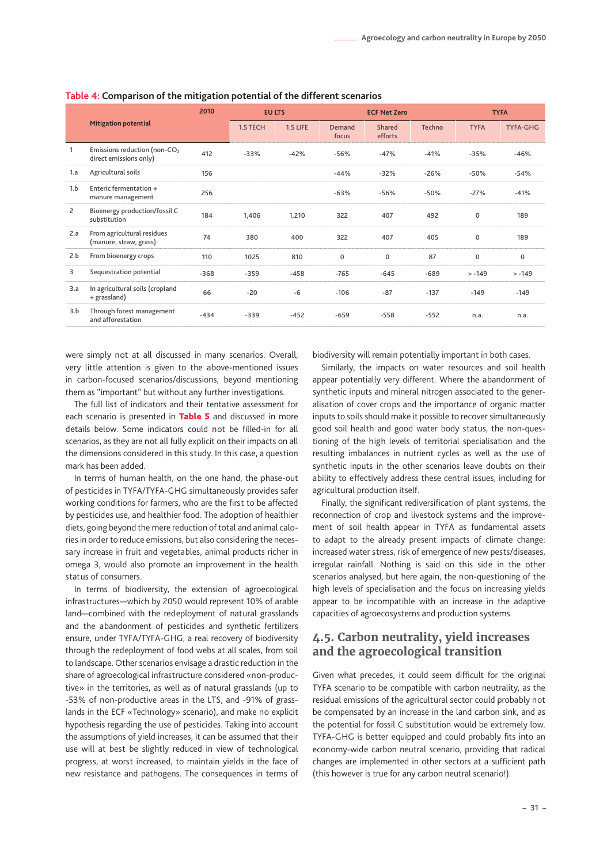|                |                                                                    | 2010   | <b>EU LTS</b> |                 |                 | <b>ECF Net Zero</b> |        | <b>TYFA</b> |                 |  |
|----------------|--------------------------------------------------------------------|--------|---------------|-----------------|-----------------|---------------------|--------|-------------|-----------------|--|
|                | <b>Mitigation potential</b>                                        |        | 1.5 TECH      | <b>1.5 LIFE</b> | Demand<br>focus | Shared<br>efforts   | Techno | <b>TYFA</b> | <b>TYFA-GHG</b> |  |
|                | Emissions reduction (non-CO <sub>2</sub><br>direct emissions only) | 412    | $-33%$        | $-42%$          | $-56%$          | $-47%$              | $-41%$ | $-35%$      | $-46%$          |  |
| 1.a            | Agricultural soils                                                 | 156    |               |                 | $-44%$          | $-32%$              | $-26%$ | $-50%$      | -54%            |  |
| 1.b            | Enteric fermentation +<br>manure management                        | 256    |               |                 | $-63%$          | $-56%$              | $-50%$ | $-27%$      | $-41%$          |  |
| $\overline{2}$ | Bioenergy production/fossil C<br>substitution                      | 184    | 1,406         | 1,210           | 322             | 407                 | 492    | 0           | 189             |  |
| 2.a            | From agricultural residues<br>(manure, straw, grass)               | 74     | 380           | 400             | 322             | 407                 | 405    | $\Omega$    | 189             |  |
| 2.b            | From bioenergy crops                                               | 110    | 1025          | 810             | 0               | 0                   | 87     | 0           | 0               |  |
| 3              | Sequestration potential                                            | $-368$ | $-359$        | $-458$          | $-765$          | $-645$              | $-689$ | $> -149$    | $> -149$        |  |
| 3.a            | In agricultural soils (cropland<br>+ grassland)                    | 66     | $-20$         | $-6$            | $-106$          | $-87$               | $-137$ | $-149$      | $-149$          |  |
| 3.b            | Through forest management<br>and afforestation                     | $-434$ | $-339$        | $-452$          | $-659$          | $-558$              | $-552$ | n.a.        | n.a.            |  |

<span id="page-30-1"></span><span id="page-30-0"></span>**Table 4: Comparison of the mitigation potential of the different scenarios**

were simply not at all discussed in many scenarios. Overall, very little attention is given to the above-mentioned issues in carbon-focused scenarios/discussions, beyond mentioning them as "important" but without any further investigations.

The full list of indicators and their tentative assessment for each scenario is presented in [Table 5](#page-31-1) and discussed in more details below. Some indicators could not be filled-in for all scenarios, as they are not all fully explicit on their impacts on all the dimensions considered in this study. In this case, a question mark has been added.

In terms of human health, on the one hand, the phase-out of pesticides in TYFA/TYFA-GHG simultaneously provides safer working conditions for farmers, who are the first to be affected by pesticides use, and healthier food. The adoption of healthier diets, going beyond the mere reduction of total and animal calories in order to reduce emissions, but also considering the necessary increase in fruit and vegetables, animal products richer in omega 3, would also promote an improvement in the health status of consumers.

In terms of biodiversity, the extension of agroecological infrastructures—which by 2050 would represent 10% of arable land—combined with the redeployment of natural grasslands and the abandonment of pesticides and synthetic fertilizers ensure, under TYFA/TYFA-GHG, a real recovery of biodiversity through the redeployment of food webs at all scales, from soil to landscape. Other scenarios envisage a drastic reduction in the share of agroecological infrastructure considered «non-productive» in the territories, as well as of natural grasslands (up to -53% of non-productive areas in the LTS, and -91% of grasslands in the ECF «Technology» scenario), and make no explicit hypothesis regarding the use of pesticides. Taking into account the assumptions of yield increases, it can be assumed that their use will at best be slightly reduced in view of technological progress, at worst increased, to maintain yields in the face of new resistance and pathogens. The consequences in terms of biodiversity will remain potentially important in both cases.

Similarly, the impacts on water resources and soil health appear potentially very different. Where the abandonment of synthetic inputs and mineral nitrogen associated to the generalisation of cover crops and the importance of organic matter inputs to soils should make it possible to recover simultaneously good soil health and good water body status, the non-questioning of the high levels of territorial specialisation and the resulting imbalances in nutrient cycles as well as the use of synthetic inputs in the other scenarios leave doubts on their ability to effectively address these central issues, including for agricultural production itself.

Finally, the significant rediversification of plant systems, the reconnection of crop and livestock systems and the improvement of soil health appear in TYFA as fundamental assets to adapt to the already present impacts of climate change: increased water stress, risk of emergence of new pests/diseases, irregular rainfall. Nothing is said on this side in the other scenarios analysed, but here again, the non-questioning of the high levels of specialisation and the focus on increasing yields appear to be incompatible with an increase in the adaptive capacities of agroecosystems and production systems.

## **4.5. Carbon neutrality, yield increases and the agroecological transition**

Given what precedes, it could seem difficult for the original TYFA scenario to be compatible with carbon neutrality, as the residual emissions of the agricultural sector could probably not be compensated by an increase in the land carbon sink, and as the potential for fossil C substitution would be extremely low. TYFA-GHG is better equipped and could probably fits into an economy-wide carbon neutral scenario, providing that radical changes are implemented in other sectors at a sufficient path (this however is true for any carbon neutral scenario!).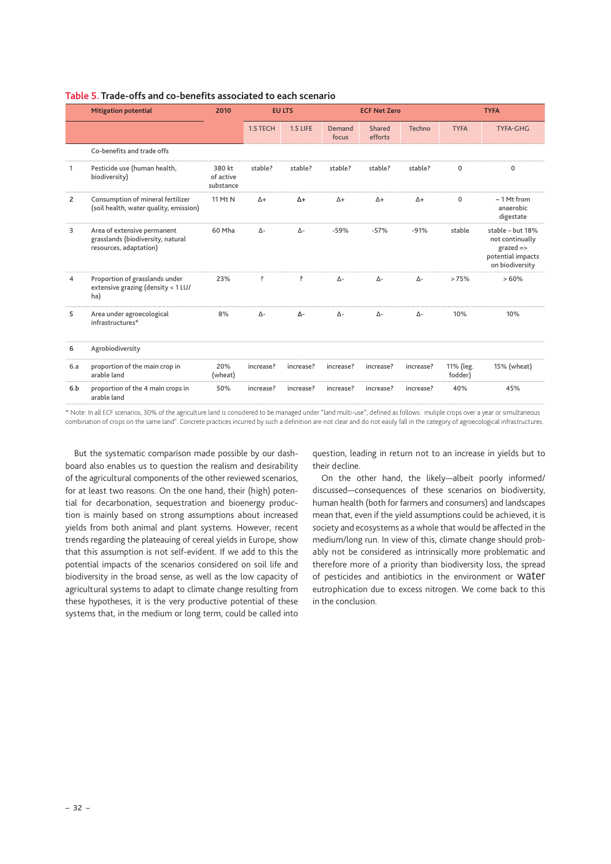|                | <b>Mitigation potential</b>                                                                | 2010                             |            | <b>EU LTS</b>   |                 | <b>ECF Net Zero</b> |             |                      | <b>TYFA</b>                                                                             |
|----------------|--------------------------------------------------------------------------------------------|----------------------------------|------------|-----------------|-----------------|---------------------|-------------|----------------------|-----------------------------------------------------------------------------------------|
|                |                                                                                            |                                  | 1.5 TECH   | <b>1.5 LIFE</b> | Demand<br>focus | Shared<br>efforts   | Techno      | <b>TYFA</b>          | <b>TYFA-GHG</b>                                                                         |
|                | Co-benefits and trade offs                                                                 |                                  |            |                 |                 |                     |             |                      |                                                                                         |
| 1              | Pesticide use (human health,<br>biodiversity)                                              | 380 kt<br>of active<br>substance | stable?    | stable?         | stable?         | stable?             | stable?     | $\mathbf{0}$         | $\Omega$                                                                                |
| $\overline{2}$ | Consumption of mineral fertilizer<br>(soil health, water quality, emission)                | 11 Mt N                          | $\Delta +$ | $\Delta +$      | $\Delta +$      | $\Delta +$          | $\Delta +$  | $\Omega$             | $\sim$ 1 Mt from<br>anaerobic<br>digestate                                              |
| 3              | Area of extensive permanent<br>grasslands (biodiversity, natural<br>resources, adaptation) | 60 Mha                           | $\Delta$ - | $\Delta$ -      | $-59%$          | $-57%$              | $-91%$      | stable               | stable - but 18%<br>not continually<br>$grad =$<br>potential impacts<br>on biodiversity |
| 4              | Proportion of grasslands under<br>extensive grazing (density < 1 LU/<br>ha)                | 23%                              | ?          | $\ddot{?}$      | $\Delta$ -      | $\Delta$ -          | $\Delta$ -  | >75%                 | >60%                                                                                    |
| 5              | Area under agroecological<br>infrastructures*                                              | 8%                               | $\Delta$ - | Δ-              | $\Delta$ -      | $\Lambda$ -         | $\Lambda$ - | 10%                  | 10%                                                                                     |
| 6              | Agrobiodiversity                                                                           |                                  |            |                 |                 |                     |             |                      |                                                                                         |
| 6.a            | proportion of the main crop in<br>arable land                                              | 20%<br>(wheat)                   | increase?  | increase?       | increase?       | increase?           | increase?   | 11% (leg.<br>fodder) | 15% (wheat)                                                                             |
| 6.b            | proportion of the 4 main crops in<br>arable land                                           | 50%                              | increase?  | increase?       | increase?       | increase?           | increase?   | 40%                  | 45%                                                                                     |

#### <span id="page-31-1"></span><span id="page-31-0"></span>**Table 5. Trade-offs and co-benefits associated to each scenario**

\* Note: In all ECF scenarios, 30% of the agriculture land is considered to be managed under "land multi-use", defined as follows: muliple crops over a year or simultaneous combination of crops on the same land". Concrete practices incurred by such a definition are not clear and do not easily fall in the category of agroecological infrastructures.

But the systematic comparison made possible by our dashboard also enables us to question the realism and desirability of the agricultural components of the other reviewed scenarios, for at least two reasons. On the one hand, their (high) potential for decarbonation, sequestration and bioenergy production is mainly based on strong assumptions about increased yields from both animal and plant systems. However, recent trends regarding the plateauing of cereal yields in Europe, show that this assumption is not self-evident. If we add to this the potential impacts of the scenarios considered on soil life and biodiversity in the broad sense, as well as the low capacity of agricultural systems to adapt to climate change resulting from these hypotheses, it is the very productive potential of these systems that, in the medium or long term, could be called into question, leading in return not to an increase in yields but to their decline.

On the other hand, the likely—albeit poorly informed/ discussed—consequences of these scenarios on biodiversity, human health (both for farmers and consumers) and landscapes mean that, even if the yield assumptions could be achieved, it is society and ecosystems as a whole that would be affected in the medium/long run. In view of this, climate change should probably not be considered as intrinsically more problematic and therefore more of a priority than biodiversity loss, the spread of pesticides and antibiotics in the environment or water eutrophication due to excess nitrogen. We come back to this in the conclusion.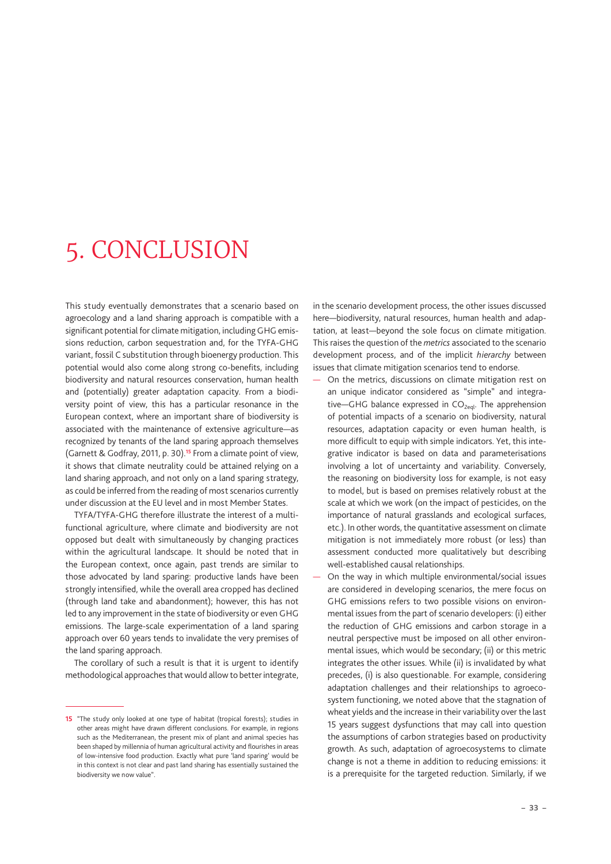# <span id="page-32-0"></span>5. CONCLUSION

This study eventually demonstrates that a scenario based on agroecology and a land sharing approach is compatible with a significant potential for climate mitigation, including GHG emissions reduction, carbon sequestration and, for the TYFA-GHG variant, fossil C substitution through bioenergy production. This potential would also come along strong co-benefits, including biodiversity and natural resources conservation, human health and (potentially) greater adaptation capacity. From a biodiversity point of view, this has a particular resonance in the European context, where an important share of biodiversity is associated with the maintenance of extensive agriculture—as recognized by tenants of the land sparing approach themselves (Garnett & Godfray, 2011, p. 30).**15** From a climate point of view, it shows that climate neutrality could be attained relying on a land sharing approach, and not only on a land sparing strategy, as could be inferred from the reading of most scenarios currently under discussion at the EU level and in most Member States.

TYFA/TYFA-GHG therefore illustrate the interest of a multifunctional agriculture, where climate and biodiversity are not opposed but dealt with simultaneously by changing practices within the agricultural landscape. It should be noted that in the European context, once again, past trends are similar to those advocated by land sparing: productive lands have been strongly intensified, while the overall area cropped has declined (through land take and abandonment); however, this has not led to any improvement in the state of biodiversity or even GHG emissions. The large-scale experimentation of a land sparing approach over 60 years tends to invalidate the very premises of the land sparing approach.

The corollary of such a result is that it is urgent to identify methodological approaches that would allow to better integrate, in the scenario development process, the other issues discussed here—biodiversity, natural resources, human health and adaptation, at least—beyond the sole focus on climate mitigation. This raises the question of the *metrics* associated to the scenario development process, and of the implicit *hierarchy* between issues that climate mitigation scenarios tend to endorse.

— On the metrics, discussions on climate mitigation rest on an unique indicator considered as "simple" and integrative-GHG balance expressed in CO<sub>2eql</sub>. The apprehension of potential impacts of a scenario on biodiversity, natural resources, adaptation capacity or even human health, is more difficult to equip with simple indicators. Yet, this integrative indicator is based on data and parameterisations involving a lot of uncertainty and variability. Conversely, the reasoning on biodiversity loss for example, is not easy to model, but is based on premises relatively robust at the scale at which we work (on the impact of pesticides, on the importance of natural grasslands and ecological surfaces, etc.). In other words, the quantitative assessment on climate mitigation is not immediately more robust (or less) than assessment conducted more qualitatively but describing well-established causal relationships.

— On the way in which multiple environmental/social issues are considered in developing scenarios, the mere focus on GHG emissions refers to two possible visions on environmental issues from the part of scenario developers: (i) either the reduction of GHG emissions and carbon storage in a neutral perspective must be imposed on all other environmental issues, which would be secondary; (ii) or this metric integrates the other issues. While (ii) is invalidated by what precedes, (i) is also questionable. For example, considering adaptation challenges and their relationships to agroecosystem functioning, we noted above that the stagnation of wheat yields and the increase in their variability over the last 15 years suggest dysfunctions that may call into question the assumptions of carbon strategies based on productivity growth. As such, adaptation of agroecosystems to climate change is not a theme in addition to reducing emissions: it is a prerequisite for the targeted reduction. Similarly, if we

**<sup>15</sup>** "The study only looked at one type of habitat (tropical forests); studies in other areas might have drawn different conclusions. For example, in regions such as the Mediterranean, the present mix of plant and animal species has been shaped by millennia of human agricultural activity and flourishes in areas of low-intensive food production. Exactly what pure 'land sparing' would be in this context is not clear and past land sharing has essentially sustained the biodiversity we now value".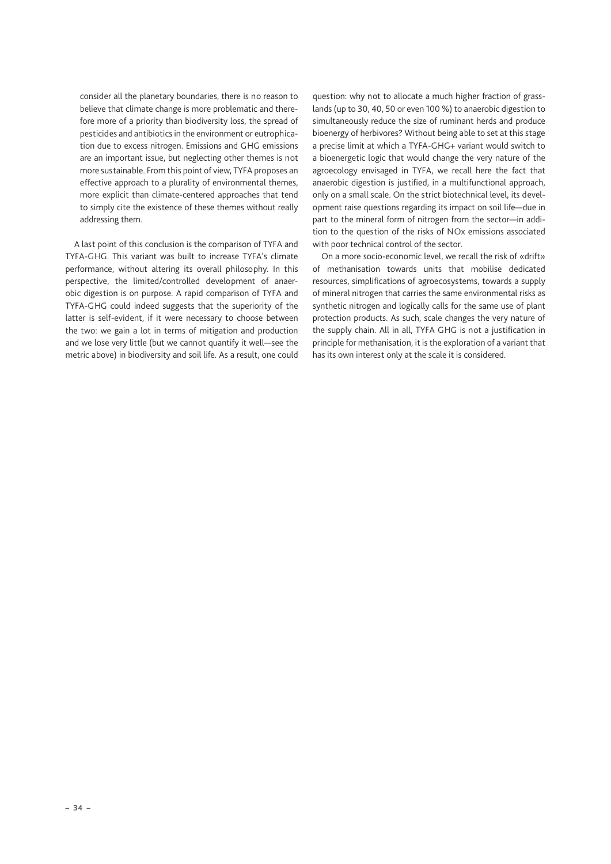consider all the planetary boundaries, there is no reason to believe that climate change is more problematic and therefore more of a priority than biodiversity loss, the spread of pesticides and antibiotics in the environment or eutrophication due to excess nitrogen. Emissions and GHG emissions are an important issue, but neglecting other themes is not more sustainable. From this point of view, TYFA proposes an effective approach to a plurality of environmental themes, more explicit than climate-centered approaches that tend to simply cite the existence of these themes without really addressing them.

A last point of this conclusion is the comparison of TYFA and TYFA-GHG. This variant was built to increase TYFA's climate performance, without altering its overall philosophy. In this perspective, the limited/controlled development of anaerobic digestion is on purpose. A rapid comparison of TYFA and TYFA-GHG could indeed suggests that the superiority of the latter is self-evident, if it were necessary to choose between the two: we gain a lot in terms of mitigation and production and we lose very little (but we cannot quantify it well—see the metric above) in biodiversity and soil life. As a result, one could question: why not to allocate a much higher fraction of grasslands (up to 30, 40, 50 or even 100 %) to anaerobic digestion to simultaneously reduce the size of ruminant herds and produce bioenergy of herbivores? Without being able to set at this stage a precise limit at which a TYFA-GHG+ variant would switch to a bioenergetic logic that would change the very nature of the agroecology envisaged in TYFA, we recall here the fact that anaerobic digestion is justified, in a multifunctional approach, only on a small scale. On the strict biotechnical level, its development raise questions regarding its impact on soil life—due in part to the mineral form of nitrogen from the sector—in addition to the question of the risks of NOx emissions associated with poor technical control of the sector.

On a more socio-economic level, we recall the risk of «drift» of methanisation towards units that mobilise dedicated resources, simplifications of agroecosystems, towards a supply of mineral nitrogen that carries the same environmental risks as synthetic nitrogen and logically calls for the same use of plant protection products. As such, scale changes the very nature of the supply chain. All in all, TYFA GHG is not a justification in principle for methanisation, it is the exploration of a variant that has its own interest only at the scale it is considered.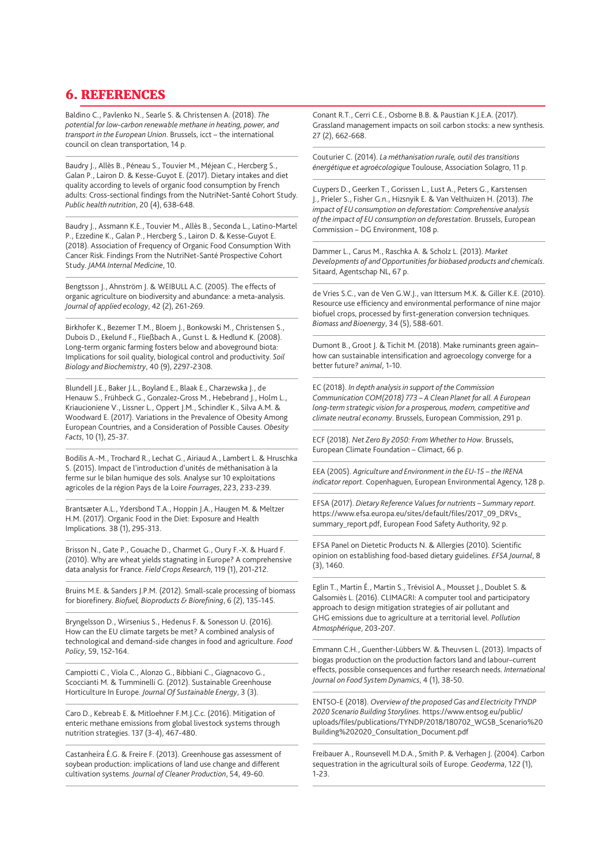# <span id="page-34-0"></span>6. REFERENCES

Baldino C., Pavlenko N., Searle S. & Christensen A. (2018). *The potential for low-carbon renewable methane in heating, power, and transport in the European Union*. Brussels, icct – the international council on clean transportation, 14 p.

Baudry J., Allès B., Péneau S., Touvier M., Méjean C., Hercberg S., Galan P., Lairon D. & Kesse-Guyot E. (2017). Dietary intakes and diet quality according to levels of organic food consumption by French adults: Cross-sectional findings from the NutriNet-Santé Cohort Study. *Public health nutrition*, 20 (4), 638-648.

Baudry J., Assmann K.E., Touvier M., Allès B., Seconda L., Latino-Martel P., Ezzedine K., Galan P., Hercberg S., Lairon D. & Kesse-Guyot E. (2018). Association of Frequency of Organic Food Consumption With Cancer Risk. Findings From the NutriNet-Santé Prospective Cohort Study. *JAMA Internal Medicine*, 10.

Bengtsson J., Ahnström J. & WEIBULL A.C. (2005). The effects of organic agriculture on biodiversity and abundance: a meta-analysis. *Journal of applied ecology*, 42 (2), 261-269.

Birkhofer K., Bezemer T.M., Bloem J., Bonkowski M., Christensen S., Dubois D., Ekelund F., Fließbach A., Gunst L. & Hedlund K. (2008). Long-term organic farming fosters below and aboveground biota: Implications for soil quality, biological control and productivity. *Soil Biology and Biochemistry*, 40 (9), 2297-2308.

Blundell J.E., Baker J.L., Boyland E., Blaak E., Charzewska J., de Henauw S., Frühbeck G., Gonzalez-Gross M., Hebebrand J., Holm L., Kriaucioniene V., Lissner L., Oppert J.M., Schindler K., Silva A.M. & Woodward E. (2017). Variations in the Prevalence of Obesity Among European Countries, and a Consideration of Possible Causes. *Obesity Facts*, 10 (1), 25-37.

Bodilis A.-M., Trochard R., Lechat G., Airiaud A., Lambert L. & Hruschka S. (2015). Impact de l'introduction d'unités de méthanisation à la ferme sur le bilan humique des sols. Analyse sur 10 exploitations agricoles de la région Pays de la Loire *Fourrages*, 223, 233-239.

Brantsæter A.L., Ydersbond T.A., Hoppin J.A., Haugen M. & Meltzer H.M. (2017). Organic Food in the Diet: Exposure and Health Implications. 38 (1), 295-313.

Brisson N., Gate P., Gouache D., Charmet G., Oury F.-X. & Huard F. (2010). Why are wheat yields stagnating in Europe? A comprehensive data analysis for France. *Field Crops Research*, 119 (1), 201-212.

Bruins M.E. & Sanders J.P.M. (2012). Small-scale processing of biomass for biorefinery. *Biofuel, Bioproducts & Biorefining*, 6 (2), 135-145.

Bryngelsson D., Wirsenius S., Hedenus F. & Sonesson U. (2016). How can the EU climate targets be met? A combined analysis of technological and demand-side changes in food and agriculture. *Food Policy*, 59, 152-164.

Campiotti C., Viola C., Alonzo G., Bibbiani C., Giagnacovo G., Scoccianti M. & Tumminelli G. (2012). Sustainable Greenhouse Horticulture In Europe. *Journal Of Sustainable Energy*, 3 (3).

Caro D., Kebreab E. & Mitloehner F.M.J.C.c. (2016). Mitigation of enteric methane emissions from global livestock systems through nutrition strategies. 137 (3-4), 467-480.

Castanheira É.G. & Freire F. (2013). Greenhouse gas assessment of soybean production: implications of land use change and different cultivation systems. *Journal of Cleaner Production*, 54, 49-60.

Conant R.T., Cerri C.E., Osborne B.B. & Paustian K.J.E.A. (2017). Grassland management impacts on soil carbon stocks: a new synthesis. 27 (2), 662-668.

Couturier C. (2014). *La méthanisation rurale, outil des transitions énergétique et agroécologique* Toulouse, Association Solagro, 11 p.

Cuypers D., Geerken T., Gorissen L., Lust A., Peters G., Karstensen J., Prieler S., Fisher G.n., Hizsnyik E. & Van Velthuizen H. (2013). *The impact of EU consumption on deforestation: Comprehensive analysis of the impact of EU consumption on deforestation*. Brussels, European Commission – DG Environment, 108 p.

Dammer L., Carus M., Raschka A. & Scholz L. (2013). *Market Developments of and Opportunities for biobased products and chemicals*. Sitaard, Agentschap NL, 67 p.

de Vries S.C., van de Ven G.W.J., van Ittersum M.K. & Giller K.E. (2010). Resource use efficiency and environmental performance of nine major biofuel crops, processed by first-generation conversion techniques. *Biomass and Bioenergy*, 34 (5), 588-601.

Dumont B., Groot J. & Tichit M. (2018). Make ruminants green againhow can sustainable intensification and agroecology converge for a better future? *animal*, 1-10.

EC (2018). *In depth analysis in support of the Commission Communication COM(2018) 773 – A Clean Planet for all. A European long-term strategic vision for a prosperous, modern, competitive and climate neutral economy*. Brussels, European Commission, 291 p.

ECF (2018). *Net Zero By 2050: From Whether to How*. Brussels, European Climate Foundation – Climact, 66 p.

EEA (2005). *Agriculture and Environment in the EU-15 – the IRENA indicator report*. Copenhaguen, European Environmental Agency, 128 p.

EFSA (2017). *Dietary Reference Values for nutrients – Summary report*. [https://www.efsa.europa.eu/sites/default/files/2017\\_09\\_DRVs\\_](https://www.efsa.europa.eu/sites/default/files/2017_09_DRVs_summary_report.pdf) [summary\\_report.pdf](https://www.efsa.europa.eu/sites/default/files/2017_09_DRVs_summary_report.pdf), European Food Safety Authority, 92 p.

EFSA Panel on Dietetic Products N. & Allergies (2010). Scientific opinion on establishing food-based dietary guidelines. *EFSA Journal*, 8 (3), 1460.

Eglin T., Martin É., Martin S., Trévisiol A., Mousset J., Doublet S. & Galsomiès L. (2016). CLIMAGRI: A computer tool and participatory approach to design mitigation strategies of air pollutant and GHG emissions due to agriculture at a territorial level. *Pollution Atmosphérique*, 203-207.

Emmann C.H., Guenther-Lübbers W. & Theuvsen L. (2013). Impacts of biogas production on the production factors land and labour–current effects, possible consequences and further research needs. *International Journal on Food System Dynamics*, 4 (1), 38-50.

ENTSO-E (2018). *Overview of the proposed Gas and Electricity TYNDP 2020 Scenario Building Storylines*. [https://www.entsog.eu/public/](https://www.entsog.eu/public/uploads/files/publications/TYNDP/2018/180702_WGSB_Scenario%20Building%202020_Consultation_Document.pdf) [uploads/files/publications/TYNDP/2018/180702\\_WGSB\\_Scenario%20](https://www.entsog.eu/public/uploads/files/publications/TYNDP/2018/180702_WGSB_Scenario%20Building%202020_Consultation_Document.pdf) [Building%202020\\_Consultation\\_Document.pdf](https://www.entsog.eu/public/uploads/files/publications/TYNDP/2018/180702_WGSB_Scenario%20Building%202020_Consultation_Document.pdf)

Freibauer A., Rounsevell M.D.A., Smith P. & Verhagen J. (2004). Carbon sequestration in the agricultural soils of Europe. *Geoderma*, 122 (1), 1-23.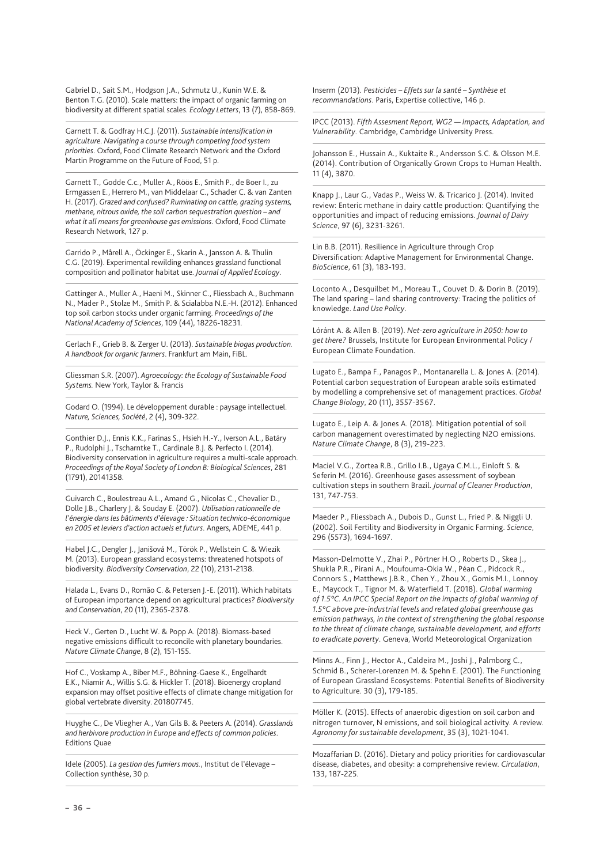Gabriel D., Sait S.M., Hodgson J.A., Schmutz U., Kunin W.E. & Benton T.G. (2010). Scale matters: the impact of organic farming on biodiversity at different spatial scales. *Ecology Letters*, 13 (7), 858-869.

Garnett T. & Godfray H.C.J. (2011). *Sustainable intensification in agriculture. Navigating a course through competing food system priorities*. Oxford, Food Climate Research Network and the Oxford Martin Programme on the Future of Food, 51 p.

Garnett T., Godde C.c., Muller A., Röös E., Smith P., de Boer I., zu Ermgassen E., Herrero M., van Middelaar C., Schader C. & van Zanten H. (2017). *Grazed and confused? Ruminating on cattle, grazing systems, methane, nitrous oxide, the soil carbon sequestration question – and what it all means for greenhouse gas emissions*. Oxford, Food Climate Research Network, 127 p.

Garrido P., Mårell A., Öckinger E., Skarin A., Jansson A. & Thulin C.G. (2019). Experimental rewilding enhances grassland functional composition and pollinator habitat use. *Journal of Applied Ecology*.

Gattinger A., Muller A., Haeni M., Skinner C., Fliessbach A., Buchmann N., Mäder P., Stolze M., Smith P. & Scialabba N.E.-H. (2012). Enhanced top soil carbon stocks under organic farming. *Proceedings of the National Academy of Sciences*, 109 (44), 18226-18231.

Gerlach F., Grieb B. & Zerger U. (2013). *Sustainable biogas production. A handbook for organic farmers*. Frankfurt am Main, FiBL.

Gliessman S.R. (2007). *Agroecology: the Ecology of Sustainable Food Systems.* New York, Taylor & Francis

Godard O. (1994). Le développement durable : paysage intellectuel. *Nature, Sciences, Société*, 2 (4), 309-322.

Gonthier D.J., Ennis K.K., Farinas S., Hsieh H.-Y., Iverson A.L., Batáry P., Rudolphi J., Tscharntke T., Cardinale B.J. & Perfecto I. (2014). Biodiversity conservation in agriculture requires a multi-scale approach. *Proceedings of the Royal Society of London B: Biological Sciences*, 281 (1791), 20141358.

Guivarch C., Boulestreau A.L., Amand G., Nicolas C., Chevalier D., Dolle J.B., Charlery J. & Souday E. (2007). *Utilisation rationnelle de l'énergie dans les bâtiments d'élevage : Situation technico-économique en 2005 et leviers d'action actuels et futurs*. Angers, ADEME, 441 p.

Habel J.C., Dengler J., Janišová M., Török P., Wellstein C. & Wiezik M. (2013). European grassland ecosystems: threatened hotspots of biodiversity. *Biodiversity Conservation*, 22 (10), 2131-2138.

Halada L., Evans D., Romão C. & Petersen J.-E. (2011). Which habitats of European importance depend on agricultural practices? *Biodiversity and Conservation*, 20 (11), 2365-2378.

Heck V., Gerten D., Lucht W. & Popp A. (2018). Biomass-based negative emissions difficult to reconcile with planetary boundaries. *Nature Climate Change*, 8 (2), 151-155.

Hof C., Voskamp A., Biber M.F., Böhning-Gaese K., Engelhardt E.K., Niamir A., Willis S.G. & Hickler T. (2018). Bioenergy cropland expansion may offset positive effects of climate change mitigation for global vertebrate diversity. 201807745.

Huyghe C., De Vliegher A., Van Gils B. & Peeters A. (2014). *Grasslands and herbivore production in Europe and effects of common policies*. Editions Quae

Idele (2005). *La gestion des fumiers mous.*, Institut de l'élevage – Collection synthèse, 30 p.

Inserm (2013). *Pesticides – Effets sur la santé – Synthèse et recommandations*. Paris, Expertise collective, 146 p.

IPCC (2013). *Fifth Assesment Report, WG2 — Impacts, Adaptation, and Vulnerability*. Cambridge, Cambridge University Press.

Johansson E., Hussain A., Kuktaite R., Andersson S.C. & Olsson M.E. (2014). Contribution of Organically Grown Crops to Human Health. 11 (4), 3870.

Knapp J., Laur G., Vadas P., Weiss W. & Tricarico J. (2014). Invited review: Enteric methane in dairy cattle production: Quantifying the opportunities and impact of reducing emissions. *Journal of Dairy Science*, 97 (6), 3231-3261.

Lin B.B. (2011). Resilience in Agriculture through Crop Diversification: Adaptive Management for Environmental Change. *BioScience*, 61 (3), 183-193.

Loconto A., Desquilbet M., Moreau T., Couvet D. & Dorin B. (2019). The land sparing – land sharing controversy: Tracing the politics of knowledge. *Land Use Policy*.

Lóránt A. & Allen B. (2019). *Net-zero agriculture in 2050: how to get there?* Brussels, Institute for European Environmental Policy / European Climate Foundation.

Lugato E., Bampa F., Panagos P., Montanarella L. & Jones A. (2014). Potential carbon sequestration of European arable soils estimated by modelling a comprehensive set of management practices. *Global Change Biology*, 20 (11), 3557-3567.

Lugato E., Leip A. & Jones A. (2018). Mitigation potential of soil carbon management overestimated by neglecting N2O emissions. *Nature Climate Change*, 8 (3), 219-223.

Maciel V.G., Zortea R.B., Grillo I.B., Ugaya C.M.L., Einloft S. & Seferin M. (2016). Greenhouse gases assessment of soybean cultivation steps in southern Brazil. *Journal of Cleaner Production*, 131, 747-753.

Maeder P., Fliessbach A., Dubois D., Gunst L., Fried P. & Niggli U. (2002). Soil Fertility and Biodiversity in Organic Farming. *Science*, 296 (5573), 1694-1697.

Masson-Delmotte V., Zhai P., Pörtner H.O., Roberts D., Skea J., Shukla P.R., Pirani A., Moufouma-Okia W., Péan C., Pidcock R., Connors S., Matthews J.B.R., Chen Y., Zhou X., Gomis M.I., Lonnoy E., Maycock T., Tignor M. & Waterfield T. (2018). *Global warming of 1.5°C. An IPCC Special Report on the impacts of global warming of 1.5°C above pre-industrial levels and related global greenhouse gas emission pathways, in the context of strengthening the global response to the threat of climate change, sustainable development, and efforts to eradicate poverty*. Geneva, World Meteorological Organization

Minns A., Finn J., Hector A., Caldeira M., Joshi J., Palmborg C., Schmid B., Scherer-Lorenzen M. & Spehn E. (2001). The Functioning of European Grassland Ecosystems: Potential Benefits of Biodiversity to Agriculture. 30 (3), 179-185.

Möller K. (2015). Effects of anaerobic digestion on soil carbon and nitrogen turnover, N emissions, and soil biological activity. A review. *Agronomy for sustainable development*, 35 (3), 1021-1041.

Mozaffarian D. (2016). Dietary and policy priorities for cardiovascular disease, diabetes, and obesity: a comprehensive review. *Circulation*, 133, 187-225.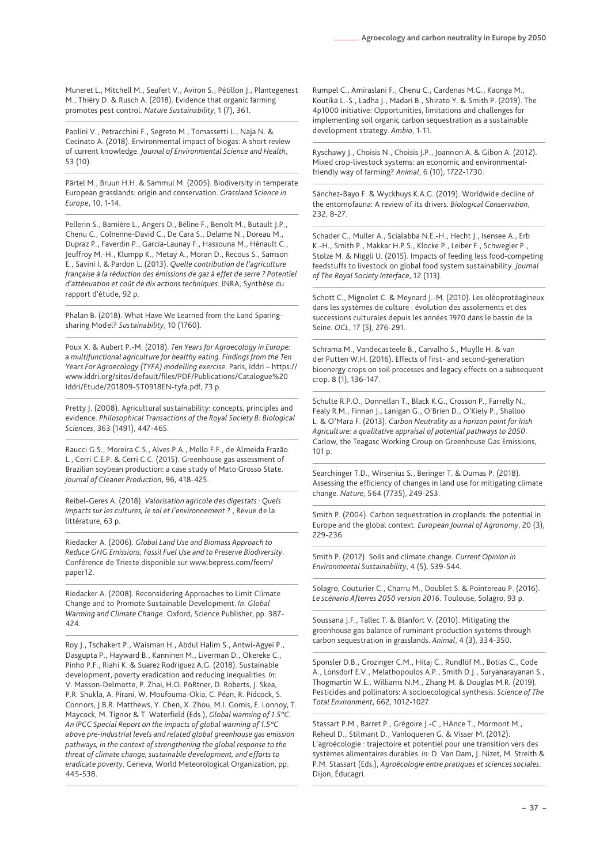Muneret L., Mitchell M., Seufert V., Aviron S., Pétillon J., Plantegenest M., Thiéry D. & Rusch A. (2018). Evidence that organic farming promotes pest control. *Nature Sustainability*, 1 (7), 361.

Paolini V., Petracchini F., Segreto M., Tomassetti L., Naja N. & Cecinato A. (2018). Environmental impact of biogas: A short review of current knowledge. *Journal of Environmental Science and Health*, 53 (10).

Pärtel M., Bruun H.H. & Sammul M. (2005). Biodiversity in temperate European grasslands: origin and conservation. *Grassland Science in Europe*, 10, 1-14.

Pellerin S., Bamière L., Angers D., Béline F., Benoît M., Butault J.P., Chenu C., Colnenne-David C., De Cara S., Delame N., Doreau M., Dupraz P., Faverdin P., Garcia-Launay F., Hassouna M., Hénault C., Jeuffroy M.-H., Klumpp K., Metay A., Moran D., Recous S., Samson E., Savini I. & Pardon L. (2013). *Quelle contribution de l'agriculture française à la réduction des émissions de gaz à effet de serre ? Potentiel d'atténuation et coût de dix actions techniques*. INRA, Synthèse du rapport d'étude, 92 p.

Phalan B. (2018). What Have We Learned from the Land Sparingsharing Model? *Sustainability*, 10 (1760).

Poux X. & Aubert P.-M. (2018). *Ten Years for Agroecology in Europe: a multifunctional agriculture for healthy eating. Findings from the Ten Years For Agroecology (TYFA) modelling exercise*. Paris, Iddri – [https://](https://www.iddri.org/sites/default/files/PDF/Publications/Catalogue%20Iddri/Etude/201809-ST0918EN-tyfa.pdf) [www.iddri.org/sites/default/files/PDF/Publications/Catalogue%20](https://www.iddri.org/sites/default/files/PDF/Publications/Catalogue%20Iddri/Etude/201809-ST0918EN-tyfa.pdf) [Iddri/Etude/201809-ST0918EN-tyfa.pdf,](https://www.iddri.org/sites/default/files/PDF/Publications/Catalogue%20Iddri/Etude/201809-ST0918EN-tyfa.pdf) 73 p.

Pretty J. (2008). Agricultural sustainability: concepts, principles and evidence. *Philosophical Transactions of the Royal Society B: Biological Sciences*, 363 (1491), 447-465.

Raucci G.S., Moreira C.S., Alves P.A., Mello F.F., de Almeida Frazão L., Cerri C.E.P. & Cerri C.C. (2015). Greenhouse gas assessment of Brazilian soybean production: a case study of Mato Grosso State. *Journal of Cleaner Production*, 96, 418-425.

Reibel-Geres A. (2018). *Valorisation agricole des digestats : Quels impacts sur les cultures, le sol et l'environnement ?* , Revue de la littérature, 63 p.

Riedacker A. (2006). *Global Land Use and Biomass Approach to Reduce GHG Emissions, Fossil Fuel Use and to Preserve Biodiversity*. Conférence de Trieste disponible sur [www.bepress.com/feem/](file:///C:\Temp\www.bepress.com\feem\paper12) [paper12](file:///C:\Temp\www.bepress.com\feem\paper12).

Riedacker A. (2008). Reconsidering Approaches to Limit Climate Change and to Promote Sustainable Development. *In*: *Global Warming and Climate Change*. Oxford, Science Publisher, pp. 387- 424.

Roy J., Tschakert P., Waisman H., Abdul Halim S., Antwi-Agyei P., Dasgupta P., Hayward B., Kanninen M., Liverman D., Okereke C., Pinho P.F., Riahi K. & Suarez Rodriguez A.G. (2018). Sustainable development, poverty eradication and reducing inequalities. *In*: V. Masson-Delmotte, P. Zhai, H.O. PöRtner, D. Roberts, J. Skea, P.R. Shukla, A. Pirani, W. Moufouma-Okia, C. Péan, R. Pidcock, S. Connors, J.B.R. Matthews, Y. Chen, X. Zhou, M.I. Gomis, E. Lonnoy, T. Maycock, M. Tignor & T. Waterfield (Eds.), *Global warming of 1.5°C. An IPCC Special Report on the impacts of global warming of 1.5°C above pre-industrial levels and related global greenhouse gas emission pathways, in the context of strengthening the global response to the threat of climate change, sustainable development, and efforts to eradicate poverty*. Geneva, World Meteorological Organization, pp. 445-538.

Rumpel C., Amiraslani F., Chenu C., Cardenas M.G., Kaonga M., Koutika L.-S., Ladha J., Madari B., Shirato Y. & Smith P. (2019). The 4p1000 initiative: Opportunities, limitations and challenges for implementing soil organic carbon sequestration as a sustainable development strategy. *Ambio*, 1-11.

Ryschawy J., Choisis N., Choisis J.P., Joannon A. & Gibon A. (2012). Mixed crop-livestock systems: an economic and environmentalfriendly way of farming? *Animal*, 6 (10), 1722-1730.

Sánchez-Bayo F. & Wyckhuys K.A.G. (2019). Worldwide decline of the entomofauna: A review of its drivers. *Biological Conservation*, 232, 8-27.

Schader C., Muller A., Scialabba N.E.-H., Hecht J., Isensee A., Erb K.-H., Smith P., Makkar H.P.S., Klocke P., Leiber F., Schwegler P., Stolze M. & Niggli U. (2015). Impacts of feeding less food-competing feedstuffs to livestock on global food system sustainability. *Journal of The Royal Society Interface*, 12 (113).

Schott C., Mignolet C. & Meynard J.-M. (2010). Les oléoprotéagineux dans les systèmes de culture : évolution des assolements et des successions culturales depuis les années 1970 dans le bassin de la Seine. *OCL*, 17 (5), 276-291.

Schrama M., Vandecasteele B., Carvalho S., Muylle H. & van der Putten W.H. (2016). Effects of first- and second-generation bioenergy crops on soil processes and legacy effects on a subsequent crop. 8 (1), 136-147.

Schulte R.P.O., Donnellan T., Black K.G., Crosson P., Farrelly N., Fealy R.M., Finnan J., Lanigan G., O'Brien D., O'Kiely P., Shalloo L. & O'Mara F. (2013). *Carbon Neutrality as a horizon point for Irish Agriculture: a qualitative appraisal of potential pathways to 2050*. Carlow, the Teagasc Working Group on Greenhouse Gas Emissions, 101 p.

Searchinger T.D., Wirsenius S., Beringer T. & Dumas P. (2018). Assessing the efficiency of changes in land use for mitigating climate change. *Nature*, 564 (7735), 249-253.

Smith P. (2004). Carbon sequestration in croplands: the potential in Europe and the global context. *European Journal of Agronomy*, 20 (3), 229-236.

Smith P. (2012). Soils and climate change. *Current Opinion in Environmental Sustainability*, 4 (5), 539-544.

Solagro, Couturier C., Charru M., Doublet S. & Pointereau P. (2016). *Le scénario Afterres 2050 version 2016*. Toulouse, Solagro, 93 p.

Soussana J.F., Tallec T. & Blanfort V. (2010). Mitigating the greenhouse gas balance of ruminant production systems through carbon sequestration in grasslands. *Animal*, 4 (3), 334-350.

Sponsler D.B., Grozinger C.M., Hitaj C., Rundlöf M., Botías C., Code A., Lonsdorf E.V., Melathopoulos A.P., Smith D.J., Suryanarayanan S., Thogmartin W.E., Williams N.M., Zhang M. & Douglas M.R. (2019). Pesticides and pollinators: A socioecological synthesis. *Science of The Total Environment*, 662, 1012-1027.

Stassart P.M., Barret P., Grégoire J.-C., HAnce T., Mormont M., Reheul D., Stilmant D., Vanloqueren G. & Visser M. (2012). L'agroécologie : trajectoire et potentiel pour une transition vers des systèmes alimentaires durables. *In*: D. Van Dam, J. Nizet, M. Streith & P.M. Stassart (Eds.), *Agroécologie entre pratiques et sciences sociales*. Dijon, Éducagri.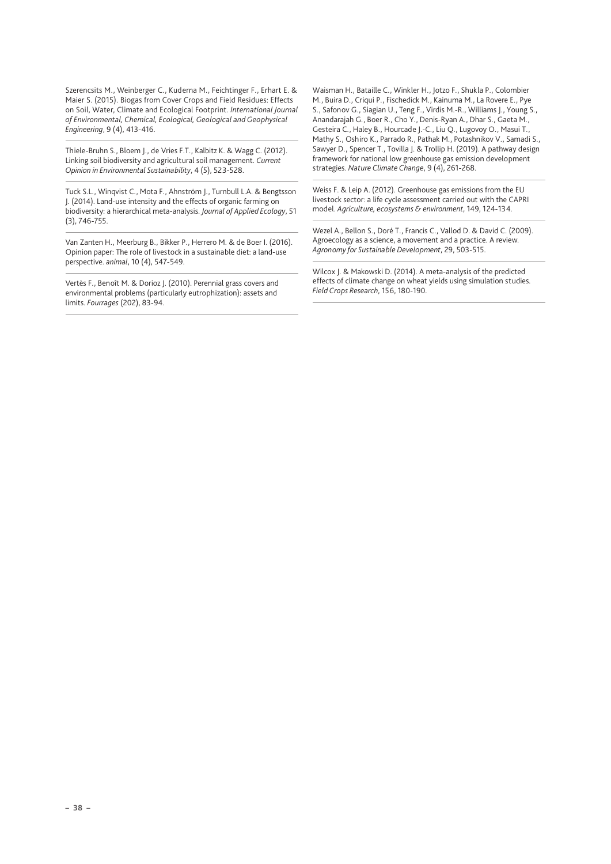Szerencsits M., Weinberger C., Kuderna M., Feichtinger F., Erhart E. & Maier S. (2015). Biogas from Cover Crops and Field Residues: Effects on Soil, Water, Climate and Ecological Footprint. *International Journal of Environmental, Chemical, Ecological, Geological and Geophysical Engineering*, 9 (4), 413-416.

Thiele-Bruhn S., Bloem J., de Vries F.T., Kalbitz K. & Wagg C. (2012). Linking soil biodiversity and agricultural soil management. *Current Opinion in Environmental Sustainability*, 4 (5), 523-528.

Tuck S.L., Winqvist C., Mota F., Ahnström J., Turnbull L.A. & Bengtsson J. (2014). Land-use intensity and the effects of organic farming on biodiversity: a hierarchical meta-analysis. *Journal of Applied Ecology*, 51 (3), 746-755.

Van Zanten H., Meerburg B., Bikker P., Herrero M. & de Boer I. (2016). Opinion paper: The role of livestock in a sustainable diet: a land-use perspective. *animal*, 10 (4), 547-549.

Vertès F., Benoît M. & Dorioz J. (2010). Perennial grass covers and environmental problems (particularly eutrophization): assets and limits. *Fourrages* (202), 83-94.

Waisman H., Bataille C., Winkler H., Jotzo F., Shukla P., Colombier M., Buira D., Criqui P., Fischedick M., Kainuma M., La Rovere E., Pye S., Safonov G., Siagian U., Teng F., Virdis M.-R., Williams J., Young S., Anandarajah G., Boer R., Cho Y., Denis-Ryan A., Dhar S., Gaeta M., Gesteira C., Haley B., Hourcade J.-C., Liu Q., Lugovoy O., Masui T., Mathy S., Oshiro K., Parrado R., Pathak M., Potashnikov V., Samadi S., Sawyer D., Spencer T., Tovilla J. & Trollip H. (2019). A pathway design framework for national low greenhouse gas emission development strategies. *Nature Climate Change*, 9 (4), 261-268.

Weiss F. & Leip A. (2012). Greenhouse gas emissions from the EU livestock sector: a life cycle assessment carried out with the CAPRI model. *Agriculture, ecosystems & environment*, 149, 124-134.

Wezel A., Bellon S., Doré T., Francis C., Vallod D. & David C. (2009). Agroecology as a science, a movement and a practice. A review. *Agronomy for Sustainable Development*, 29, 503-515.

Wilcox J. & Makowski D. (2014). A meta-analysis of the predicted effects of climate change on wheat yields using simulation studies. *Field Crops Research*, 156, 180-190.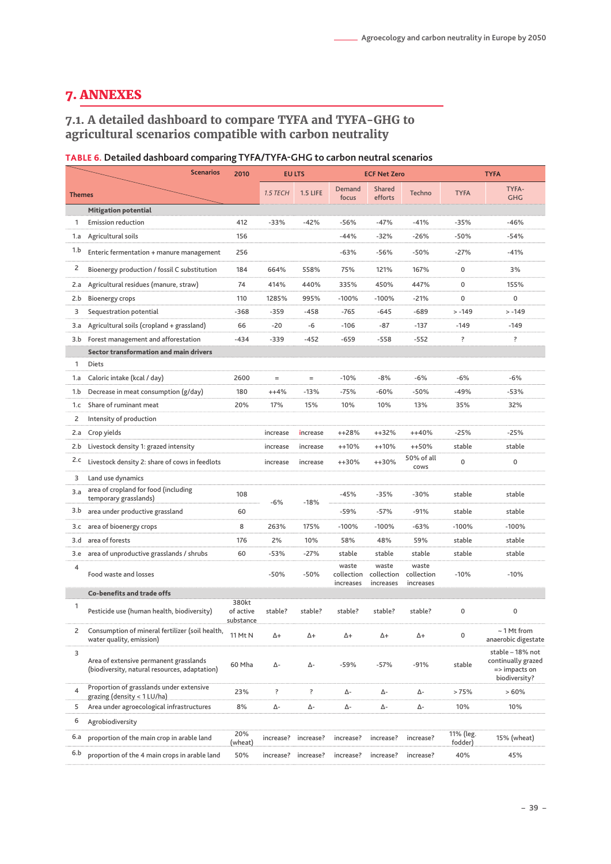# <span id="page-38-0"></span>7. ANNEXES

# **7.1. A detailed dashboard to compare TYFA and TYFA-GHG to agricultural scenarios compatible with carbon neutrality**

# **TABLE 6. Detailed dashboard comparing TYFA/TYFA-GHG to carbon neutral scenarios**

|               | <b>Scenarios</b>                                                                        | 2010                            |           | <b>EU LTS</b> |                                  | <b>ECF Net Zero</b>              |                                  | <b>TYFA</b>          |                                                                          |  |
|---------------|-----------------------------------------------------------------------------------------|---------------------------------|-----------|---------------|----------------------------------|----------------------------------|----------------------------------|----------------------|--------------------------------------------------------------------------|--|
| <b>Themes</b> |                                                                                         |                                 | 1.5 TECH  | 1.5 LIFE      | Demand<br>focus                  | Shared<br>efforts                | <b>Techno</b>                    | <b>TYFA</b>          | TYFA-<br><b>GHG</b>                                                      |  |
|               | <b>Mitigation potential</b>                                                             |                                 |           |               |                                  |                                  |                                  |                      |                                                                          |  |
| 1             | <b>Emission reduction</b>                                                               | 412                             | $-33%$    | $-42%$        | -56%                             | $-47%$                           | $-41%$                           | $-35%$               | $-46%$                                                                   |  |
| 1.a           | Agricultural soils                                                                      | 156                             |           |               | $-44%$                           | $-32%$                           | $-26%$                           | $-50%$               | $-54%$                                                                   |  |
| 1.b           | Enteric fermentation + manure management                                                | 256                             |           |               | $-63%$                           | $-56%$                           | -50%                             | $-27%$               | $-41%$                                                                   |  |
| 2             | Bioenergy production / fossil C substitution                                            | 184                             | 664%      | 558%          | 75%                              | 121%                             | 167%                             | 0                    | 3%                                                                       |  |
| 2.a           | Agricultural residues (manure, straw)                                                   | 74                              | 414%      | 440%          | 335%                             | 450%                             | 447%                             | 0                    | 155%                                                                     |  |
| 2.b           | <b>Bioenergy crops</b>                                                                  | 110                             | 1285%     | 995%          | $-100%$                          | $-100%$                          | $-21%$                           | 0                    | 0                                                                        |  |
| 3             | Sequestration potential                                                                 | $-368$                          | $-359$    | $-458$        | $-765$                           | $-645$                           | $-689$                           | $> -149$             | $> -149$                                                                 |  |
| 3.a           | Agricultural soils (cropland + grassland)                                               | 66                              | $-20$     | -6            | $-106$                           | $-87$                            | $-137$                           | $-149$               | $-149$                                                                   |  |
|               | 3.b Forest management and afforestation                                                 | $-434$                          | $-339$    | $-452$        | $-659$                           | $-558$                           | -552                             | ?                    | ?                                                                        |  |
|               | <b>Sector transformation and main drivers</b>                                           |                                 |           |               |                                  |                                  |                                  |                      |                                                                          |  |
| 1             | Diets                                                                                   |                                 |           |               |                                  |                                  |                                  |                      |                                                                          |  |
| 1.a           | Caloric intake (kcal / day)                                                             | 2600                            | $=$       | $=$           | $-10%$                           | $-8%$                            | $-6%$                            | $-6%$                | $-6%$                                                                    |  |
| 1.b           | Decrease in meat consumption (g/day)                                                    | 180                             | $+ + 4%$  | $-13%$        | $-75%$                           | $-60%$                           | $-50%$                           | $-49%$               | $-53%$                                                                   |  |
| 1.c           | Share of ruminant meat                                                                  | 20%                             | 17%       | 15%           | 10%                              | 10%                              | 13%                              | 35%                  | 32%                                                                      |  |
| 2             | Intensity of production                                                                 |                                 |           |               |                                  |                                  |                                  |                      |                                                                          |  |
| 2.a           | Crop yields                                                                             |                                 | increase  | increase      | $+128%$                          | $+132%$                          | $+40%$                           | $-25%$               | $-25%$                                                                   |  |
| 2.b           | Livestock density 1: grazed intensity                                                   |                                 | increase  | increase      | $+10%$                           | $+10%$                           | ++50%                            | stable               | stable                                                                   |  |
| 2.c           | Livestock density 2: share of cows in feedlots                                          |                                 | increase  | increase      | $+130%$                          | $+130%$                          | 50% of all<br>cows               | $\pmb{0}$            | 0                                                                        |  |
| 3             | Land use dynamics                                                                       |                                 |           |               |                                  |                                  |                                  |                      |                                                                          |  |
| 3.a           | area of cropland for food (including<br>temporary grasslands)                           | 108                             | $-6%$     | $-18%$        | -45%                             | $-35%$                           | $-30%$                           | stable               | stable                                                                   |  |
| 3.b           | area under productive grassland                                                         | 60                              |           |               | -59%                             | $-57%$                           | $-91%$                           | stable               | stable                                                                   |  |
| 3.c           | area of bioenergy crops                                                                 | 8                               | 263%      | 175%          | $-100%$                          | $-100%$                          | $-63%$                           | $-100%$              | $-100%$                                                                  |  |
| 3.d           | area of forests                                                                         | 176                             | 2%        | 10%           | 58%                              | 48%                              | 59%                              | stable               | stable                                                                   |  |
| 3.e           | area of unproductive grasslands / shrubs                                                | 60                              | $-53%$    | $-27%$        | stable                           | stable                           | stable                           | stable               | stable                                                                   |  |
| 4             | Food waste and losses                                                                   |                                 | $-50%$    | $-50%$        | waste<br>collection<br>increases | waste<br>collection<br>increases | waste<br>collection<br>increases | $-10%$               | $-10%$                                                                   |  |
|               | <b>Co-benefits and trade offs</b>                                                       |                                 |           |               |                                  |                                  |                                  |                      |                                                                          |  |
| 1             | Pesticide use (human health, biodiversity)                                              | 380kt<br>of active<br>substance | stable?   | stable?       | stable?                          | stable?                          | stable?                          | 0                    | 0                                                                        |  |
| 2             | Consumption of mineral fertilizer (soil health,<br>water quality, emission)             | 11 Mt N                         | Δ+        | Δ+            | Δ+                               | Δ+                               | Δ+                               | $\mathsf 0$          | ~ 1 Mt from<br>anaerobic digestate                                       |  |
| 3             | Area of extensive permanent grasslands<br>(biodiversity, natural resources, adaptation) | 60 Mha                          | Δ-        | Δ-            | -59%                             | $-57%$                           | $-91%$                           | stable               | stable - 18% not<br>continually grazed<br>=> impacts on<br>biodiversity? |  |
| 4             | Proportion of grasslands under extensive<br>grazing (density < 1 LU/ha)                 | 23%                             | ?         | ?             | Δ-                               | Δ-                               | Δ-                               | >75%                 | >60%                                                                     |  |
| 5             | Area under agroecological infrastructures                                               | 8%                              | Δ-        | Δ-            | Δ-                               | Δ-                               | Δ-                               | 10%                  | 10%                                                                      |  |
| 6             | Agrobiodiversity                                                                        |                                 |           |               |                                  |                                  |                                  |                      |                                                                          |  |
| 6.a           | proportion of the main crop in arable land                                              | 20%<br>(wheat)                  | increase? | increase?     | increase?                        | increase?                        | increase?                        | 11% (leg.<br>fodder) | 15% (wheat)                                                              |  |
| 6.b           | proportion of the 4 main crops in arable land                                           | 50%                             | increase? | increase?     | increase?                        | increase?                        | increase?                        | 40%                  | 45%                                                                      |  |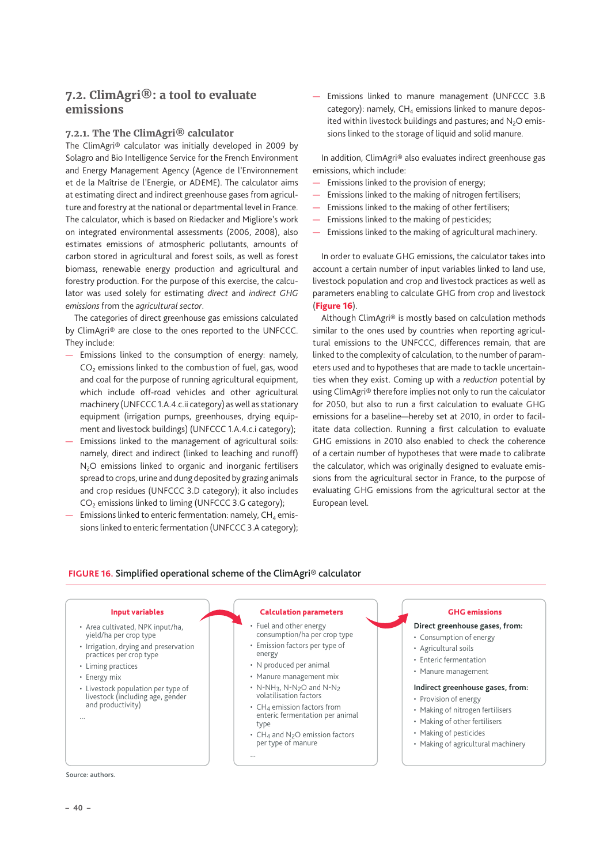## <span id="page-39-0"></span>**7.2. ClimAgri®: a tool to evaluate emissions**

#### **7.2.1. The The ClimAgri® calculator**

The ClimAgri® calculator was initially developed in 2009 by Solagro and Bio Intelligence Service for the French Environment and Energy Management Agency (Agence de l'Environnement et de la Maîtrise de l'Energie, or ADEME). The calculator aims at estimating direct and indirect greenhouse gases from agriculture and forestry at the national or departmental level in France. The calculator, which is based on Riedacker and Migliore's work on integrated environmental assessments (2006, 2008), also estimates emissions of atmospheric pollutants, amounts of carbon stored in agricultural and forest soils, as well as forest biomass, renewable energy production and agricultural and forestry production. For the purpose of this exercise, the calculator was used solely for estimating *direct* and *indirect GHG emissions* from the *agricultural sector*.

The categories of direct greenhouse gas emissions calculated by ClimAgri® are close to the ones reported to the UNFCCC. They include:

- Emissions linked to the consumption of energy: namely, CO<sub>2</sub> emissions linked to the combustion of fuel, gas, wood and coal for the purpose of running agricultural equipment, which include off-road vehicles and other agricultural machinery (UNFCCC 1.A.4.c.ii category) as well as stationary equipment (irrigation pumps, greenhouses, drying equipment and livestock buildings) (UNFCCC 1.A.4.c.i category);
- Emissions linked to the management of agricultural soils: namely, direct and indirect (linked to leaching and runoff) N<sub>2</sub>O emissions linked to organic and inorganic fertilisers spread to crops, urine and dung deposited by grazing animals and crop residues (UNFCCC 3.D category); it also includes CO<sub>2</sub> emissions linked to liming (UNFCCC 3.G category);
- Emissions linked to enteric fermentation: namely,  $CH<sub>4</sub>$  emissions linked to enteric fermentation (UNFCCC 3.A category);

— Emissions linked to manure management (UNFCCC 3.B  $categorical$ : namely,  $CH_4$  emissions linked to manure deposited within livestock buildings and pastures; and  $N_2O$  emissions linked to the storage of liquid and solid manure.

In addition, ClimAgri® also evaluates indirect greenhouse gas emissions, which include:

- Emissions linked to the provision of energy;
- Emissions linked to the making of nitrogen fertilisers;
- Emissions linked to the making of other fertilisers;
- Emissions linked to the making of pesticides;
- Emissions linked to the making of agricultural machinery.

In order to evaluate GHG emissions, the calculator takes into account a certain number of input variables linked to land use, livestock population and crop and livestock practices as well as parameters enabling to calculate GHG from crop and livestock (Figure 16).

Although ClimAgri® is mostly based on calculation methods similar to the ones used by countries when reporting agricultural emissions to the UNFCCC, differences remain, that are linked to the complexity of calculation, to the number of parameters used and to hypotheses that are made to tackle uncertainties when they exist. Coming up with a *reduction* potential by using ClimAgri® therefore implies not only to run the calculator for 2050, but also to run a first calculation to evaluate GHG emissions for a baseline—hereby set at 2010, in order to facilitate data collection. Running a first calculation to evaluate GHG emissions in 2010 also enabled to check the coherence of a certain number of hypotheses that were made to calibrate the calculator, which was originally designed to evaluate emissions from the agricultural sector in France, to the purpose of evaluating GHG emissions from the agricultural sector at the European level.

#### **FIGURE 16.** Simplified operational scheme of the ClimAgri® calculator

- Area cultivated, NPK input/ha, yield/ha per crop type
- Irrigation, drying and preservation practices per crop type
- Liming practices
- Energy mix
- Livestock population per type of livestock (including age, gender and productivity)

Source: authors.

### Input variables Calculation parameters

- Fuel and other energy consumption/ha per crop type
- Emission factors per type of energy
- N produced per animal

...

- Manure management mix
- N-NH3, N-N2O and N-N2 volatilisation factors
- CH4 emission factors from enteric fermentation per animal type
- CH<sub>4</sub> and N<sub>2</sub>O emission factors per type of manure

#### GHG emissions

### **Direct greenhouse gases, from:**

- Consumption of energy
- Agricultural soils
- Enteric fermentation
- Manure management

#### **Indirect greenhouse gases, from:**

- Provision of energy
- Making of nitrogen fertilisers • Making of other fertilisers
- Making of pesticides
- Making of agricultural machinery

...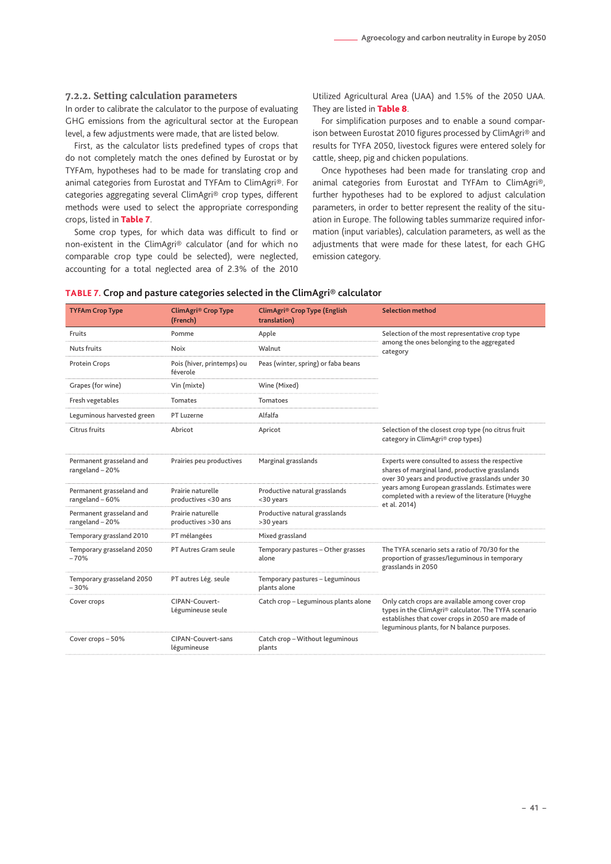#### <span id="page-40-0"></span>**7.2.2. Setting calculation parameters**

In order to calibrate the calculator to the purpose of evaluating GHG emissions from the agricultural sector at the European level, a few adjustments were made, that are listed below.

First, as the calculator lists predefined types of crops that do not completely match the ones defined by Eurostat or by TYFAm, hypotheses had to be made for translating crop and animal categories from Eurostat and TYFAm to ClimAgri®. For categories aggregating several ClimAgri® crop types, different methods were used to select the appropriate corresponding crops, listed in Table 7.

Some crop types, for which data was difficult to find or non-existent in the ClimAgri® calculator (and for which no comparable crop type could be selected), were neglected, accounting for a total neglected area of 2.3% of the 2010 Utilized Agricultural Area (UAA) and 1.5% of the 2050 UAA. They are listed in Table 8.

For simplification purposes and to enable a sound comparison between Eurostat 2010 figures processed by ClimAgri® and results for TYFA 2050, livestock figures were entered solely for cattle, sheep, pig and chicken populations.

Once hypotheses had been made for translating crop and animal categories from Eurostat and TYFAm to ClimAgri®, further hypotheses had to be explored to adjust calculation parameters, in order to better represent the reality of the situation in Europe. The following tables summarize required information (input variables), calculation parameters, as well as the adjustments that were made for these latest, for each GHG emission category.

| <b>TYFAm Crop Type</b>                      | <b>ClimAgri® Crop Type</b><br>(French)   | ClimAgri® Crop Type (English<br>translation)    | <b>Selection method</b>                                                                                                                                                                                   |  |
|---------------------------------------------|------------------------------------------|-------------------------------------------------|-----------------------------------------------------------------------------------------------------------------------------------------------------------------------------------------------------------|--|
| Fruits                                      | Pomme                                    | Apple                                           | Selection of the most representative crop type                                                                                                                                                            |  |
| Nuts fruits                                 | Noix                                     | Walnut                                          | among the ones belonging to the aggregated<br>category                                                                                                                                                    |  |
| Protein Crops                               | Pois (hiver, printemps) ou<br>féverole   | Peas (winter, spring) or faba beans             |                                                                                                                                                                                                           |  |
| Grapes (for wine)                           | Vin (mixte)                              | Wine (Mixed)                                    |                                                                                                                                                                                                           |  |
| Fresh vegetables                            | <b>Tomates</b>                           | <b>Tomatoes</b>                                 |                                                                                                                                                                                                           |  |
| Leguminous harvested green                  | PT Luzerne                               | Alfalfa                                         |                                                                                                                                                                                                           |  |
| Citrus fruits                               | Abricot                                  | Apricot                                         | Selection of the closest crop type (no citrus fruit<br>category in ClimAgri® crop types)                                                                                                                  |  |
| Permanent grasseland and<br>rangeland - 20% | Prairies peu productives                 | Marginal grasslands                             | Experts were consulted to assess the respective<br>shares of marginal land, productive grasslands<br>over 30 years and productive grasslands under 30                                                     |  |
| Permanent grasseland and<br>rangeland - 60% | Prairie naturelle<br>productives <30 ans | Productive natural grasslands<br><30 years      | years among European grasslands. Estimates were<br>completed with a review of the literature (Huyghe<br>et al. 2014)                                                                                      |  |
| Permanent grasseland and<br>rangeland - 20% | Prairie naturelle<br>productives >30 ans | Productive natural grasslands<br>>30 years      |                                                                                                                                                                                                           |  |
| Temporary grassland 2010                    | PT mélangées                             | Mixed grassland                                 |                                                                                                                                                                                                           |  |
| Temporary grasseland 2050<br>$-70%$         | <b>PT Autres Gram seule</b>              | Temporary pastures - Other grasses<br>alone     | The TYFA scenario sets a ratio of 70/30 for the<br>proportion of grasses/leguminous in temporary<br>grasslands in 2050                                                                                    |  |
| Temporary grasseland 2050<br>$-30%$         | PT autres Lég. seule                     | Temporary pastures - Leguminous<br>plants alone |                                                                                                                                                                                                           |  |
| Cover crops                                 | CIPAN-Couvert-<br>Légumineuse seule      | Catch crop - Leguminous plants alone            | Only catch crops are available among cover crop<br>types in the ClimAgri® calculator. The TYFA scenario<br>establishes that cover crops in 2050 are made of<br>leguminous plants, for N balance purposes. |  |
| Cover crops - 50%                           | <b>CIPAN-Couvert-sans</b><br>légumineuse | Catch crop - Without leguminous<br>plants       |                                                                                                                                                                                                           |  |

#### **TABLE 7. Crop and pasture categories selected in the ClimAgri® calculator**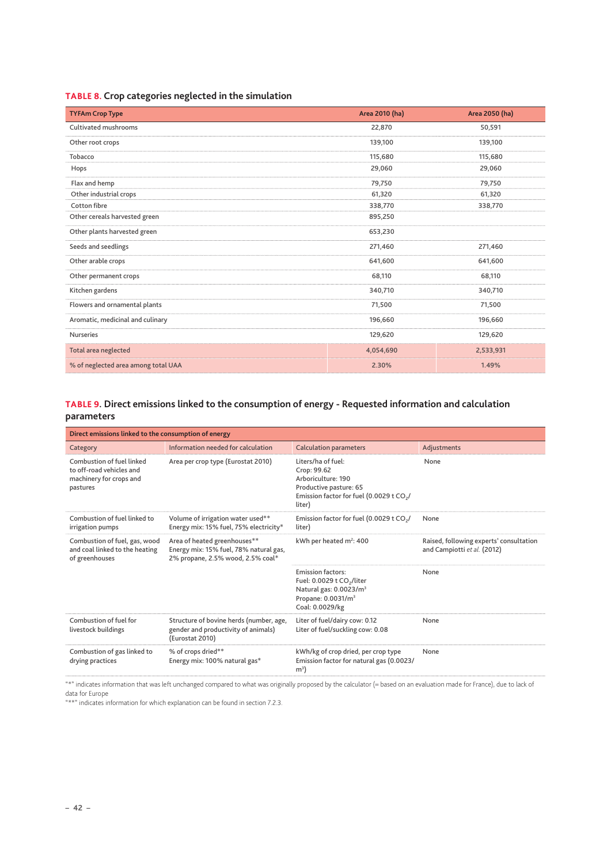<span id="page-41-0"></span>

|  |  |  | TABLE 8. Crop categories neglected in the simulation |  |  |  |  |  |
|--|--|--|------------------------------------------------------|--|--|--|--|--|
|--|--|--|------------------------------------------------------|--|--|--|--|--|

| <b>TYFAm Crop Type</b>              | Area 2010 (ha) | Area 2050 (ha) |
|-------------------------------------|----------------|----------------|
| <b>Cultivated mushrooms</b>         | 22,870         | 50,591         |
| Other root crops                    | 139,100        | 139,100        |
| Tobacco                             | 115,680        | 115,680        |
| Hops                                | 29,060         | 29,060         |
| Flax and hemp                       | 79,750         | 79,750         |
| Other industrial crops              | 61,320         | 61,320         |
| Cotton fibre                        | 338,770        | 338,770        |
| Other cereals harvested green       | 895,250        |                |
| Other plants harvested green        | 653,230        |                |
| Seeds and seedlings                 | 271,460        | 271,460        |
| Other arable crops                  | 641,600        | 641,600        |
| Other permanent crops               | 68,110         | 68,110         |
| Kitchen gardens                     | 340,710        | 340,710        |
| Flowers and ornamental plants       | 71,500         | 71,500         |
| Aromatic, medicinal and culinary    | 196,660        | 196,660        |
| <b>Nurseries</b>                    | 129,620        | 129,620        |
| Total area neglected                | 4,054,690      | 2,533,931      |
| % of neglected area among total UAA | 2.30%          | 1.49%          |

## **TABLE 9. Direct emissions linked to the consumption of energy - Requested information and calculation parameters**

| Direct emissions linked to the consumption of energy                                         |                                                                                                             |                                                                                                                                                              |                                                                        |  |  |  |
|----------------------------------------------------------------------------------------------|-------------------------------------------------------------------------------------------------------------|--------------------------------------------------------------------------------------------------------------------------------------------------------------|------------------------------------------------------------------------|--|--|--|
| Category                                                                                     | Information needed for calculation                                                                          | <b>Calculation parameters</b>                                                                                                                                | Adjustments                                                            |  |  |  |
| Combustion of fuel linked<br>to off-road vehicles and<br>machinery for crops and<br>pastures | Area per crop type (Eurostat 2010)                                                                          | Liters/ha of fuel:<br>Crop: 99.62<br>Arboriculture: 190<br>Productive pasture: 65<br>Emission factor for fuel (0.0029 t $CO2/$<br>liter)                     | None                                                                   |  |  |  |
| Combustion of fuel linked to<br>irrigation pumps                                             | Volume of irrigation water used**<br>Energy mix: 15% fuel, 75% electricity*                                 | Emission factor for fuel (0.0029 t CO <sub>2</sub> /<br>liter)                                                                                               | None                                                                   |  |  |  |
| Combustion of fuel, gas, wood<br>and coal linked to the heating<br>of greenhouses            | Area of heated greenhouses**<br>Energy mix: 15% fuel, 78% natural gas,<br>2% propane, 2.5% wood, 2.5% coal* | kWh per heated m <sup>2</sup> : 400                                                                                                                          | Raised, following experts' consultation<br>and Campiotti et al. (2012) |  |  |  |
|                                                                                              |                                                                                                             | <b>Emission factors:</b><br>Fuel: 0.0029 t CO <sub>2</sub> /liter<br>Natural gas: 0.0023/m <sup>3</sup><br>Propane: 0.0031/m <sup>3</sup><br>Coal: 0.0029/kg | None                                                                   |  |  |  |
| Combustion of fuel for<br>livestock buildings                                                | Structure of bovine herds (number, age,<br>gender and productivity of animals)<br>(Eurostat 2010)           | Liter of fuel/dairy cow: 0.12<br>Liter of fuel/suckling cow: 0.08                                                                                            | None                                                                   |  |  |  |
| Combustion of gas linked to<br>drying practices                                              | % of crops dried**<br>Energy mix: 100% natural gas*                                                         | kWh/kg of crop dried, per crop type<br>Emission factor for natural gas (0.0023/<br>m <sup>3</sup>                                                            | None                                                                   |  |  |  |

"\*" indicates information that was left unchanged compared to what was originally proposed by the calculator (= based on an evaluation made for France), due to lack of data for Europe

"\*\*" indicates information for which explanation can be found in section 7.2.3.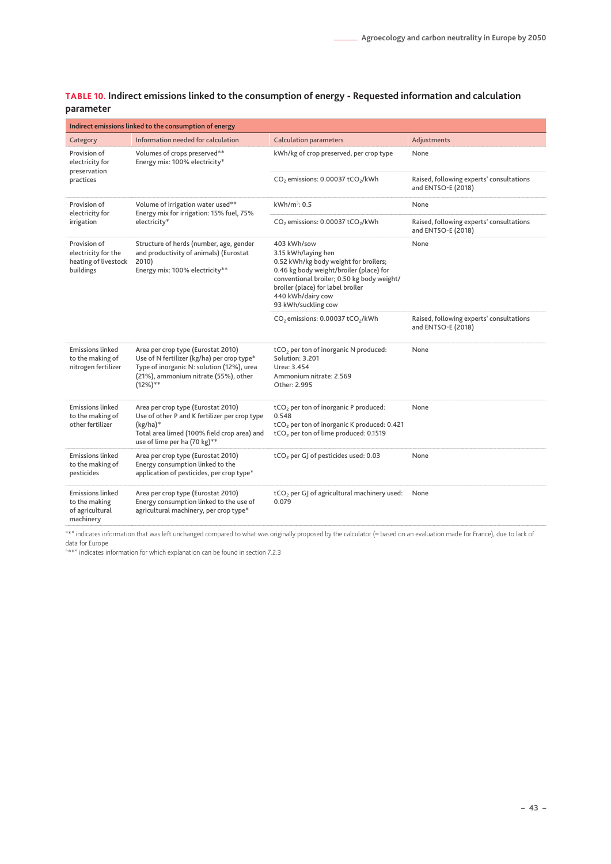### <span id="page-42-0"></span>**TABLE 10. Indirect emissions linked to the consumption of energy - Requested information and calculation parameter**

| Indirect emissions linked to the consumption of energy                   |                                                                                                                                                                                      |                                                                                                                                                                                                                                                       |                                                                |  |  |  |
|--------------------------------------------------------------------------|--------------------------------------------------------------------------------------------------------------------------------------------------------------------------------------|-------------------------------------------------------------------------------------------------------------------------------------------------------------------------------------------------------------------------------------------------------|----------------------------------------------------------------|--|--|--|
| Category                                                                 | Information needed for calculation                                                                                                                                                   | <b>Calculation parameters</b>                                                                                                                                                                                                                         | Adjustments                                                    |  |  |  |
| Provision of<br>electricity for<br>preservation                          | Volumes of crops preserved**<br>Energy mix: 100% electricity*                                                                                                                        | kWh/kg of crop preserved, per crop type                                                                                                                                                                                                               | None                                                           |  |  |  |
| practices                                                                |                                                                                                                                                                                      | CO <sub>2</sub> emissions: 0.00037 tCO <sub>2</sub> /kWh                                                                                                                                                                                              | Raised, following experts' consultations<br>and ENTSO-E (2018) |  |  |  |
| Provision of<br>electricity for                                          | Volume of irrigation water used**<br>Energy mix for irrigation: 15% fuel, 75%                                                                                                        | $kWh/m^3$ : 0.5                                                                                                                                                                                                                                       | None                                                           |  |  |  |
| irrigation                                                               | electricity*                                                                                                                                                                         | CO <sub>2</sub> emissions: 0.00037 tCO <sub>2</sub> /kWh                                                                                                                                                                                              | Raised, following experts' consultations<br>and ENTSO-E (2018) |  |  |  |
| Provision of<br>electricity for the<br>heating of livestock<br>buildings | Structure of herds (number, age, gender<br>and productivity of animals) (Eurostat<br>2010)<br>Energy mix: 100% electricity**                                                         | 403 kWh/sow<br>3.15 kWh/laying hen<br>0.52 kWh/kg body weight for broilers;<br>0.46 kg body weight/broiler (place) for<br>conventional broiler; 0.50 kg body weight/<br>broiler (place) for label broiler<br>440 kWh/dairy cow<br>93 kWh/suckling cow | None                                                           |  |  |  |
|                                                                          |                                                                                                                                                                                      | CO <sub>2</sub> emissions: 0.00037 tCO <sub>2</sub> /kWh                                                                                                                                                                                              | Raised, following experts' consultations<br>and ENTSO-E (2018) |  |  |  |
| <b>Emissions linked</b><br>to the making of<br>nitrogen fertilizer       | Area per crop type (Eurostat 2010)<br>Use of N fertilizer (kg/ha) per crop type*<br>Type of inorganic N: solution (12%), urea<br>(21%), ammonium nitrate (55%), other<br>$(12\%)$ ** | tCO <sub>2</sub> per ton of inorganic N produced:<br>Solution: 3.201<br>Urea: 3.454<br>Ammonium nitrate: 2.569<br>Other: 2.995                                                                                                                        | None                                                           |  |  |  |
| <b>Emissions linked</b><br>to the making of<br>other fertilizer          | Area per crop type (Eurostat 2010)<br>Use of other P and K fertilizer per crop type<br>$(kg/ha)*$<br>Total area limed (100% field crop area) and<br>use of lime per ha (70 kg)**     | tCO <sub>2</sub> per ton of inorganic P produced:<br>0.548<br>tCO <sub>2</sub> per ton of inorganic K produced: 0.421<br>tCO <sub>2</sub> per ton of lime produced: 0.1519                                                                            | None                                                           |  |  |  |
| <b>Emissions linked</b><br>to the making of<br>pesticides                | Area per crop type (Eurostat 2010)<br>Energy consumption linked to the<br>application of pesticides, per crop type*                                                                  | tCO <sub>2</sub> per GJ of pesticides used: 0.03                                                                                                                                                                                                      | None                                                           |  |  |  |
| <b>Emissions linked</b><br>to the making<br>of agricultural<br>machinery | Area per crop type (Eurostat 2010)<br>Energy consumption linked to the use of<br>agricultural machinery, per crop type*                                                              | tCO <sub>2</sub> per GJ of agricultural machinery used:<br>0.079                                                                                                                                                                                      | None                                                           |  |  |  |

"\*" indicates information that was left unchanged compared to what was originally proposed by the calculator (= based on an evaluation made for France), due to lack of data for Europe

"\*\*" indicates information for which explanation can be found in section 7.2.3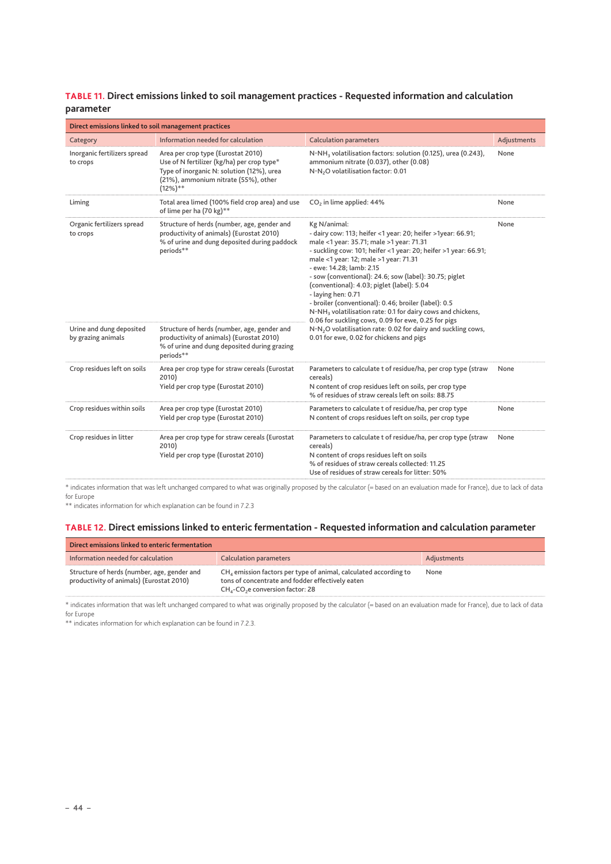#### <span id="page-43-0"></span>**TABLE 11. Direct emissions linked to soil management practices - Requested information and calculation parameter**

| Direct emissions linked to soil management practices |                                                                                                                                                                                      |                                                                                                                                                                                                                                                                                                                                                                                                                                                                                                                                                                                         |             |  |  |  |
|------------------------------------------------------|--------------------------------------------------------------------------------------------------------------------------------------------------------------------------------------|-----------------------------------------------------------------------------------------------------------------------------------------------------------------------------------------------------------------------------------------------------------------------------------------------------------------------------------------------------------------------------------------------------------------------------------------------------------------------------------------------------------------------------------------------------------------------------------------|-------------|--|--|--|
| Category                                             | Information needed for calculation                                                                                                                                                   | <b>Calculation parameters</b>                                                                                                                                                                                                                                                                                                                                                                                                                                                                                                                                                           | Adjustments |  |  |  |
| Inorganic fertilizers spread<br>to crops             | Area per crop type (Eurostat 2010)<br>Use of N fertilizer (kg/ha) per crop type*<br>Type of inorganic N: solution (12%), urea<br>(21%), ammonium nitrate (55%), other<br>$(12\%)$ ** | N-NH <sub>3</sub> volatilisation factors: solution (0.125), urea (0.243),<br>ammonium nitrate (0.037), other (0.08)<br>N-N <sub>2</sub> O volatilisation factor: 0.01                                                                                                                                                                                                                                                                                                                                                                                                                   | None        |  |  |  |
| Liming                                               | Total area limed (100% field crop area) and use<br>of lime per ha (70 kg)**                                                                                                          | CO <sub>2</sub> in lime applied: 44%                                                                                                                                                                                                                                                                                                                                                                                                                                                                                                                                                    | None        |  |  |  |
| Organic fertilizers spread<br>to crops               | Structure of herds (number, age, gender and<br>productivity of animals) (Eurostat 2010)<br>% of urine and dung deposited during paddock<br>periods**                                 | Kg N/animal:<br>- dairy cow: 113; heifer <1 year: 20; heifer >1year: 66.91;<br>male <1 year: 35.71; male >1 year: 71.31<br>- suckling cow: 101; heifer <1 year: 20; heifer >1 year: 66.91;<br>male <1 year: 12; male >1 year: 71.31<br>- ewe: 14.28; lamb: 2.15<br>- sow (conventional): 24.6; sow (label): 30.75; piglet<br>(conventional): 4.03; piglet (label): 5.04<br>- laying hen: 0.71<br>- broiler (conventional): 0.46; broiler (label): 0.5<br>N-NH <sub>3</sub> volatilisation rate: 0.1 for dairy cows and chickens,<br>0.06 for suckling cows, 0.09 for ewe, 0.25 for pigs | None        |  |  |  |
| Urine and dung deposited<br>by grazing animals       | Structure of herds (number, age, gender and<br>productivity of animals) (Eurostat 2010)<br>% of urine and dung deposited during grazing<br>periods**                                 | N-N <sub>2</sub> O volatilisation rate: 0.02 for dairy and suckling cows,<br>0.01 for ewe, 0.02 for chickens and pigs                                                                                                                                                                                                                                                                                                                                                                                                                                                                   |             |  |  |  |
| Crop residues left on soils                          | Area per crop type for straw cereals (Eurostat<br>2010)<br>Yield per crop type (Eurostat 2010)                                                                                       | Parameters to calculate t of residue/ha, per crop type (straw<br>cereals)<br>N content of crop residues left on soils, per crop type<br>% of residues of straw cereals left on soils: 88.75                                                                                                                                                                                                                                                                                                                                                                                             | None        |  |  |  |
| Crop residues within soils                           | Area per crop type (Eurostat 2010)<br>Yield per crop type (Eurostat 2010)                                                                                                            | Parameters to calculate t of residue/ha, per crop type<br>N content of crops residues left on soils, per crop type                                                                                                                                                                                                                                                                                                                                                                                                                                                                      | None        |  |  |  |
| Crop residues in litter                              | Area per crop type for straw cereals (Eurostat<br>2010)<br>Yield per crop type (Eurostat 2010)                                                                                       | Parameters to calculate t of residue/ha, per crop type (straw<br>cereals)<br>N content of crops residues left on soils<br>% of residues of straw cereals collected: 11.25<br>Use of residues of straw cereals for litter: 50%                                                                                                                                                                                                                                                                                                                                                           | None        |  |  |  |

\* indicates information that was left unchanged compared to what was originally proposed by the calculator (= based on an evaluation made for France), due to lack of data for Europe

\*\* indicates information for which explanation can be found in 7.2.3

#### **TABLE 12. Direct emissions linked to enteric fermentation - Requested information and calculation parameter**

| Direct emissions linked to enteric fermentation                                         |                                                                                                                                                                                    |             |
|-----------------------------------------------------------------------------------------|------------------------------------------------------------------------------------------------------------------------------------------------------------------------------------|-------------|
| Information needed for calculation                                                      | <b>Calculation parameters</b>                                                                                                                                                      | Adjustments |
| Structure of herds (number, age, gender and<br>productivity of animals) (Eurostat 2010) | $CH4$ emission factors per type of animal, calculated according to<br>tons of concentrate and fodder effectively eaten<br>CH <sub>4</sub> -CO <sub>2</sub> e conversion factor: 28 | None        |

\* indicates information that was left unchanged compared to what was originally proposed by the calculator (= based on an evaluation made for France), due to lack of data for Europe

\*\* indicates information for which explanation can be found in 7.2.3.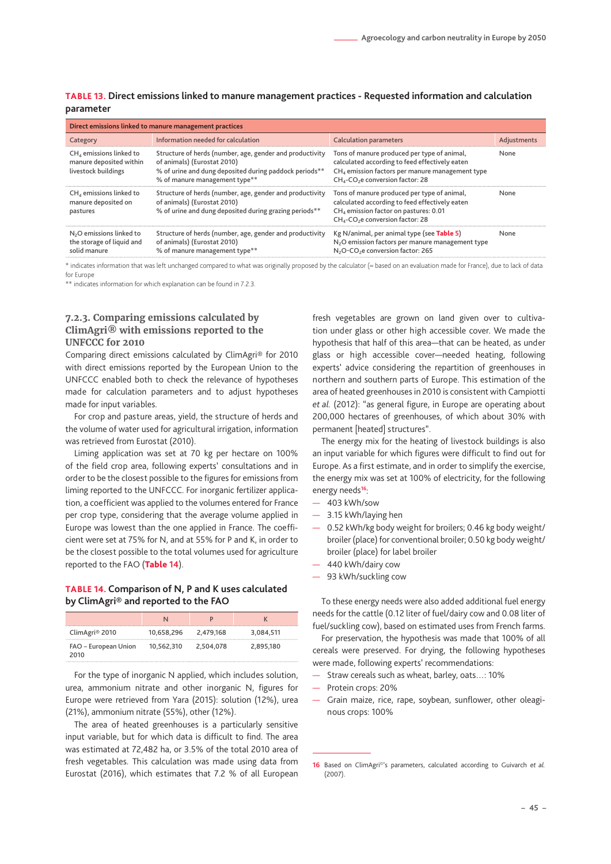| Direct emissions linked to manure management practices                            |                                                                                                                                                                                    |                                                                                                                                                                                                                          |             |  |  |  |  |
|-----------------------------------------------------------------------------------|------------------------------------------------------------------------------------------------------------------------------------------------------------------------------------|--------------------------------------------------------------------------------------------------------------------------------------------------------------------------------------------------------------------------|-------------|--|--|--|--|
| Category                                                                          | Information needed for calculation                                                                                                                                                 | <b>Calculation parameters</b>                                                                                                                                                                                            | Adjustments |  |  |  |  |
| $CH4$ emissions linked to<br>manure deposited within<br>livestock buildings       | Structure of herds (number, age, gender and productivity<br>of animals) (Eurostat 2010)<br>% of urine and dung deposited during paddock periods**<br>% of manure management type** | Tons of manure produced per type of animal,<br>calculated according to feed effectively eaten<br>CH <sub>4</sub> emission factors per manure management type<br>CH <sub>4</sub> -CO <sub>2</sub> e conversion factor: 28 | None        |  |  |  |  |
| $CH4$ emissions linked to<br>manure deposited on<br>pastures                      | Structure of herds (number, age, gender and productivity<br>of animals) (Eurostat 2010)<br>% of urine and dung deposited during grazing periods**                                  | Tons of manure produced per type of animal,<br>calculated according to feed effectively eaten<br>$CH4$ emission factor on pastures: 0.01<br>CH <sub>4</sub> -CO <sub>2</sub> e conversion factor: 28                     | None        |  |  |  |  |
| N <sub>2</sub> O emissions linked to<br>the storage of liquid and<br>solid manure | Structure of herds (number, age, gender and productivity<br>of animals) (Eurostat 2010)<br>% of manure management type**                                                           | Kg N/animal, per animal type (see Table 5)<br>N <sub>2</sub> O emission factors per manure management type<br>N <sub>2</sub> O-CO <sub>2</sub> e conversion factor: 265                                                  | None        |  |  |  |  |

<span id="page-44-0"></span>**TABLE 13. Direct emissions linked to manure management practices - Requested information and calculation parameter**

\* indicates information that was left unchanged compared to what was originally proposed by the calculator (= based on an evaluation made for France), due to lack of data for Europe

\*\* indicates information for which explanation can be found in [7.2.3.](#page-44-1)

#### <span id="page-44-1"></span>**7.2.3. Comparing emissions calculated by ClimAgri® with emissions reported to the UNFCCC for 2010**

Comparing direct emissions calculated by ClimAgri® for 2010 with direct emissions reported by the European Union to the UNFCCC enabled both to check the relevance of hypotheses made for calculation parameters and to adjust hypotheses made for input variables.

For crop and pasture areas, yield, the structure of herds and the volume of water used for agricultural irrigation, information was retrieved from Eurostat (2010).

Liming application was set at 70 kg per hectare on 100% of the field crop area, following experts' consultations and in order to be the closest possible to the figures for emissions from liming reported to the UNFCCC. For inorganic fertilizer application, a coefficient was applied to the volumes entered for France per crop type, considering that the average volume applied in Europe was lowest than the one applied in France. The coefficient were set at 75% for N, and at 55% for P and K, in order to be the closest possible to the total volumes used for agriculture reported to the FAO (Table **14**).

#### **TABLE 14. Comparison of N, P and K uses calculated by ClimAgri® and reported to the FAO**

| ClimAgri <sup>®</sup> 2010   | 10,658,296 | 2.479.168 | 3,084,511 |
|------------------------------|------------|-----------|-----------|
| FAO – European Union<br>2010 | 10,562,310 | 2,504,078 | 2,895,180 |

For the type of inorganic N applied, which includes solution, urea, ammonium nitrate and other inorganic N, figures for Europe were retrieved from Yara (2015): solution (12%), urea (21%), ammonium nitrate (55%), other (12%).

The area of heated greenhouses is a particularly sensitive input variable, but for which data is difficult to find. The area was estimated at 72,482 ha, or 3.5% of the total 2010 area of fresh vegetables. This calculation was made using data from Eurostat (2016), which estimates that 7.2 % of all European

fresh vegetables are grown on land given over to cultivation under glass or other high accessible cover. We made the hypothesis that half of this area—that can be heated, as under glass or high accessible cover—needed heating, following experts' advice considering the repartition of greenhouses in northern and southern parts of Europe. This estimation of the area of heated greenhouses in 2010 is consistent with Campiotti *et al.* (2012): "as general figure, in Europe are operating about 200,000 hectares of greenhouses, of which about 30% with permanent [heated] structures".

The energy mix for the heating of livestock buildings is also an input variable for which figures were difficult to find out for Europe. As a first estimate, and in order to simplify the exercise, the energy mix was set at 100% of electricity, for the following energy needs**16**:

- 403 kWh/sow
- 3.15 kWh/laying hen
- 0.52 kWh/kg body weight for broilers; 0.46 kg body weight/ broiler (place) for conventional broiler; 0.50 kg body weight/ broiler (place) for label broiler
- 440 kWh/dairy cow
- 93 kWh/suckling cow

To these energy needs were also added additional fuel energy needs for the cattle (0.12 liter of fuel/dairy cow and 0.08 liter of fuel/suckling cow), based on estimated uses from French farms.

For preservation, the hypothesis was made that 100% of all cereals were preserved. For drying, the following hypotheses were made, following experts' recommendations:

- Straw cereals such as wheat, barley, oats...: 10%
- Protein crops: 20%
- Grain maize, rice, rape, soybean, sunflower, other oleaginous crops: 100%

**<sup>16</sup>** Based on ClimAgri©'s parameters, calculated according to Guivarch *et al.*  $(2007)$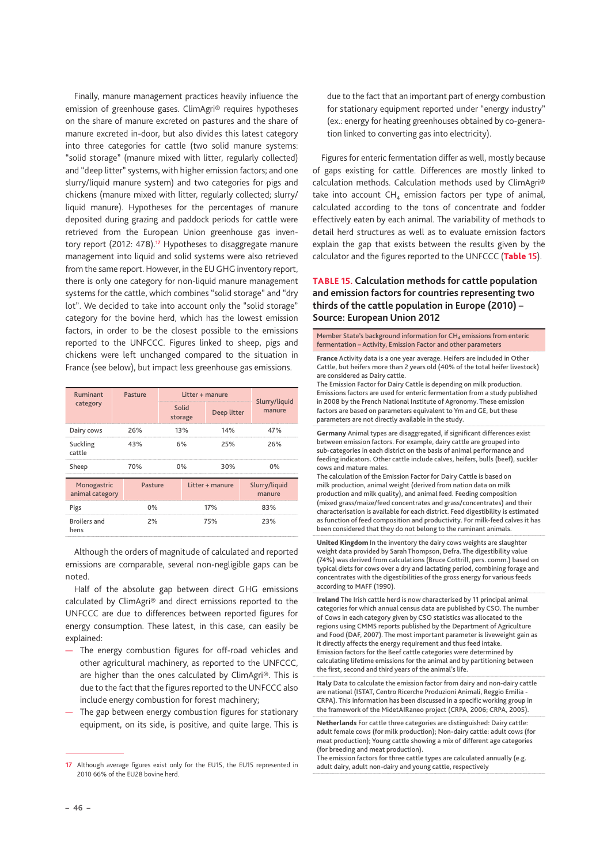<span id="page-45-0"></span>Finally, manure management practices heavily influence the emission of greenhouse gases. ClimAgri® requires hypotheses on the share of manure excreted on pastures and the share of manure excreted in-door, but also divides this latest category into three categories for cattle (two solid manure systems: "solid storage" (manure mixed with litter, regularly collected) and "deep litter" systems, with higher emission factors; and one slurry/liquid manure system) and two categories for pigs and chickens (manure mixed with litter, regularly collected; slurry/ liquid manure). Hypotheses for the percentages of manure deposited during grazing and paddock periods for cattle were retrieved from the European Union greenhouse gas inventory report (2012: 478).**17** Hypotheses to disaggregate manure management into liquid and solid systems were also retrieved from the same report. However, in the EU GHG inventory report, there is only one category for non-liquid manure management systems for the cattle, which combines "solid storage" and "dry lot". We decided to take into account only the "solid storage" category for the bovine herd, which has the lowest emission factors, in order to be the closest possible to the emissions reported to the UNFCCC. Figures linked to sheep, pigs and chickens were left unchanged compared to the situation in France (see below), but impact less greenhouse gas emissions.

| Ruminant                       | Pasture | Litter + manure  |                 |     |                         |
|--------------------------------|---------|------------------|-----------------|-----|-------------------------|
| category                       |         | Solid<br>storage | Deep litter     |     | Slurry/liquid<br>manure |
| Dairy cows                     | 26%     | 13%              |                 | 14% | 47%                     |
| Suckling<br>cattle             | 43%     | 6%               |                 | 25% | 26%                     |
| Sheep                          | 70%     | $0\%$            |                 | 30% | 0%                      |
| Monogastric<br>animal category | Pasture |                  | Litter + manure |     | Slurry/liquid<br>manure |
| Pigs                           | 0%      |                  | 17%             |     | 83%                     |
| <b>Broilers</b> and<br>hens    | 2%      |                  |                 | 75% | 23%                     |

Although the orders of magnitude of calculated and reported emissions are comparable, several non-negligible gaps can be noted.

Half of the absolute gap between direct GHG emissions calculated by ClimAgri® and direct emissions reported to the UNFCCC are due to differences between reported figures for energy consumption. These latest, in this case, can easily be explained:

- The energy combustion figures for off-road vehicles and other agricultural machinery, as reported to the UNFCCC, are higher than the ones calculated by ClimAgri®. This is due to the fact that the figures reported to the UNFCCC also include energy combustion for forest machinery;
- The gap between energy combustion figures for stationary equipment, on its side, is positive, and quite large. This is

due to the fact that an important part of energy combustion for stationary equipment reported under "energy industry" (ex.: energy for heating greenhouses obtained by co-generation linked to converting gas into electricity).

Figures for enteric fermentation differ as well, mostly because of gaps existing for cattle. Differences are mostly linked to calculation methods. Calculation methods used by ClimAgri® take into account  $CH_4$  emission factors per type of animal, calculated according to the tons of concentrate and fodder effectively eaten by each animal. The variability of methods to detail herd structures as well as to evaluate emission factors explain the gap that exists between the results given by the calculator and the figures reported to the UNFCCC (Table **15**).

#### **TABLE 15. Calculation methods for cattle population and emission factors for countries representing two thirds of the cattle population in Europe (2010) – Source: European Union 2012**

Member State's background information for CH<sub>4</sub> emissions from enteric fermentation – Activity, Emission Factor and other parameters

France Activity data is a one year average. Heifers are included in Other Cattle, but heifers more than 2 years old (40% of the total heifer livestock) are considered as Dairy cattle.

The Emission Factor for Dairy Cattle is depending on milk production. Emissions factors are used for enteric fermentation from a study published in 2008 by the French National Institute of Agronomy. These emission factors are based on parameters equivalent to Ym and GE, but these parameters are not directly available in the study.

Germany Animal types are disaggregated, if significant differences exist between emission factors. For example, dairy cattle are grouped into sub-categories in each district on the basis of animal performance and feeding indicators. Other cattle include calves, heifers, bulls (beef), suckler cows and mature males.

The calculation of the Emission Factor for Dairy Cattle is based on milk production, animal weight (derived from nation data on milk production and milk quality), and animal feed. Feeding composition (mixed grass/maize/feed concentrates and grass/concentrates) and their characterisation is available for each district. Feed digestibility is estimated as function of feed composition and productivity. For milk-feed calves it has been considered that they do not belong to the ruminant animals.

United Kingdom In the inventory the dairy cows weights are slaughter weight data provided by Sarah Thompson, Defra. The digestibility value (74%) was derived from calculations (Bruce Cottrill, pers. comm.) based on typical diets for cows over a dry and lactating period, combining forage and concentrates with the digestibilities of the gross energy for various feeds according to MAFF (1990).

Ireland The Irish cattle herd is now characterised by 11 principal animal categories for which annual census data are published by CSO. The number of Cows in each category given by CSO statistics was allocated to the regions using CMMS reports published by the Department of Agriculture and Food (DAF, 2007). The most important parameter is liveweight gain as it directly affects the energy requirement and thus feed intake. Emission factors for the Beef cattle categories were determined by calculating lifetime emissions for the animal and by partitioning between the first, second and third years of the animal's life.

Italy Data to calculate the emission factor from dairy and non-dairy cattle are national (ISTAT, Centro Ricerche Produzioni Animali, Reggio Emilia - CRPA). This information has been discussed in a specific working group in the framework of the MidetAIRaneo project (CRPA, 2006; CRPA, 2005).

Netherlands For cattle three categories are distinguished: Dairy cattle: adult female cows (for milk production); Non-dairy cattle: adult cows (for meat production); Young cattle showing a mix of different age categories (for breeding and meat production).

The emission factors for three cattle types are calculated annually (e.g. adult dairy, adult non-dairy and young cattle, respectively

**<sup>17</sup>** Although average figures exist only for the EU15, the EU15 represented in 2010 66% of the EU28 bovine herd.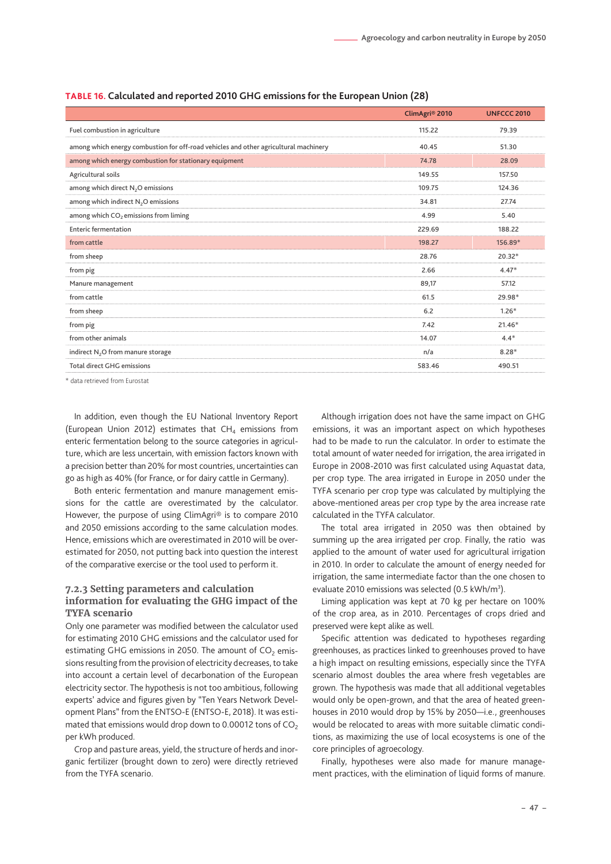|                                                                                      | ClimAgri <sup>®</sup> 2010 | <b>UNFCCC 2010</b> |
|--------------------------------------------------------------------------------------|----------------------------|--------------------|
| Fuel combustion in agriculture                                                       | 115.22                     | 79.39              |
| among which energy combustion for off-road vehicles and other agricultural machinery | 40.45                      | 51.30              |
| among which energy combustion for stationary equipment                               | 74.78                      | 28.09              |
| Agricultural soils                                                                   | 149.55                     | 157.50             |
| among which direct N <sub>2</sub> O emissions                                        | 109.75                     | 124.36             |
| among which indirect N <sub>2</sub> O emissions                                      | 34.81                      | 27.74              |
| among which CO <sub>2</sub> emissions from liming                                    | 4.99                       | 5.40               |
| <b>Enteric fermentation</b>                                                          | 229.69                     | 188.22             |
| from cattle                                                                          | 198.27                     | 156.89*            |
| from sheep                                                                           | 28.76                      | $20.32*$           |
| from pig                                                                             | 2.66                       | $4.47*$            |
| Manure management                                                                    | 89,17                      | 57.12              |
| from cattle                                                                          | 61.5                       | 29.98*             |
| from sheep                                                                           | 6.2                        | $1.26*$            |
| from pig                                                                             | 7.42                       | $21.46*$           |
| from other animals                                                                   | 14.07                      | $4.4*$             |
| indirect N <sub>2</sub> O from manure storage                                        | n/a                        | $8.28*$            |
| <b>Total direct GHG emissions</b>                                                    | 583.46                     | 490.51             |
|                                                                                      |                            |                    |

#### <span id="page-46-0"></span>**TABLE 16. Calculated and reported 2010 GHG emissions for the European Union (28)**

\* data retrieved from Eurostat

In addition, even though the EU National Inventory Report (European Union 2012) estimates that  $CH<sub>4</sub>$  emissions from enteric fermentation belong to the source categories in agriculture, which are less uncertain, with emission factors known with a precision better than 20% for most countries, uncertainties can go as high as 40% (for France, or for dairy cattle in Germany).

Both enteric fermentation and manure management emissions for the cattle are overestimated by the calculator. However, the purpose of using ClimAgri® is to compare 2010 and 2050 emissions according to the same calculation modes. Hence, emissions which are overestimated in 2010 will be overestimated for 2050, not putting back into question the interest of the comparative exercise or the tool used to perform it.

#### **7.2.3 Setting parameters and calculation**

#### **information for evaluating the GHG impact of the TYFA scenario**

Only one parameter was modified between the calculator used for estimating 2010 GHG emissions and the calculator used for estimating GHG emissions in 2050. The amount of  $CO<sub>2</sub>$  emissions resulting from the provision of electricity decreases, to take into account a certain level of decarbonation of the European electricity sector. The hypothesis is not too ambitious, following experts' advice and figures given by "Ten Years Network Development Plans" from the ENTSO-E (ENTSO-E, 2018). It was estimated that emissions would drop down to 0.00012 tons of  $CO<sub>2</sub>$ per kWh produced.

Crop and pasture areas, yield, the structure of herds and inorganic fertilizer (brought down to zero) were directly retrieved from the TYFA scenario.

Although irrigation does not have the same impact on GHG emissions, it was an important aspect on which hypotheses had to be made to run the calculator. In order to estimate the total amount of water needed for irrigation, the area irrigated in Europe in 2008-2010 was first calculated using Aquastat data, per crop type. The area irrigated in Europe in 2050 under the TYFA scenario per crop type was calculated by multiplying the above-mentioned areas per crop type by the area increase rate calculated in the TYFA calculator.

The total area irrigated in 2050 was then obtained by summing up the area irrigated per crop. Finally, the ratio was applied to the amount of water used for agricultural irrigation in 2010. In order to calculate the amount of energy needed for irrigation, the same intermediate factor than the one chosen to evaluate 2010 emissions was selected  $(0.5 \text{ kWh/m}^3)$ .

Liming application was kept at 70 kg per hectare on 100% of the crop area, as in 2010. Percentages of crops dried and preserved were kept alike as well.

Specific attention was dedicated to hypotheses regarding greenhouses, as practices linked to greenhouses proved to have a high impact on resulting emissions, especially since the TYFA scenario almost doubles the area where fresh vegetables are grown. The hypothesis was made that all additional vegetables would only be open-grown, and that the area of heated greenhouses in 2010 would drop by 15% by 2050—i.e., greenhouses would be relocated to areas with more suitable climatic conditions, as maximizing the use of local ecosystems is one of the core principles of agroecology.

Finally, hypotheses were also made for manure management practices, with the elimination of liquid forms of manure.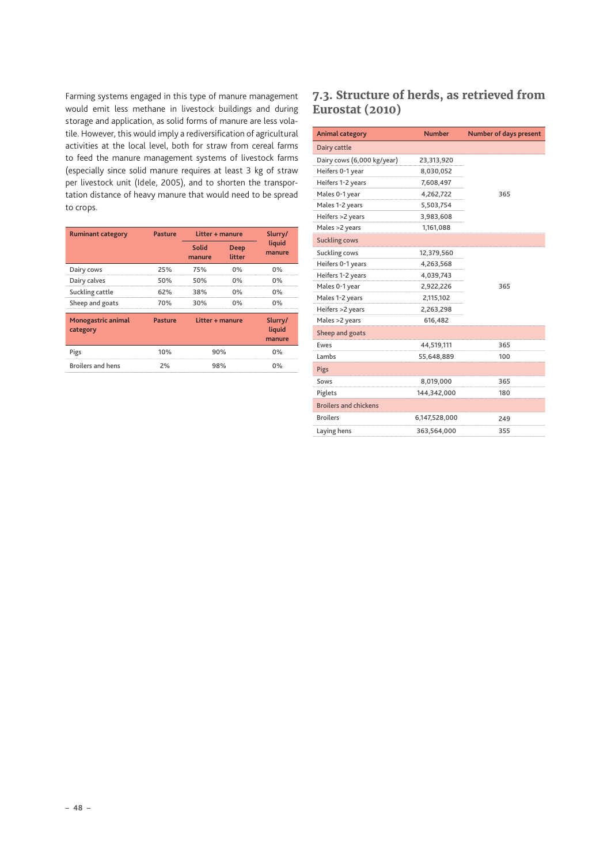<span id="page-47-0"></span>Farming systems engaged in this type of manure management would emit less methane in livestock buildings and during storage and application, as solid forms of manure are less volatile. However, this would imply a rediversification of agricultural activities at the local level, both for straw from cereal farms to feed the manure management systems of livestock farms (especially since solid manure requires at least 3 kg of straw per livestock unit (Idele, 2005), and to shorten the transportation distance of heavy manure that would need to be spread to crops.

| <b>Ruminant category</b>       | <b>Pasture</b> | Litter + manure |                       | Slurry/                     |
|--------------------------------|----------------|-----------------|-----------------------|-----------------------------|
|                                |                | Solid<br>manure | <b>Deep</b><br>litter | liquid<br>manure            |
| Dairy cows                     | 25%            | 75%             | 0%                    | 0%                          |
| Dairy calves                   | 50%            | 50%             | $0\%$                 | 0%                          |
| Suckling cattle                | 62%            | 38%             | 0%                    | 0%                          |
| Sheep and goats                | 70%            | 30%             | 0%                    | 0%                          |
| Monogastric animal<br>category | <b>Pasture</b> | Litter + manure |                       | Slurry/<br>liquid<br>manure |
| Pigs                           | 10%            | 90%             |                       | 0%                          |
| <b>Broilers and hens</b>       | 2%             | 98%             |                       | 0%                          |

# **7.3. Structure of herds, as retrieved from Eurostat (2010)**

| <b>Animal category</b>       | <b>Number</b> | <b>Number of days present</b> |  |
|------------------------------|---------------|-------------------------------|--|
| Dairy cattle                 |               |                               |  |
| Dairy cows (6,000 kg/year)   | 23,313,920    |                               |  |
| Heifers 0-1 year             | 8,030,052     |                               |  |
| Heifers 1-2 years            | 7,608,497     |                               |  |
| Males 0-1 year               | 4,262,722     | 365                           |  |
| Males 1-2 years              | 5,503,754     |                               |  |
| Heifers >2 years             | 3,983,608     |                               |  |
| Males >2 years               | 1,161,088     |                               |  |
| <b>Suckling cows</b>         |               |                               |  |
| Suckling cows                | 12,379,560    |                               |  |
| Heifers 0-1 years            | 4,263,568     |                               |  |
| Heifers 1-2 years            | 4,039,743     |                               |  |
| Males 0-1 year               | 2,922,226     | 365                           |  |
| Males 1-2 years              | 2,115,102     |                               |  |
| Heifers >2 years             | 2,263,298     |                               |  |
| Males >2 years               | 616,482       |                               |  |
| Sheep and goats              |               |                               |  |
| Ewes                         | 44,519,111    | 365                           |  |
| Lambs                        | 55,648,889    | 100                           |  |
| Pigs                         |               |                               |  |
| Sows                         | 8,019,000     | 365                           |  |
| Piglets                      | 144,342,000   | 180                           |  |
| <b>Broilers and chickens</b> |               |                               |  |
| <b>Broilers</b>              | 6,147,528,000 | 249                           |  |
| Laying hens                  | 363,564,000   | 355                           |  |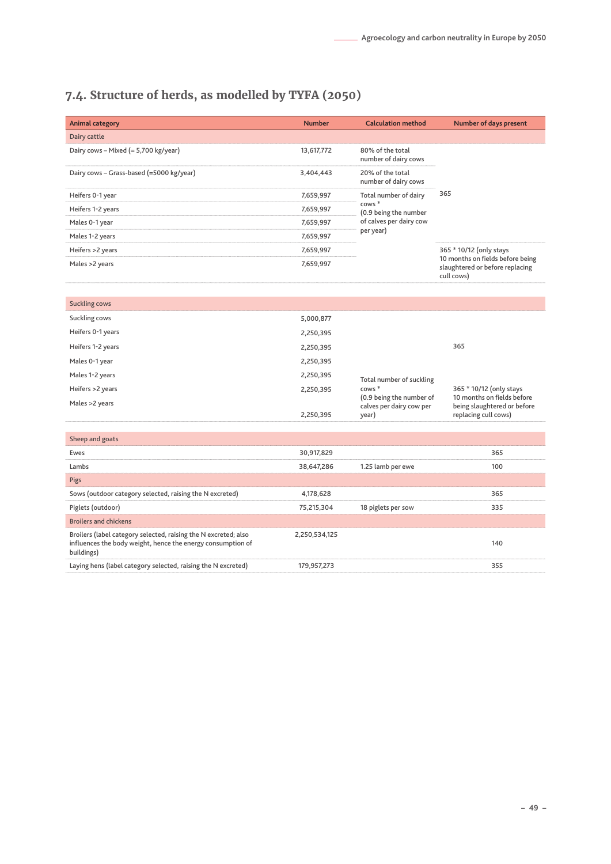# <span id="page-48-0"></span>**7.4. Structure of herds, as modelled by TYFA (2050)**

| <b>Animal category</b>                   | <b>Number</b> | <b>Calculation method</b>                                     | Number of days present                                                                                       |  |
|------------------------------------------|---------------|---------------------------------------------------------------|--------------------------------------------------------------------------------------------------------------|--|
| Dairy cattle                             |               |                                                               |                                                                                                              |  |
| Dairy cows - Mixed (= 5,700 kg/year)     | 13,617,772    | 80% of the total<br>number of dairy cows                      | 365                                                                                                          |  |
| Dairy cows - Grass-based (=5000 kg/year) | 3,404,443     | 20% of the total<br>number of dairy cows                      |                                                                                                              |  |
| Heifers 0-1 year                         | 7,659,997     | Total number of dairy                                         |                                                                                                              |  |
| Heifers 1-2 years                        | 7,659,997     | cows <sup>*</sup><br>(0.9 being the number                    |                                                                                                              |  |
| Males 0-1 year                           | 7,659,997     | of calves per dairy cow<br>per year)                          |                                                                                                              |  |
| Males 1-2 years                          | 7,659,997     |                                                               |                                                                                                              |  |
| Heifers >2 years                         | 7,659,997     |                                                               | 365 * 10/12 (only stays<br>10 months on fields before being<br>slaughtered or before replacing<br>cull cows) |  |
| Males >2 years                           | 7,659,997     |                                                               |                                                                                                              |  |
| <b>Suckling cows</b>                     |               |                                                               |                                                                                                              |  |
| Suckling cows                            | 5,000,877     |                                                               |                                                                                                              |  |
| Heifers 0-1 years                        | 2,250,395     |                                                               |                                                                                                              |  |
| Heifers 1-2 years                        | 2,250,395     | 365                                                           |                                                                                                              |  |
| Males 0-1 year                           | 2,250,395     |                                                               |                                                                                                              |  |
| Males 1-2 years                          | 2,250,395     | Total number of suckling                                      |                                                                                                              |  |
| Heifers >2 years                         | 2,250,395     | cows <sup>*</sup>                                             | 365 * 10/12 (only stays<br>10 months on fields before<br>being slaughtered or before<br>replacing cull cows) |  |
| Males >2 years                           | 2,250,395     | (0.9 being the number of<br>calves per dairy cow per<br>year) |                                                                                                              |  |

| Sheep and goats                                                                                                                              |               |                    |     |
|----------------------------------------------------------------------------------------------------------------------------------------------|---------------|--------------------|-----|
| Ewes                                                                                                                                         | 30,917,829    |                    | 365 |
| Lambs                                                                                                                                        | 38,647,286    | 1.25 lamb per ewe  | 100 |
| Pigs                                                                                                                                         |               |                    |     |
| Sows (outdoor category selected, raising the N excreted)                                                                                     | 4.178.628     |                    | 365 |
| Piglets (outdoor)                                                                                                                            | 75.215.304    | 18 piglets per sow | 335 |
| <b>Broilers and chickens</b>                                                                                                                 |               |                    |     |
| Broilers (label category selected, raising the N excreted; also<br>influences the body weight, hence the energy consumption of<br>buildings) | 2.250.534.125 |                    | 140 |
| Laying hens (label category selected, raising the N excreted)                                                                                | 179.957.273   |                    | 355 |